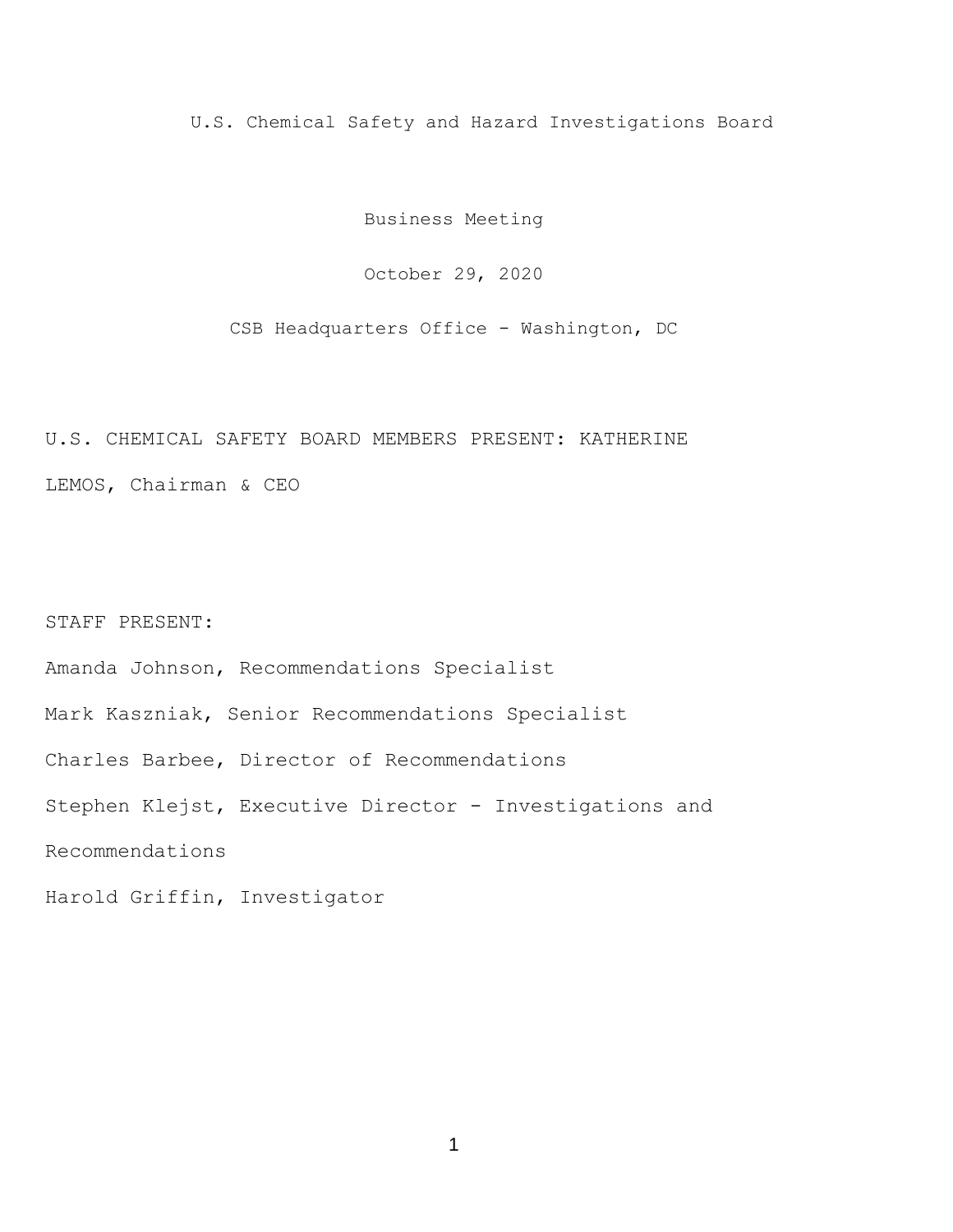U.S. Chemical Safety and Hazard Investigations Board

Business Meeting

October 29, 2020

CSB Headquarters Office - Washington, DC

## U.S. CHEMICAL SAFETY BOARD MEMBERS PRESENT: KATHERINE LEMOS, Chairman & CEO

## STAFF PRESENT:

Amanda Johnson, Recommendations Specialist

Mark Kaszniak, Senior Recommendations Specialist

Charles Barbee, Director of Recommendations

Stephen Klejst, Executive Director - Investigations and

Recommendations

Harold Griffin, Investigator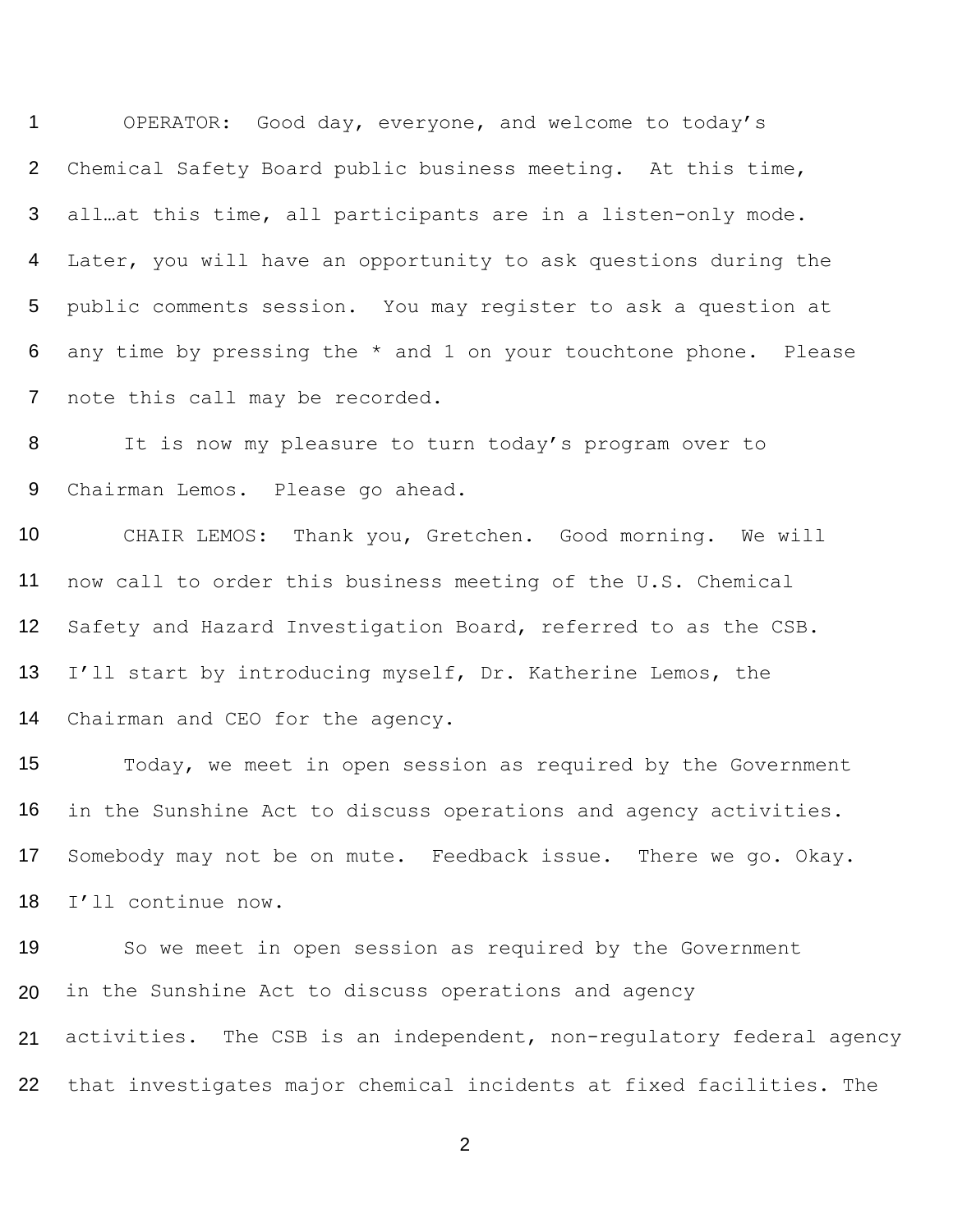OPERATOR: Good day, everyone, and welcome to today's Chemical Safety Board public business meeting. At this time, all…at this time, all participants are in a listen-only mode. Later, you will have an opportunity to ask questions during the public comments session. You may register to ask a question at any time by pressing the \* and 1 on your touchtone phone. Please note this call may be recorded.

 It is now my pleasure to turn today's program over to Chairman Lemos. Please go ahead.

 CHAIR LEMOS: Thank you, Gretchen. Good morning. We will now call to order this business meeting of the U.S. Chemical Safety and Hazard Investigation Board, referred to as the CSB. I'll start by introducing myself, Dr. Katherine Lemos, the Chairman and CEO for the agency.

 Today, we meet in open session as required by the Government in the Sunshine Act to discuss operations and agency activities. Somebody may not be on mute. Feedback issue. There we go. Okay. I'll continue now.

 So we meet in open session as required by the Government in the Sunshine Act to discuss operations and agency activities. The CSB is an independent, non-regulatory federal agency

that investigates major chemical incidents at fixed facilities. The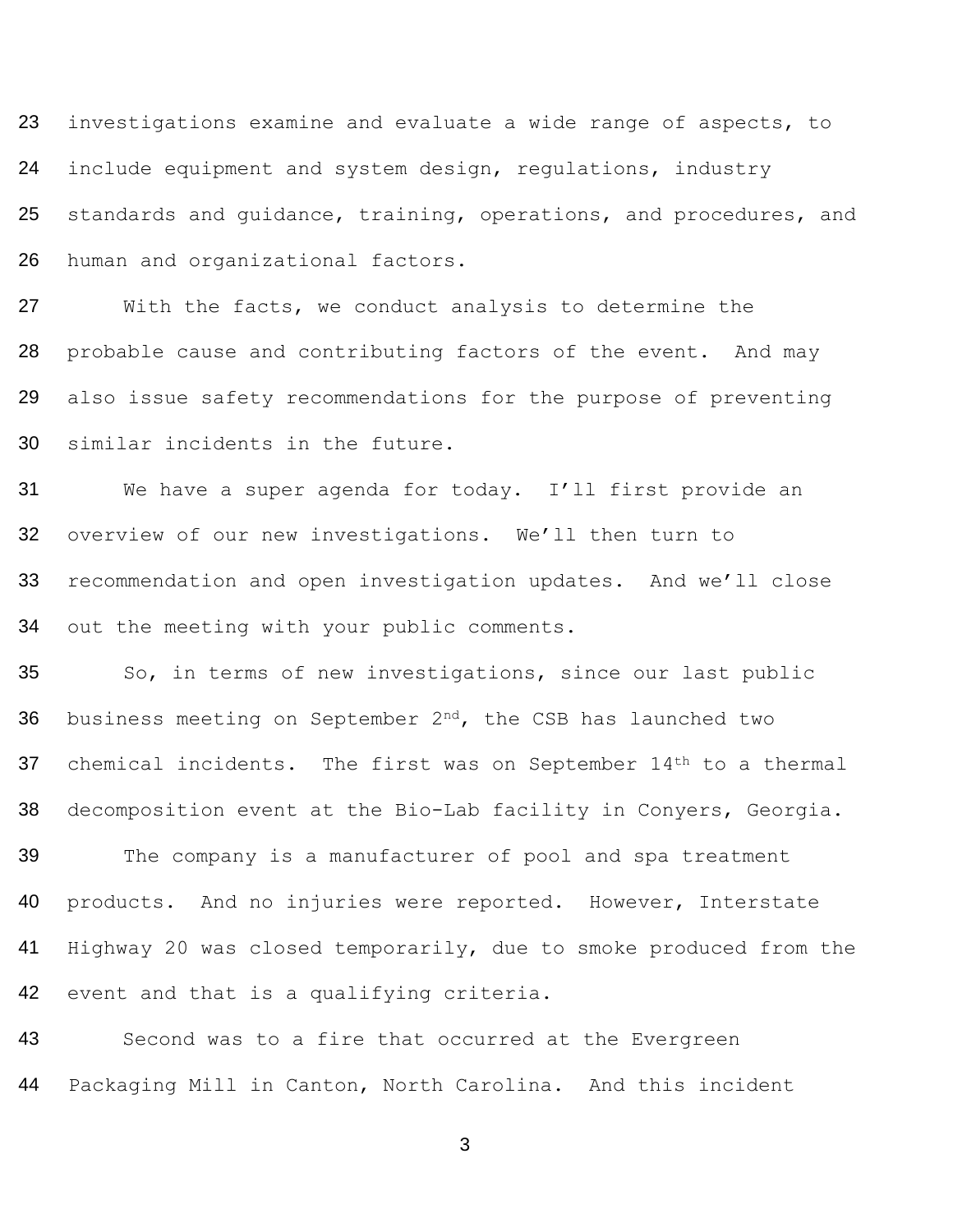23 investigations examine and evaluate a wide range of aspects, to include equipment and system design, regulations, industry 25 standards and guidance, training, operations, and procedures, and human and organizational factors.

 With the facts, we conduct analysis to determine the 28 probable cause and contributing factors of the event. And may also issue safety recommendations for the purpose of preventing similar incidents in the future.

 We have a super agenda for today. I'll first provide an overview of our new investigations. We'll then turn to recommendation and open investigation updates. And we'll close out the meeting with your public comments.

 So, in terms of new investigations, since our last public 36 business meeting on September  $2^{nd}$ , the CSB has launched two 37 chemical incidents. The first was on September 14<sup>th</sup> to a thermal decomposition event at the Bio-Lab facility in Conyers, Georgia.

 The company is a manufacturer of pool and spa treatment products. And no injuries were reported. However, Interstate Highway 20 was closed temporarily, due to smoke produced from the 42 event and that is a qualifying criteria.

 Second was to a fire that occurred at the Evergreen Packaging Mill in Canton, North Carolina. And this incident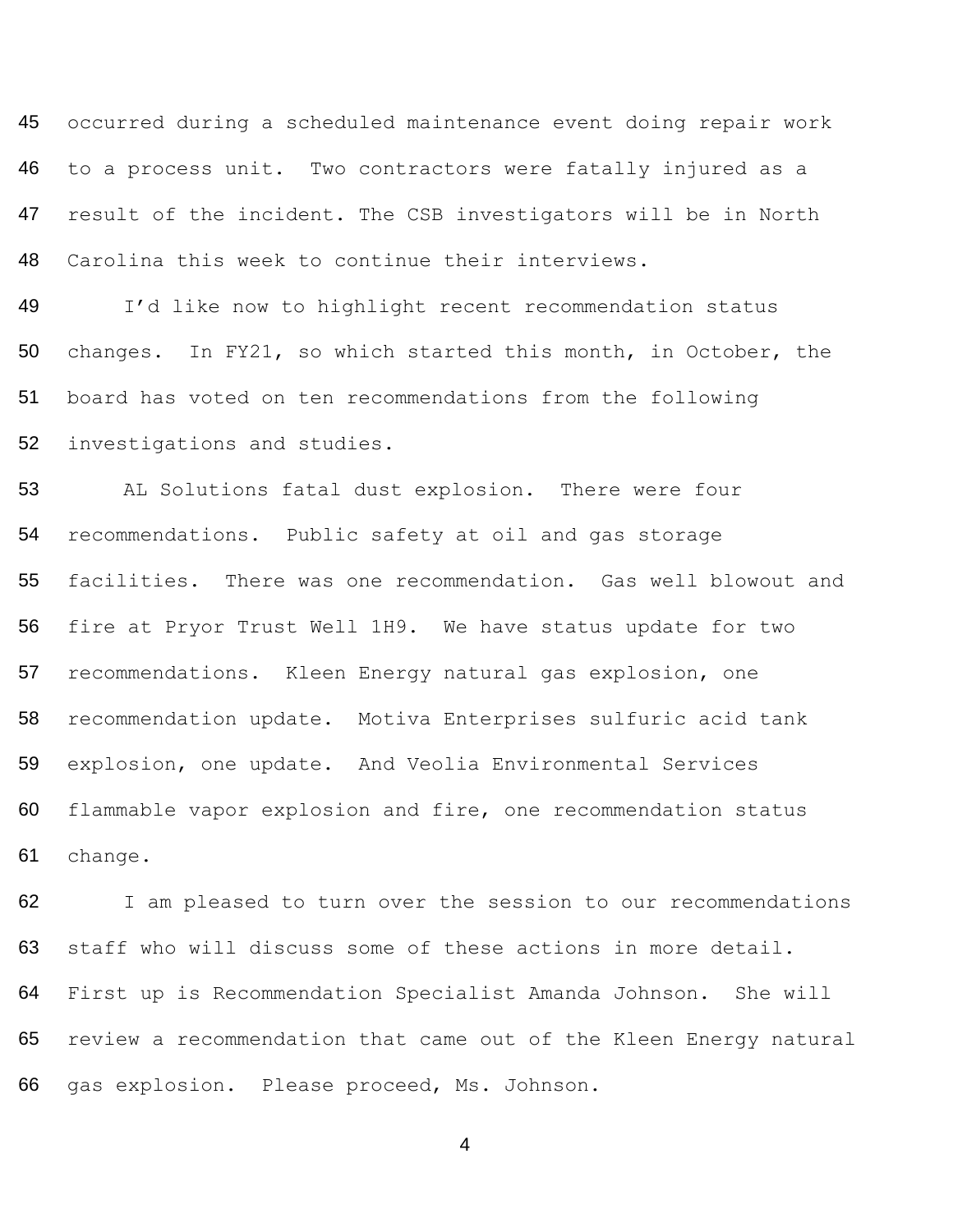occurred during a scheduled maintenance event doing repair work to a process unit. Two contractors were fatally injured as a result of the incident. The CSB investigators will be in North Carolina this week to continue their interviews.

 I'd like now to highlight recent recommendation status changes. In FY21, so which started this month, in October, the board has voted on ten recommendations from the following investigations and studies.

 AL Solutions fatal dust explosion. There were four recommendations. Public safety at oil and gas storage facilities. There was one recommendation. Gas well blowout and fire at Pryor Trust Well 1H9. We have status update for two recommendations. Kleen Energy natural gas explosion, one recommendation update. Motiva Enterprises sulfuric acid tank explosion, one update. And Veolia Environmental Services flammable vapor explosion and fire, one recommendation status change.

62 I am pleased to turn over the session to our recommendations staff who will discuss some of these actions in more detail. First up is Recommendation Specialist Amanda Johnson. She will review a recommendation that came out of the Kleen Energy natural gas explosion. Please proceed, Ms. Johnson.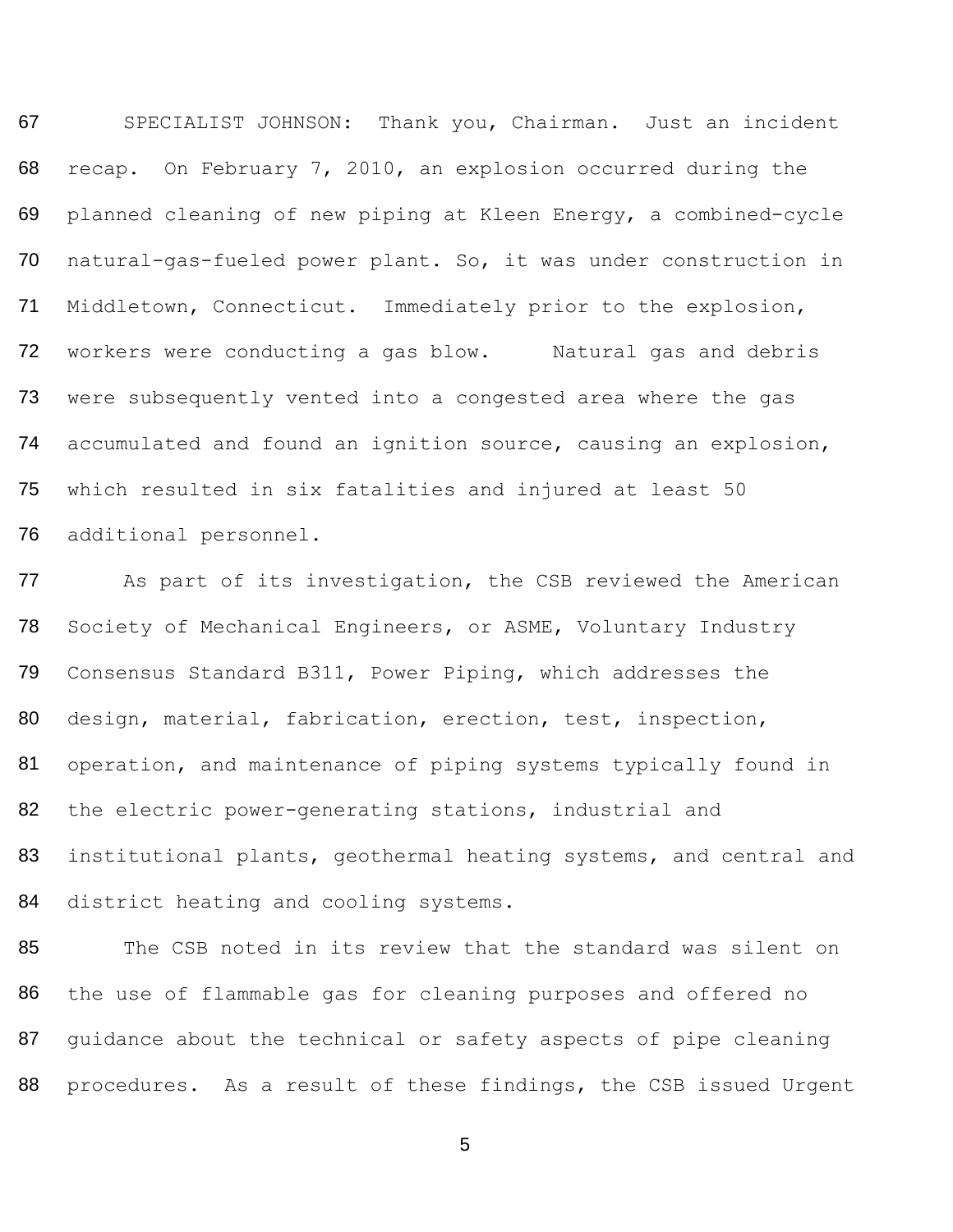67 SPECIALIST JOHNSON: Thank you, Chairman. Just an incident 68 recap. On February 7, 2010, an explosion occurred during the 69 planned cleaning of new piping at Kleen Energy, a combined-cycle 70 natural-gas-fueled power plant. So, it was under construction in 71 Middletown, Connecticut. Immediately prior to the explosion, 72 workers were conducting a gas blow. Natural gas and debris 73 74 75 76 were subsequently vented into a congested area where the gas accumulated and found an ignition source, causing an explosion, which resulted in six fatalities and injured at least 50 additional personnel.

77 78 79 80 81 82 83 84 As part of its investigation, the CSB reviewed the American Society of Mechanical Engineers, or ASME, Voluntary Industry Consensus Standard B311, Power Piping, which addresses the design, material, fabrication, erection, test, inspection, operation, and maintenance of piping systems typically found in the electric power-generating stations, industrial and institutional plants, geothermal heating systems, and central and district heating and cooling systems.

85 86 87 The CSB noted in its review that the standard was silent on the use of flammable gas for cleaning purposes and offered no guidance about the technical or safety aspects of pipe cleaning 88 procedures. As a result of these findings, the CSB issued Urgent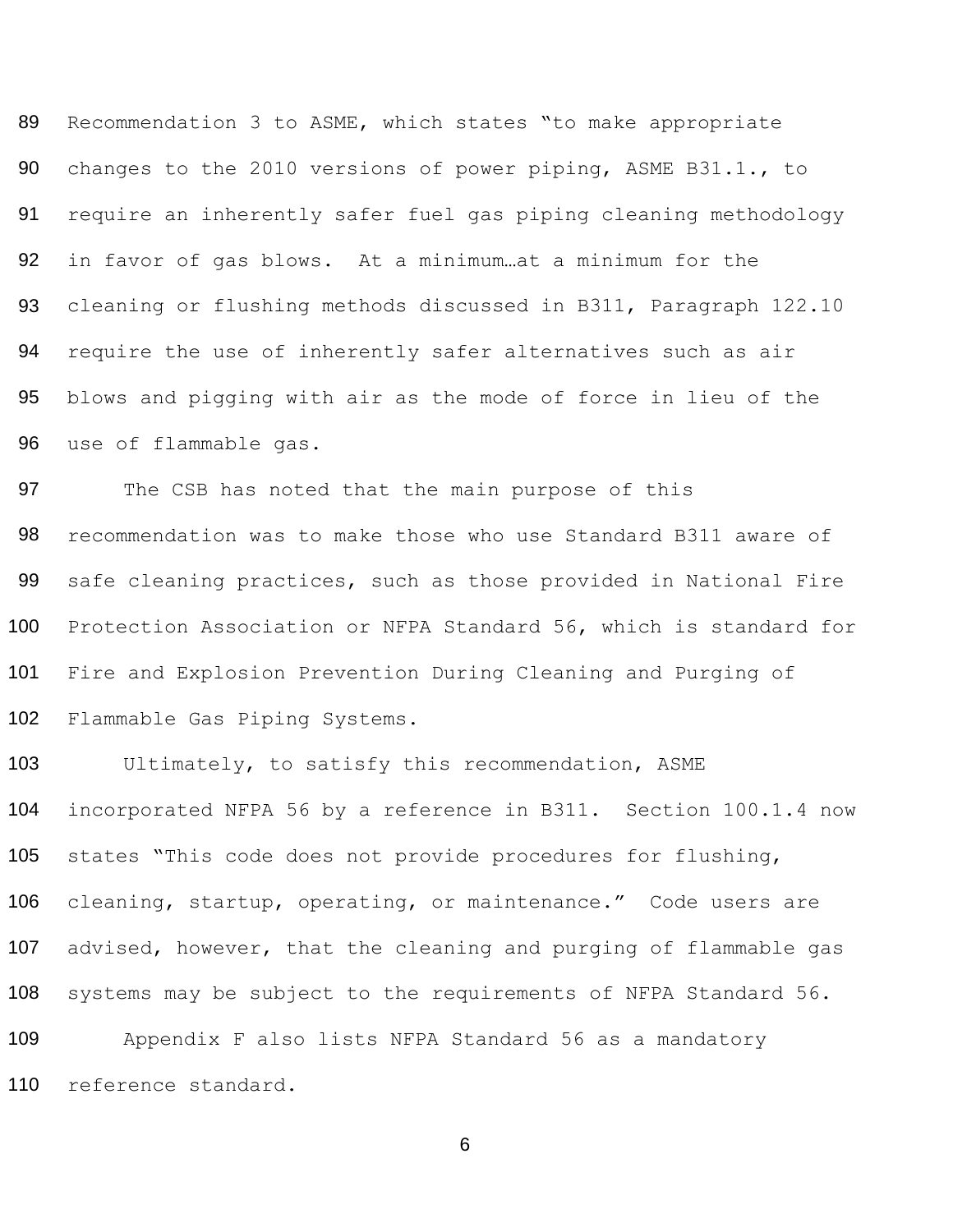89 90 91 92 93 94 95 96 Recommendation 3 to ASME, which states "to make appropriate changes to the 2010 versions of power piping, ASME B31.1., to require an inherently safer fuel gas piping cleaning methodology in favor of gas blows. At a minimum…at a minimum for the cleaning or flushing methods discussed in B311, Paragraph 122.10 require the use of inherently safer alternatives such as air blows and pigging with air as the mode of force in lieu of the use of flammable gas.

97 98 99 100 101 102 The CSB has noted that the main purpose of this recommendation was to make those who use Standard B311 aware of safe cleaning practices, such as those provided in National Fire Protection Association or NFPA Standard 56, which is standard for Fire and Explosion Prevention During Cleaning and Purging of Flammable Gas Piping Systems.

103 104 105 106 107 108 109 Ultimately, to satisfy this recommendation, ASME incorporated NFPA 56 by a reference in B311. Section 100.1.4 now states "This code does not provide procedures for flushing, cleaning, startup, operating, or maintenance." Code users are advised, however, that the cleaning and purging of flammable gas systems may be subject to the requirements of NFPA Standard 56. Appendix F also lists NFPA Standard 56 as a mandatory 110 reference standard.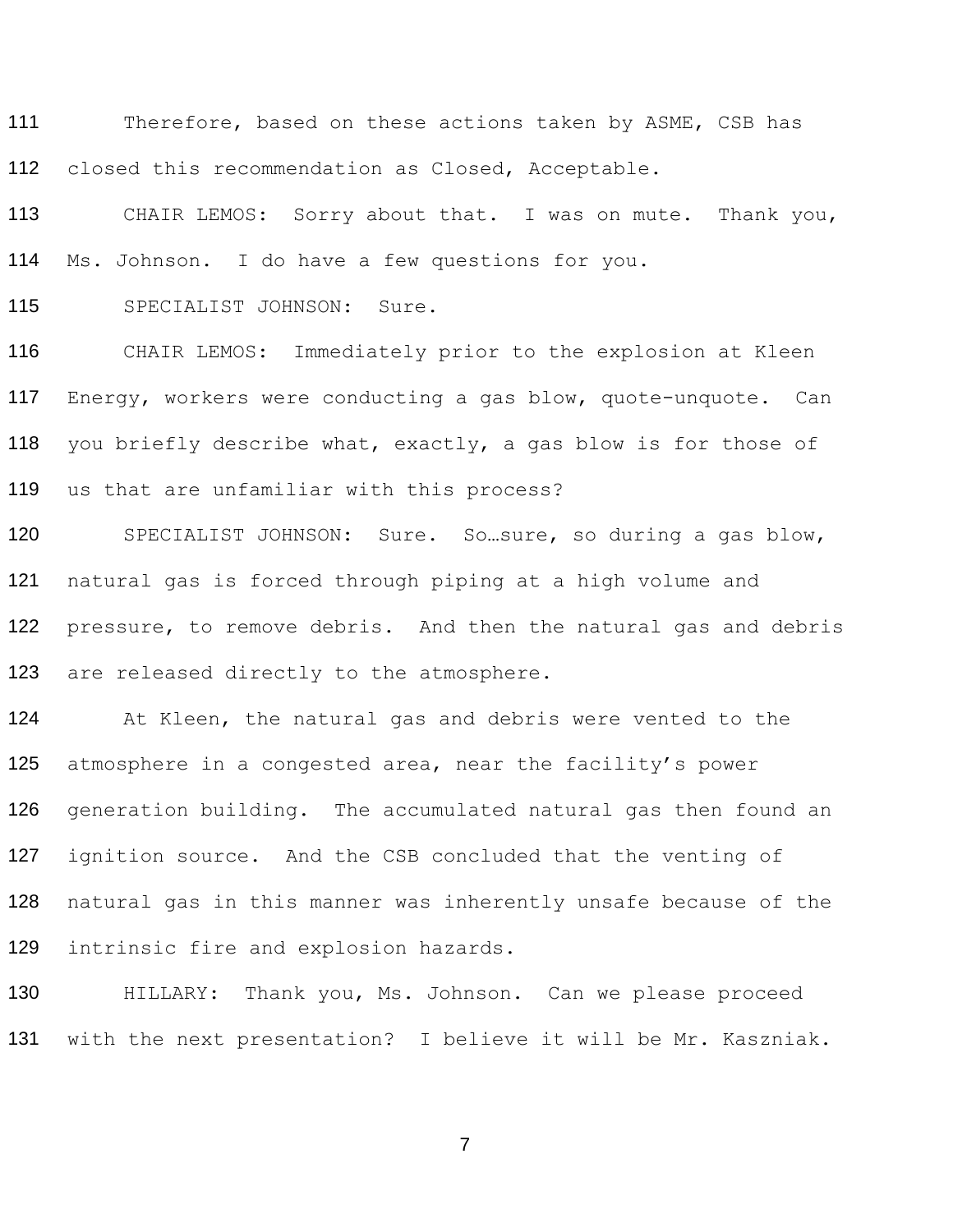111 Therefore, based on these actions taken by ASME, CSB has closed this recommendation as Closed, Acceptable.

 CHAIR LEMOS: Sorry about that. I was on mute. Thank you, Ms. Johnson. I do have a few questions for you.

SPECIALIST JOHNSON: Sure.

 CHAIR LEMOS: Immediately prior to the explosion at Kleen Energy, workers were conducting a gas blow, quote-unquote. Can you briefly describe what, exactly, a gas blow is for those of us that are unfamiliar with this process?

 SPECIALIST JOHNSON: Sure. So…sure, so during a gas blow, natural gas is forced through piping at a high volume and 122 pressure, to remove debris. And then the natural gas and debris 123 are released directly to the atmosphere.

 At Kleen, the natural gas and debris were vented to the 125 atmosphere in a congested area, near the facility's power generation building. The accumulated natural gas then found an ignition source. And the CSB concluded that the venting of natural gas in this manner was inherently unsafe because of the intrinsic fire and explosion hazards.

 HILLARY: Thank you, Ms. Johnson. Can we please proceed with the next presentation? I believe it will be Mr. Kaszniak.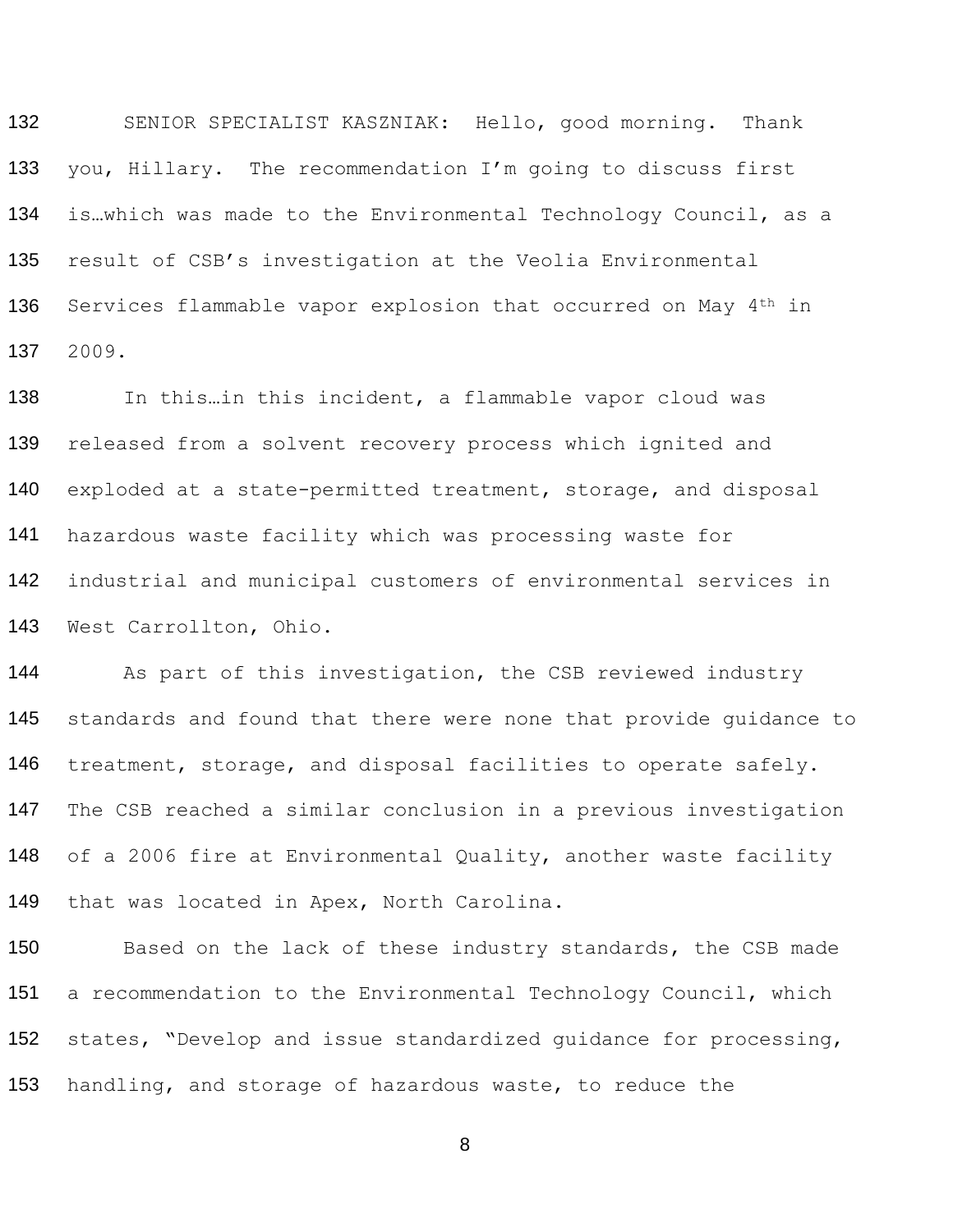132 133 134 135 136 137 SENIOR SPECIALIST KASZNIAK: Hello, good morning. Thank you, Hillary. The recommendation I'm going to discuss first is…which was made to the Environmental Technology Council, as a result of CSB's investigation at the Veolia Environmental Services flammable vapor explosion that occurred on May 4<sup>th</sup> in 2009.

138 139 140 141 142 143 In this…in this incident, a flammable vapor cloud was released from a solvent recovery process which ignited and exploded at a state-permitted treatment, storage, and disposal hazardous waste facility which was processing waste for industrial and municipal customers of environmental services in West Carrollton, Ohio.

144 145 146 147 148 149 As part of this investigation, the CSB reviewed industry standards and found that there were none that provide guidance to treatment, storage, and disposal facilities to operate safely. The CSB reached a similar conclusion in a previous investigation of a 2006 fire at Environmental Quality, another waste facility that was located in Apex, North Carolina.

150 151 152 Based on the lack of these industry standards, the CSB made a recommendation to the Environmental Technology Council, which states, "Develop and issue standardized guidance for processing, 153 handling, and storage of hazardous waste, to reduce the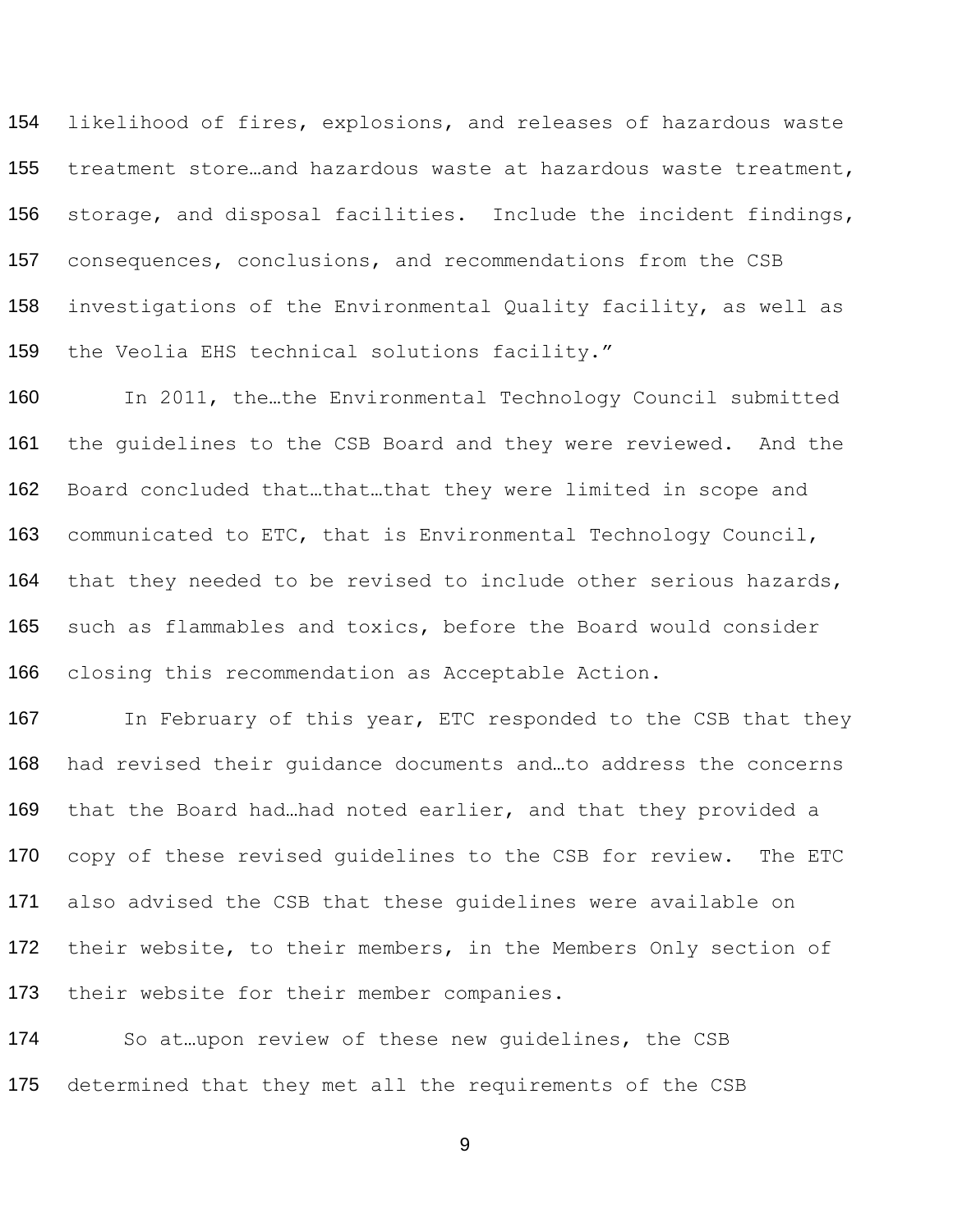likelihood of fires, explosions, and releases of hazardous waste treatment store…and hazardous waste at hazardous waste treatment, storage, and disposal facilities. Include the incident findings, consequences, conclusions, and recommendations from the CSB investigations of the Environmental Quality facility, as well as the Veolia EHS technical solutions facility."

160 In 2011, the...the Environmental Technology Council submitted the guidelines to the CSB Board and they were reviewed. And the Board concluded that…that…that they were limited in scope and communicated to ETC, that is Environmental Technology Council, 164 that they needed to be revised to include other serious hazards, such as flammables and toxics, before the Board would consider closing this recommendation as Acceptable Action.

167 In February of this year, ETC responded to the CSB that they had revised their guidance documents and…to address the concerns that the Board had…had noted earlier, and that they provided a 170 copy of these revised quidelines to the CSB for review. The ETC also advised the CSB that these guidelines were available on 172 their website, to their members, in the Members Only section of 173 their website for their member companies.

 So at…upon review of these new guidelines, the CSB 175 determined that they met all the requirements of the CSB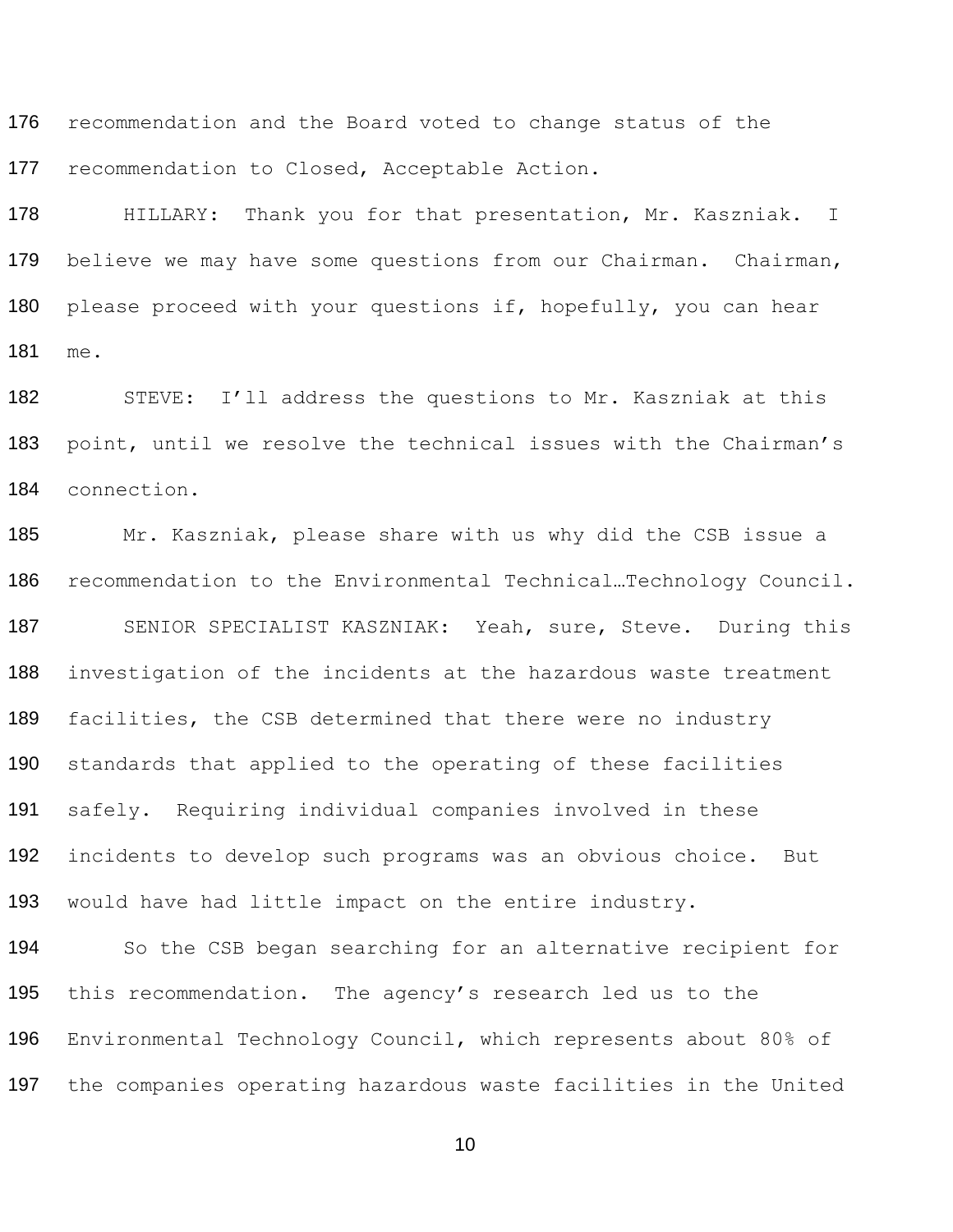176 recommendation and the Board voted to change status of the recommendation to Closed, Acceptable Action.

 HILLARY: Thank you for that presentation, Mr. Kaszniak. I 179 believe we may have some questions from our Chairman. Chairman, 180 please proceed with your questions if, hopefully, you can hear me.

 STEVE: I'll address the questions to Mr. Kaszniak at this point, until we resolve the technical issues with the Chairman's connection.

 Mr. Kaszniak, please share with us why did the CSB issue a recommendation to the Environmental Technical…Technology Council. 187 SENIOR SPECIALIST KASZNIAK: Yeah, sure, Steve. During this investigation of the incidents at the hazardous waste treatment 189 facilities, the CSB determined that there were no industry standards that applied to the operating of these facilities safely. Requiring individual companies involved in these incidents to develop such programs was an obvious choice. But would have had little impact on the entire industry.

 So the CSB began searching for an alternative recipient for 195 this recommendation. The agency's research led us to the Environmental Technology Council, which represents about 80% of the companies operating hazardous waste facilities in the United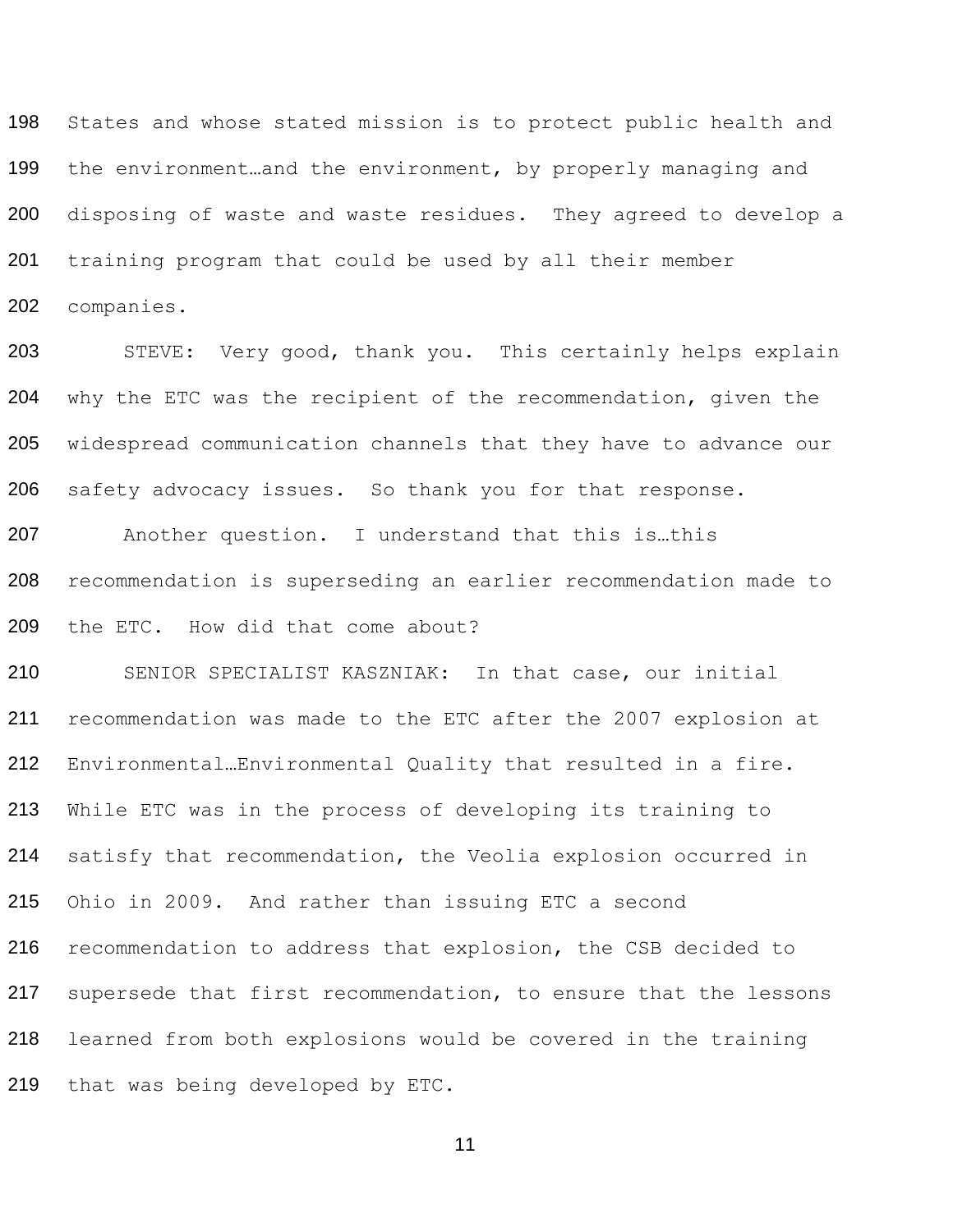States and whose stated mission is to protect public health and 199 the environment...and the environment, by properly managing and disposing of waste and waste residues. They agreed to develop a training program that could be used by all their member companies.

 STEVE: Very good, thank you. This certainly helps explain why the ETC was the recipient of the recommendation, given the widespread communication channels that they have to advance our safety advocacy issues. So thank you for that response.

 Another question. I understand that this is…this recommendation is superseding an earlier recommendation made to the ETC. How did that come about?

 SENIOR SPECIALIST KASZNIAK: In that case, our initial recommendation was made to the ETC after the 2007 explosion at Environmental…Environmental Quality that resulted in a fire. While ETC was in the process of developing its training to satisfy that recommendation, the Veolia explosion occurred in Ohio in 2009. And rather than issuing ETC a second recommendation to address that explosion, the CSB decided to supersede that first recommendation, to ensure that the lessons learned from both explosions would be covered in the training that was being developed by ETC.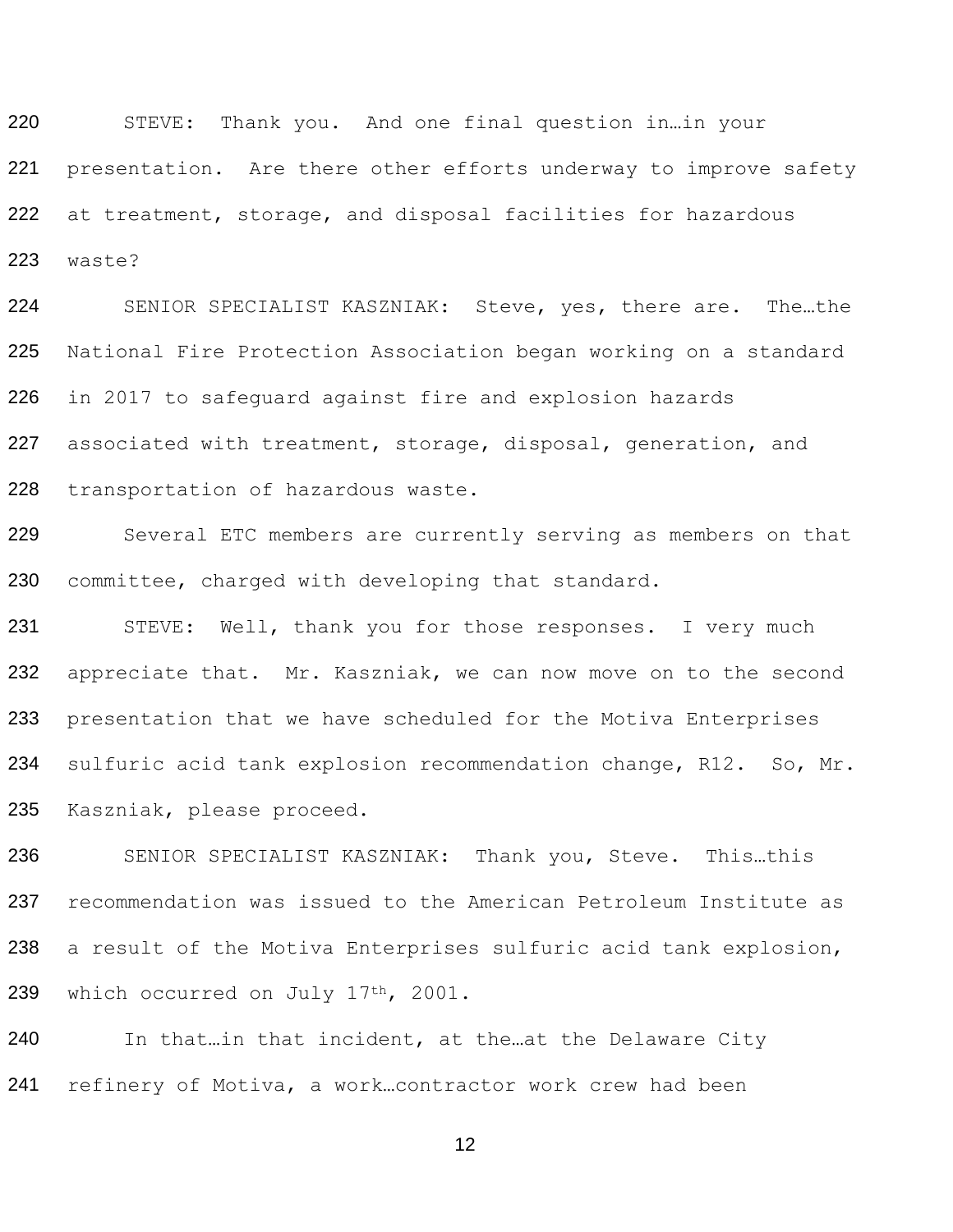220 STEVE: Thank you. And one final question in…in your 221 presentation. Are there other efforts underway to improve safety 222 at treatment, storage, and disposal facilities for hazardous 223 waste?

 SENIOR SPECIALIST KASZNIAK: Steve, yes, there are. The…the National Fire Protection Association began working on a standard in 2017 to safeguard against fire and explosion hazards 227 associated with treatment, storage, disposal, generation, and transportation of hazardous waste.

229 Several ETC members are currently serving as members on that 230 committee, charged with developing that standard.

231 STEVE: Well, thank you for those responses. I very much 232 appreciate that. Mr. Kaszniak, we can now move on to the second 233 presentation that we have scheduled for the Motiva Enterprises 234 sulfuric acid tank explosion recommendation change, R12. So, Mr. 235 Kaszniak, please proceed.

236 237 238 239 SENIOR SPECIALIST KASZNIAK: Thank you, Steve. This…this recommendation was issued to the American Petroleum Institute as a result of the Motiva Enterprises sulfuric acid tank explosion, which occurred on July 17<sup>th</sup>, 2001.

240 In that…in that incident, at the…at the Delaware City 241 refinery of Motiva, a work…contractor work crew had been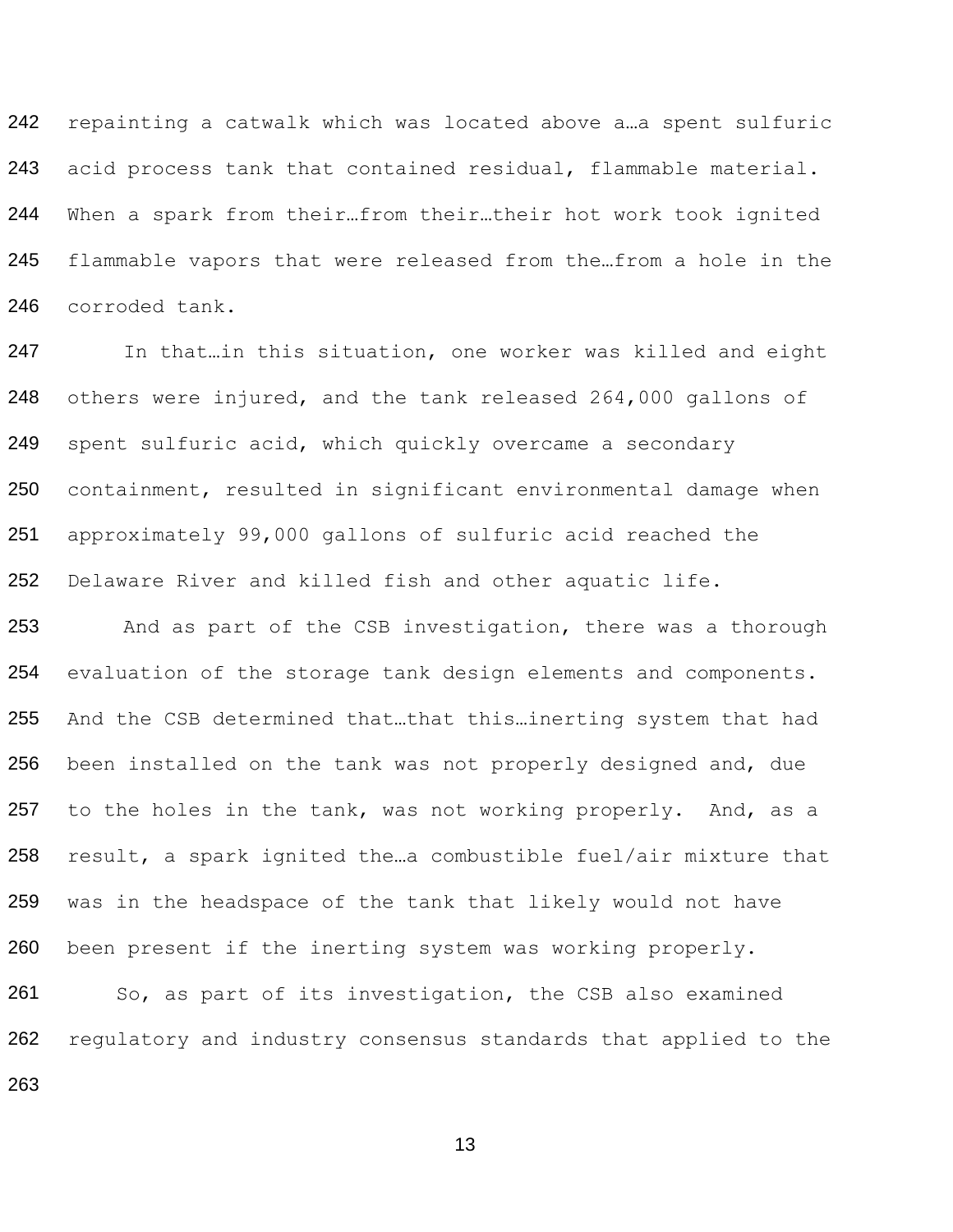242 243 244 245 246 repainting a catwalk which was located above a…a spent sulfuric acid process tank that contained residual, flammable material. When a spark from their…from their…their hot work took ignited flammable vapors that were released from the…from a hole in the corroded tank.

247 248 249 250 251 252 In that…in this situation, one worker was killed and eight others were injured, and the tank released 264,000 gallons of spent sulfuric acid, which quickly overcame a secondary containment, resulted in significant environmental damage when approximately 99,000 gallons of sulfuric acid reached the Delaware River and killed fish and other aquatic life.

253 254 255 256 257 258 259 260 And as part of the CSB investigation, there was a thorough evaluation of the storage tank design elements and components. And the CSB determined that…that this…inerting system that had been installed on the tank was not properly designed and, due to the holes in the tank, was not working properly. And, as a result, a spark ignited the…a combustible fuel/air mixture that was in the headspace of the tank that likely would not have been present if the inerting system was working properly.

261 262 So, as part of its investigation, the CSB also examined regulatory and industry consensus standards that applied to the 263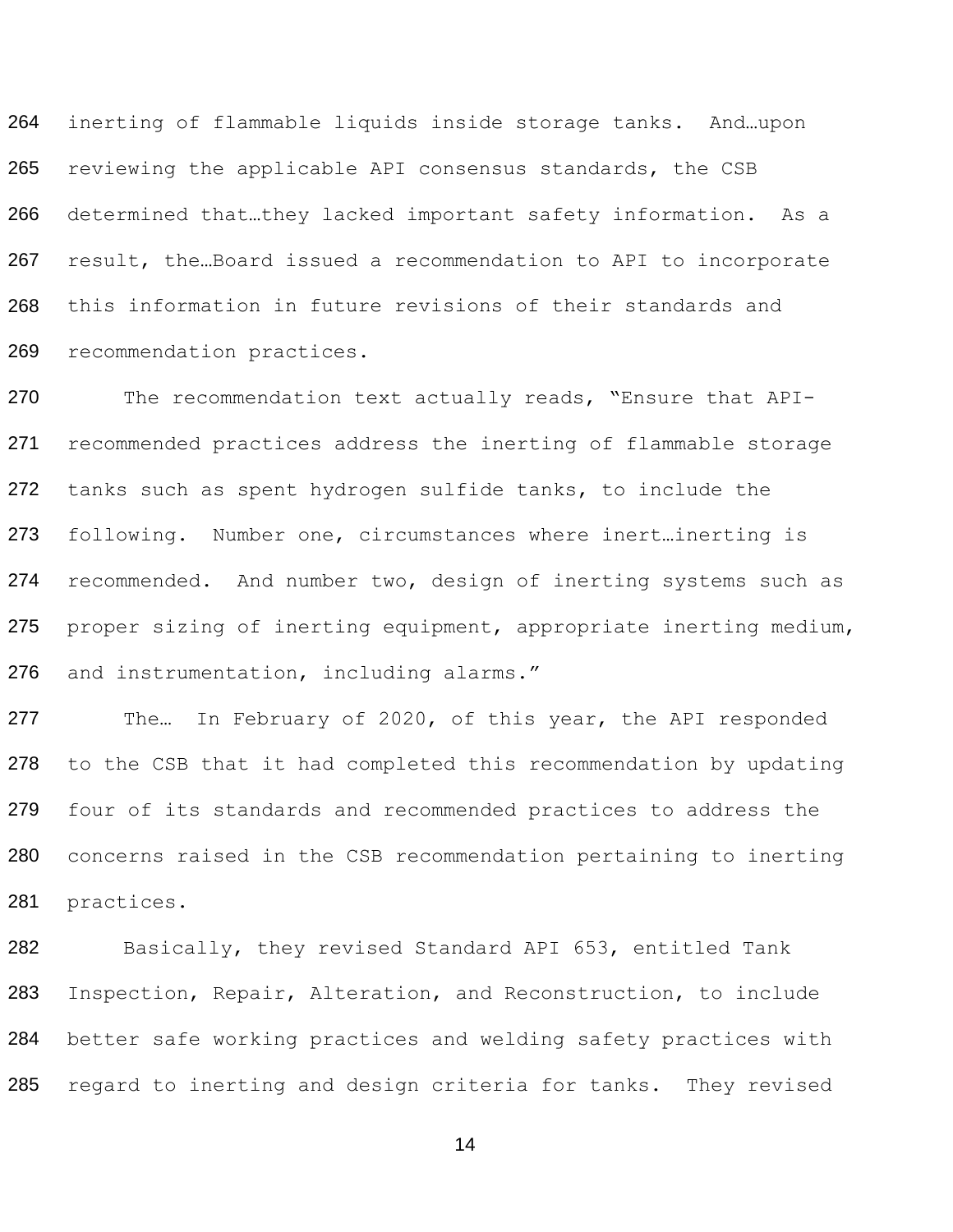264 265 266 267 268 269 inerting of flammable liquids inside storage tanks. And…upon reviewing the applicable API consensus standards, the CSB determined that…they lacked important safety information. As a result, the…Board issued a recommendation to API to incorporate this information in future revisions of their standards and recommendation practices.

270 271 272 273 274 275 276 The recommendation text actually reads, "Ensure that APIrecommended practices address the inerting of flammable storage tanks such as spent hydrogen sulfide tanks, to include the following. Number one, circumstances where inert…inerting is recommended. And number two, design of inerting systems such as proper sizing of inerting equipment, appropriate inerting medium, and instrumentation, including alarms."

277 278 279 280 281 The… In February of 2020, of this year, the API responded to the CSB that it had completed this recommendation by updating four of its standards and recommended practices to address the concerns raised in the CSB recommendation pertaining to inerting practices.

282 283 284 Basically, they revised Standard API 653, entitled Tank Inspection, Repair, Alteration, and Reconstruction, to include better safe working practices and welding safety practices with 285 regard to inerting and design criteria for tanks. They revised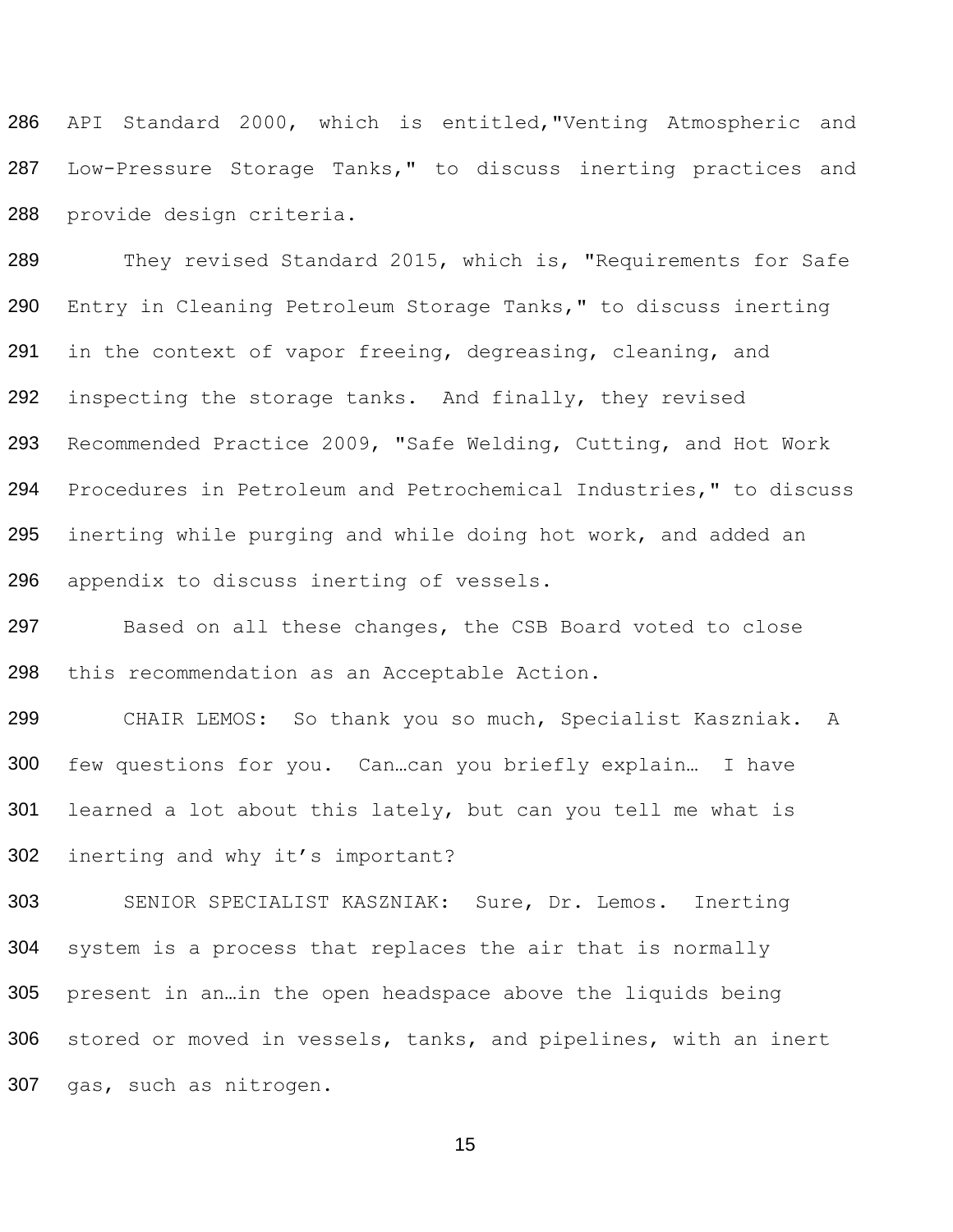286 287 288 API Standard 2000, which is entitled,"Venting Atmospheric and Low-Pressure Storage Tanks," to discuss inerting practices and provide design criteria.

289 290 291 292 293 294 295 296 They revised Standard 2015, which is, "Requirements for Safe Entry in Cleaning Petroleum Storage Tanks," to discuss inerting in the context of vapor freeing, degreasing, cleaning, and inspecting the storage tanks. And finally, they revised Recommended Practice 2009, "Safe Welding, Cutting, and Hot Work Procedures in Petroleum and Petrochemical Industries," to discuss inerting while purging and while doing hot work, and added an appendix to discuss inerting of vessels.

297 298 Based on all these changes, the CSB Board voted to close this recommendation as an Acceptable Action.

299 300 301 302 CHAIR LEMOS: So thank you so much, Specialist Kaszniak. A few questions for you. Can…can you briefly explain… I have learned a lot about this lately, but can you tell me what is inerting and why it's important?

303 304 305 306 SENIOR SPECIALIST KASZNIAK: Sure, Dr. Lemos. Inerting system is a process that replaces the air that is normally present in an…in the open headspace above the liquids being stored or moved in vessels, tanks, and pipelines, with an inert 307 gas, such as nitrogen.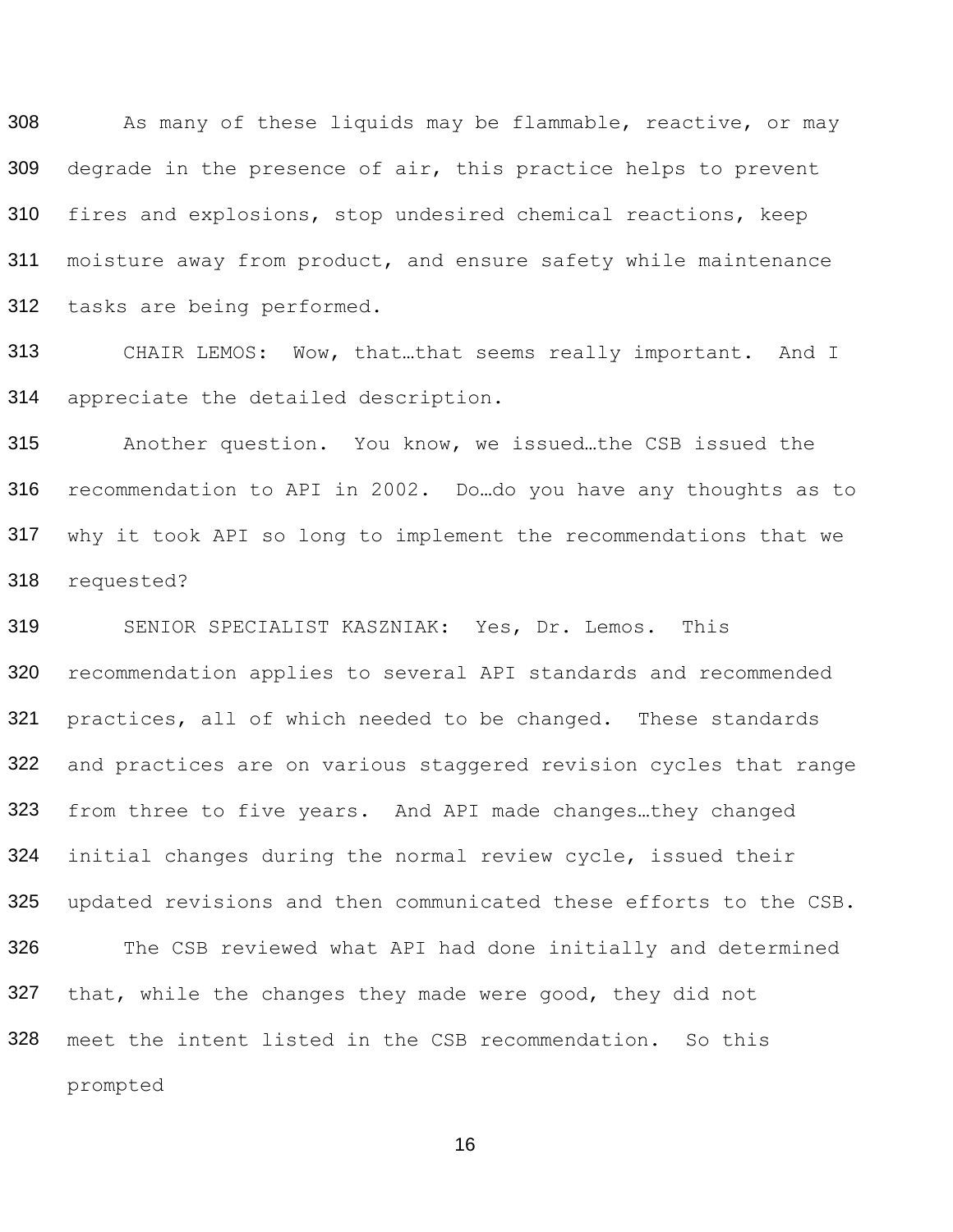308 309 310 311 312 As many of these liquids may be flammable, reactive, or may degrade in the presence of air, this practice helps to prevent fires and explosions, stop undesired chemical reactions, keep moisture away from product, and ensure safety while maintenance tasks are being performed.

313 314 CHAIR LEMOS: Wow, that…that seems really important. And I appreciate the detailed description.

315 316 317 318 Another question. You know, we issued…the CSB issued the recommendation to API in 2002. Do…do you have any thoughts as to why it took API so long to implement the recommendations that we requested?

319 320 321 322 323 324 325 326 327 SENIOR SPECIALIST KASZNIAK: Yes, Dr. Lemos. This recommendation applies to several API standards and recommended practices, all of which needed to be changed. These standards and practices are on various staggered revision cycles that range from three to five years. And API made changes…they changed initial changes during the normal review cycle, issued their updated revisions and then communicated these efforts to the CSB. The CSB reviewed what API had done initially and determined that, while the changes they made were good, they did not meet the intent listed in the CSB recommendation. So this prompted 328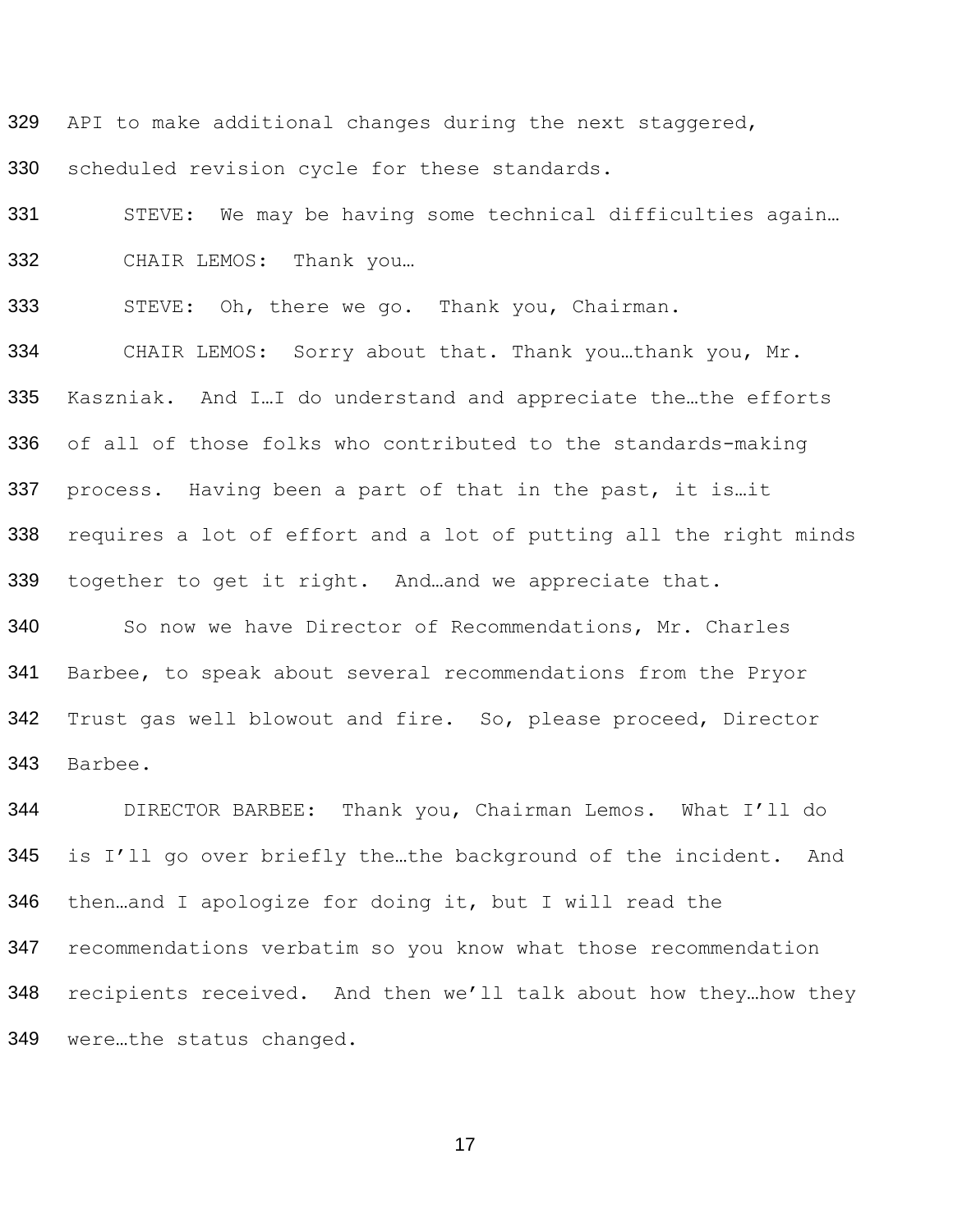329 API to make additional changes during the next staggered,

scheduled revision cycle for these standards.

331 STEVE: We may be having some technical difficulties again... CHAIR LEMOS: Thank you…

STEVE: Oh, there we go. Thank you, Chairman.

 CHAIR LEMOS: Sorry about that. Thank you…thank you, Mr. Kaszniak. And I…I do understand and appreciate the…the efforts of all of those folks who contributed to the standards-making process. Having been a part of that in the past, it is…it requires a lot of effort and a lot of putting all the right minds together to get it right. And…and we appreciate that.

 So now we have Director of Recommendations, Mr. Charles Barbee, to speak about several recommendations from the Pryor Trust gas well blowout and fire. So, please proceed, Director Barbee.

 DIRECTOR BARBEE: Thank you, Chairman Lemos. What I'll do is I'll go over briefly the…the background of the incident. And then…and I apologize for doing it, but I will read the recommendations verbatim so you know what those recommendation recipients received. And then we'll talk about how they…how they were…the status changed.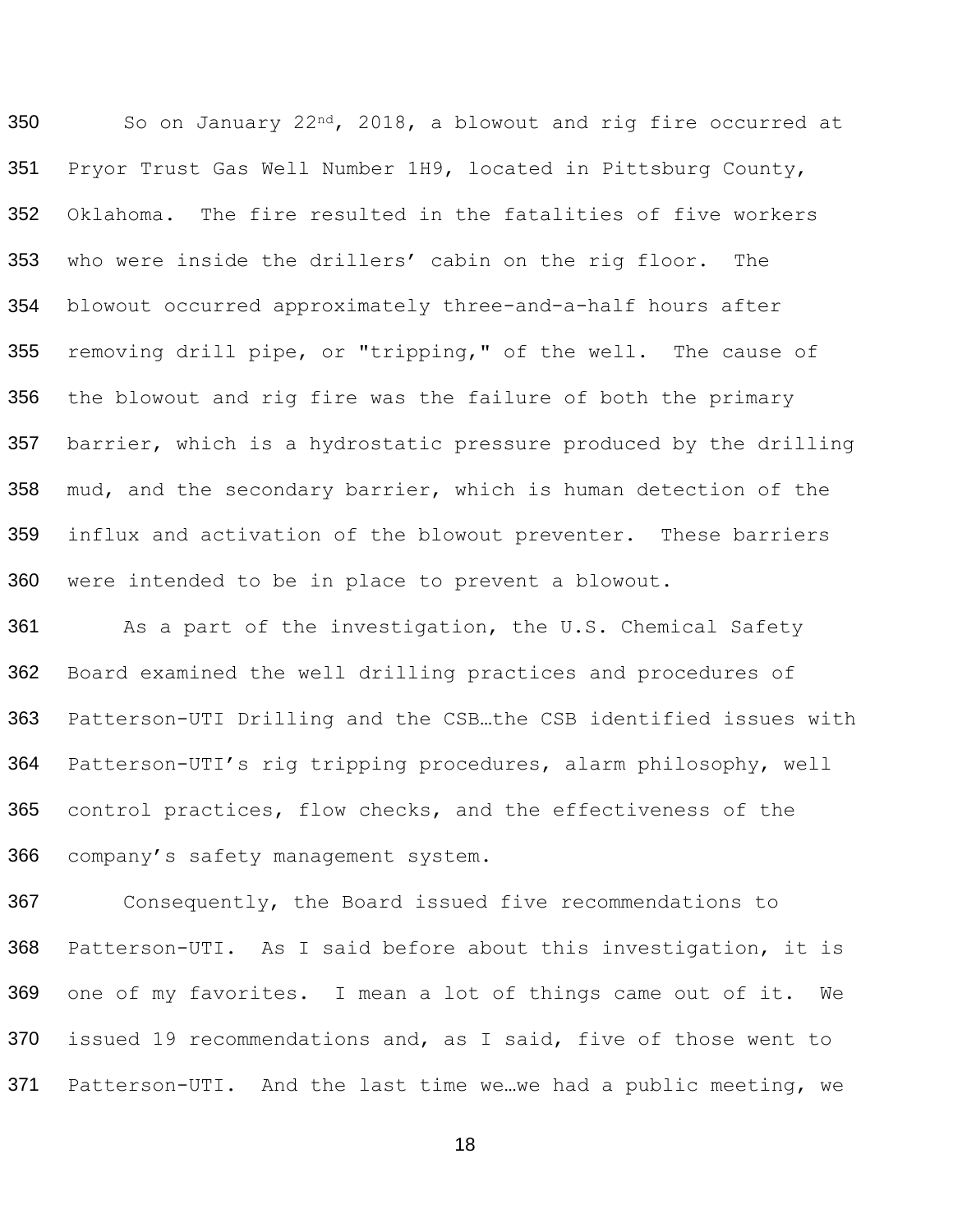350 351 352 353 354 355 356 357 358 359 360 So on January 22nd, 2018, a blowout and rig fire occurred at Pryor Trust Gas Well Number 1H9, located in Pittsburg County, Oklahoma. The fire resulted in the fatalities of five workers who were inside the drillers' cabin on the rig floor. The blowout occurred approximately three-and-a-half hours after removing drill pipe, or "tripping," of the well. The cause of the blowout and rig fire was the failure of both the primary barrier, which is a hydrostatic pressure produced by the drilling mud, and the secondary barrier, which is human detection of the influx and activation of the blowout preventer. These barriers were intended to be in place to prevent a blowout.

361 362 363 364 365 366 As a part of the investigation, the U.S. Chemical Safety Board examined the well drilling practices and procedures of Patterson-UTI Drilling and the CSB…the CSB identified issues with Patterson-UTI's rig tripping procedures, alarm philosophy, well control practices, flow checks, and the effectiveness of the company's safety management system.

367 368 369 370 Consequently, the Board issued five recommendations to Patterson-UTI. As I said before about this investigation, it is one of my favorites. I mean a lot of things came out of it. We issued 19 recommendations and, as I said, five of those went to 371 Patterson-UTI. And the last time we…we had a public meeting, we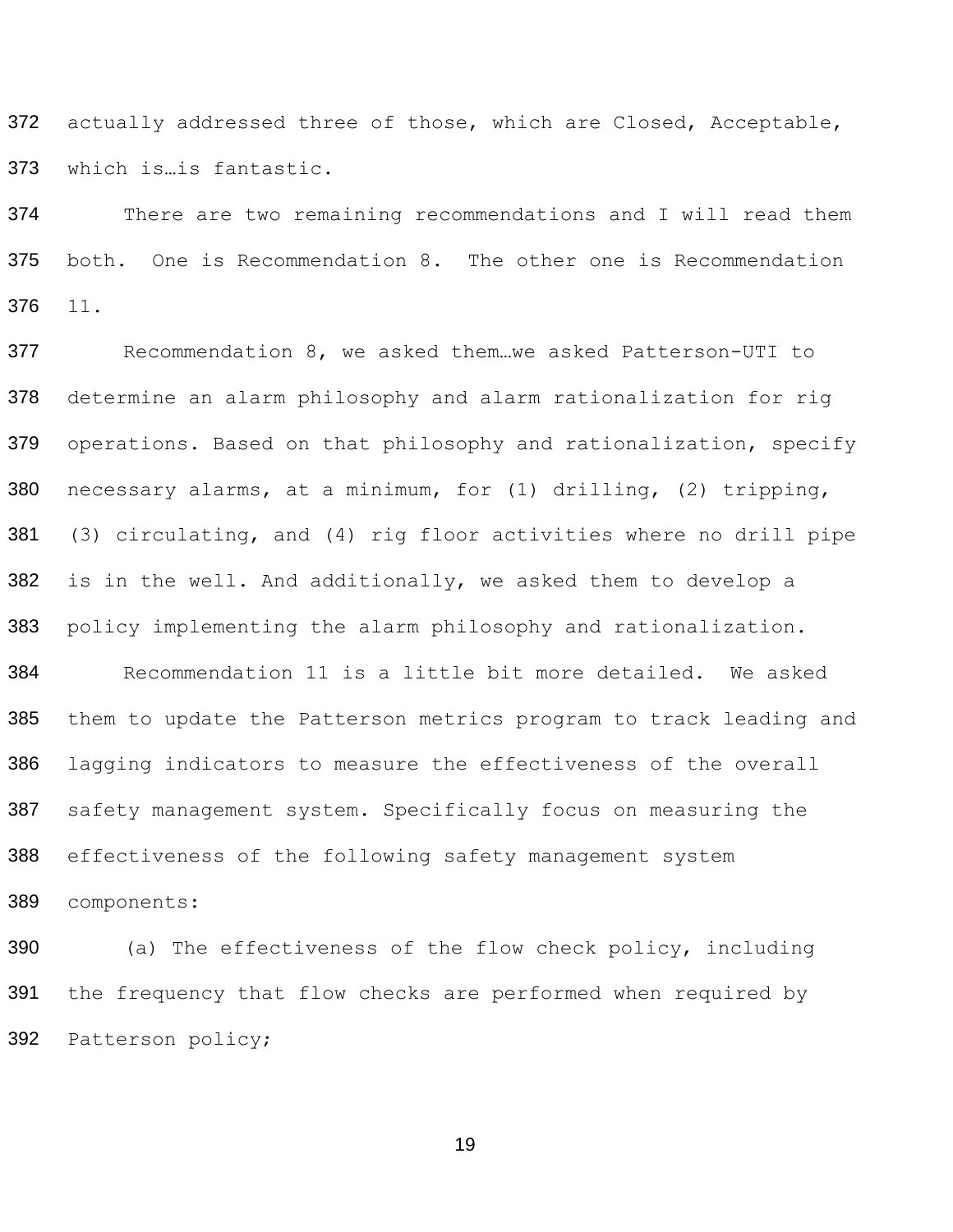372 actually addressed three of those, which are Closed, Acceptable, which is…is fantastic.

 There are two remaining recommendations and I will read them both. One is Recommendation 8. The other one is Recommendation 11.

 Recommendation 8, we asked them…we asked Patterson-UTI to determine an alarm philosophy and alarm rationalization for rig operations. Based on that philosophy and rationalization, specify necessary alarms, at a minimum, for (1) drilling, (2) tripping, (3) circulating, and (4) rig floor activities where no drill pipe is in the well. And additionally, we asked them to develop a policy implementing the alarm philosophy and rationalization.

 Recommendation 11 is a little bit more detailed. We asked them to update the Patterson metrics program to track leading and lagging indicators to measure the effectiveness of the overall safety management system. Specifically focus on measuring the effectiveness of the following safety management system

components:

 (a) The effectiveness of the flow check policy, including the frequency that flow checks are performed when required by Patterson policy;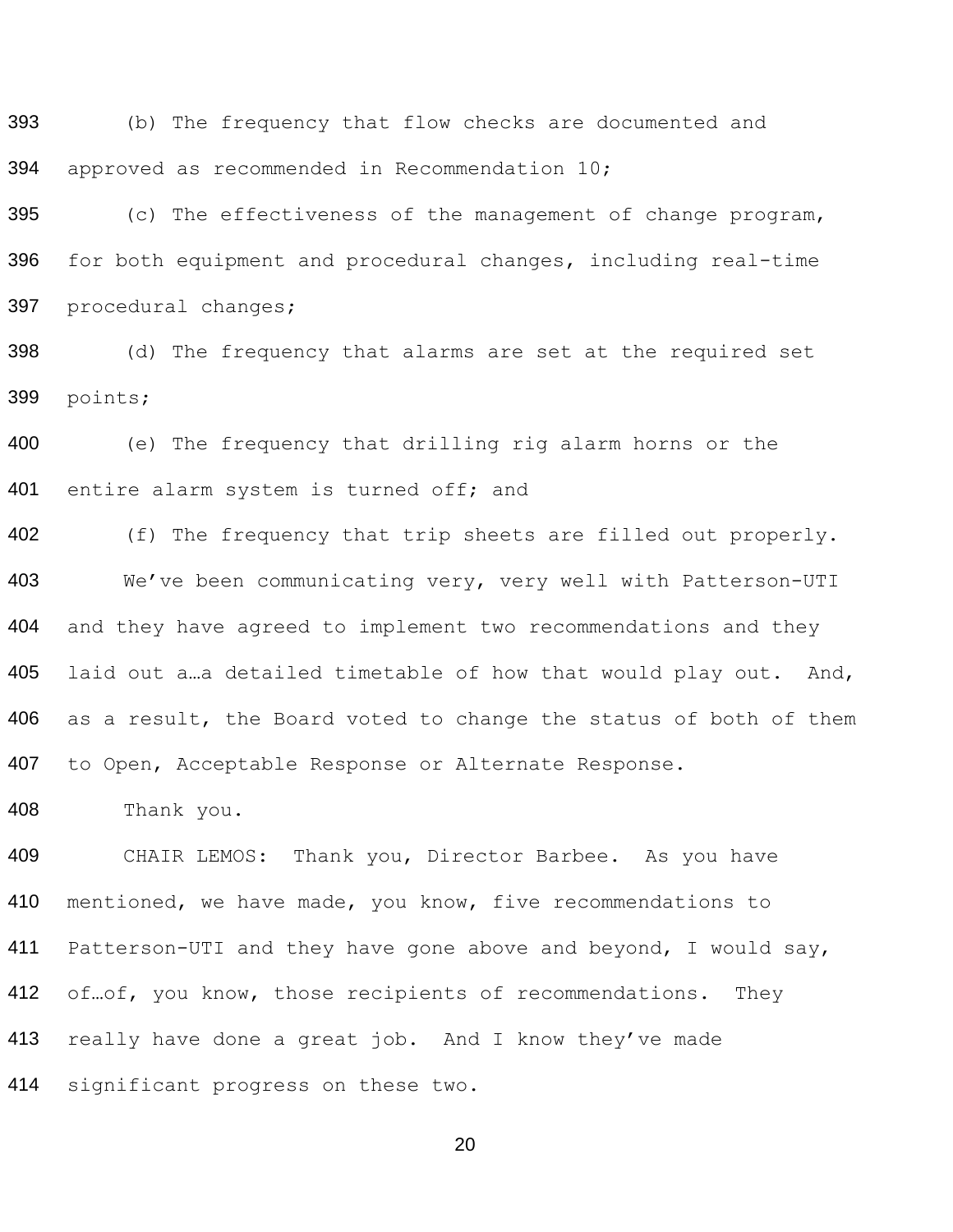(b) The frequency that flow checks are documented and approved as recommended in Recommendation 10;

 (c) The effectiveness of the management of change program, for both equipment and procedural changes, including real-time procedural changes;

 (d) The frequency that alarms are set at the required set points;

 (e) The frequency that drilling rig alarm horns or the 401 entire alarm system is turned off; and

402 (f) The frequency that trip sheets are filled out properly. We've been communicating very, very well with Patterson-UTI and they have agreed to implement two recommendations and they 405 laid out a ... a detailed timetable of how that would play out. And, as a result, the Board voted to change the status of both of them to Open, Acceptable Response or Alternate Response.

Thank you.

 CHAIR LEMOS: Thank you, Director Barbee. As you have mentioned, we have made, you know, five recommendations to 411 Patterson-UTI and they have gone above and beyond, I would say, 412 of ... of, you know, those recipients of recommendations. They 413 really have done a great job. And I know they've made significant progress on these two.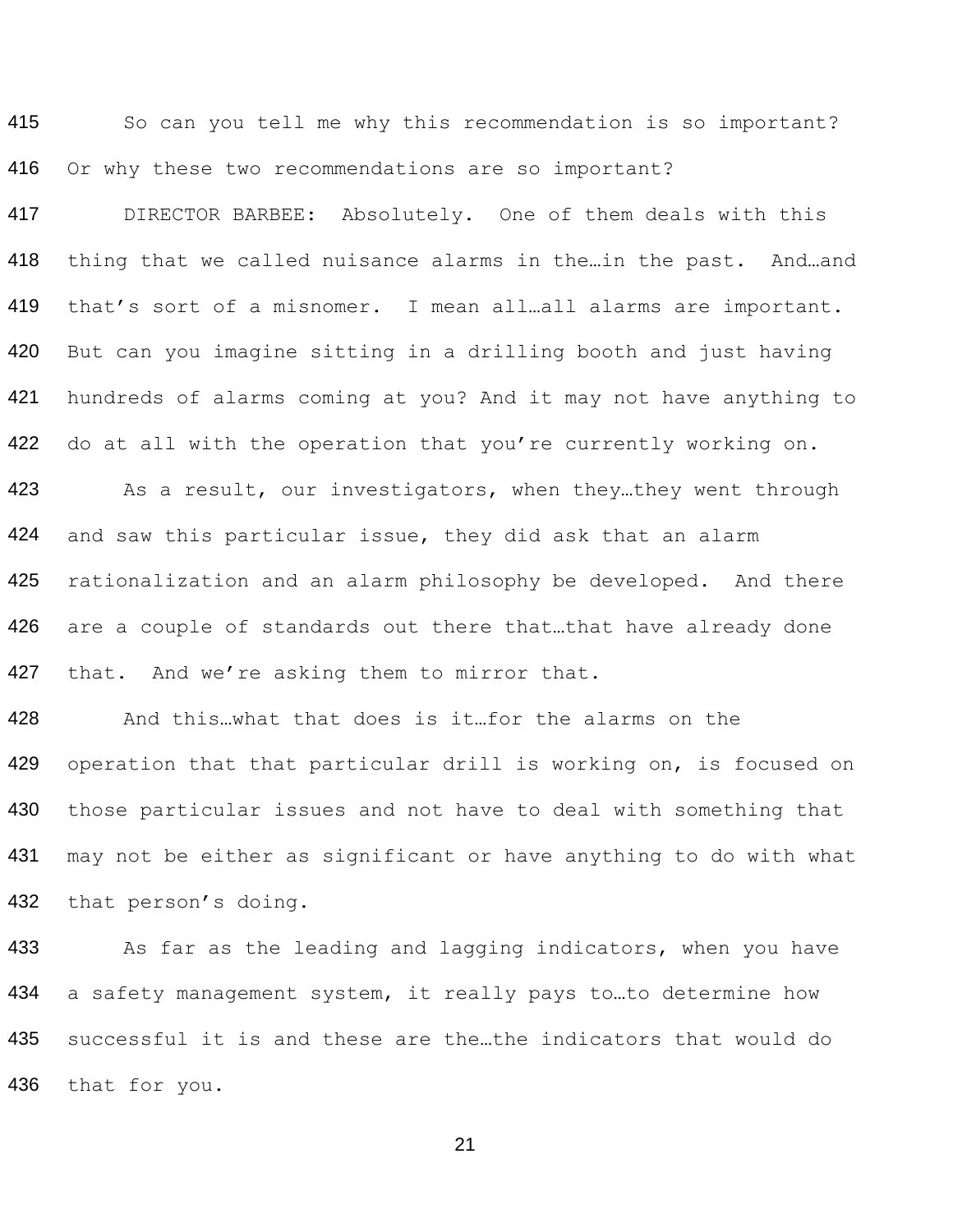415 So can you tell me why this recommendation is so important? 416 Or why these two recommendations are so important?

417 DIRECTOR BARBEE: Absolutely. One of them deals with this 418 thing that we called nuisance alarms in the…in the past. And…and 419 that's sort of a misnomer. I mean all…all alarms are important. 420 421 422 423 424 425 426 427 But can you imagine sitting in a drilling booth and just having hundreds of alarms coming at you? And it may not have anything to do at all with the operation that you're currently working on. As a result, our investigators, when they…they went through and saw this particular issue, they did ask that an alarm rationalization and an alarm philosophy be developed. And there are a couple of standards out there that…that have already done that. And we're asking them to mirror that.

428 429 430 431 432 And this…what that does is it…for the alarms on the operation that that particular drill is working on, is focused on those particular issues and not have to deal with something that may not be either as significant or have anything to do with what that person's doing.

433 434 435 As far as the leading and lagging indicators, when you have a safety management system, it really pays to…to determine how successful it is and these are the…the indicators that would do 436 that for you.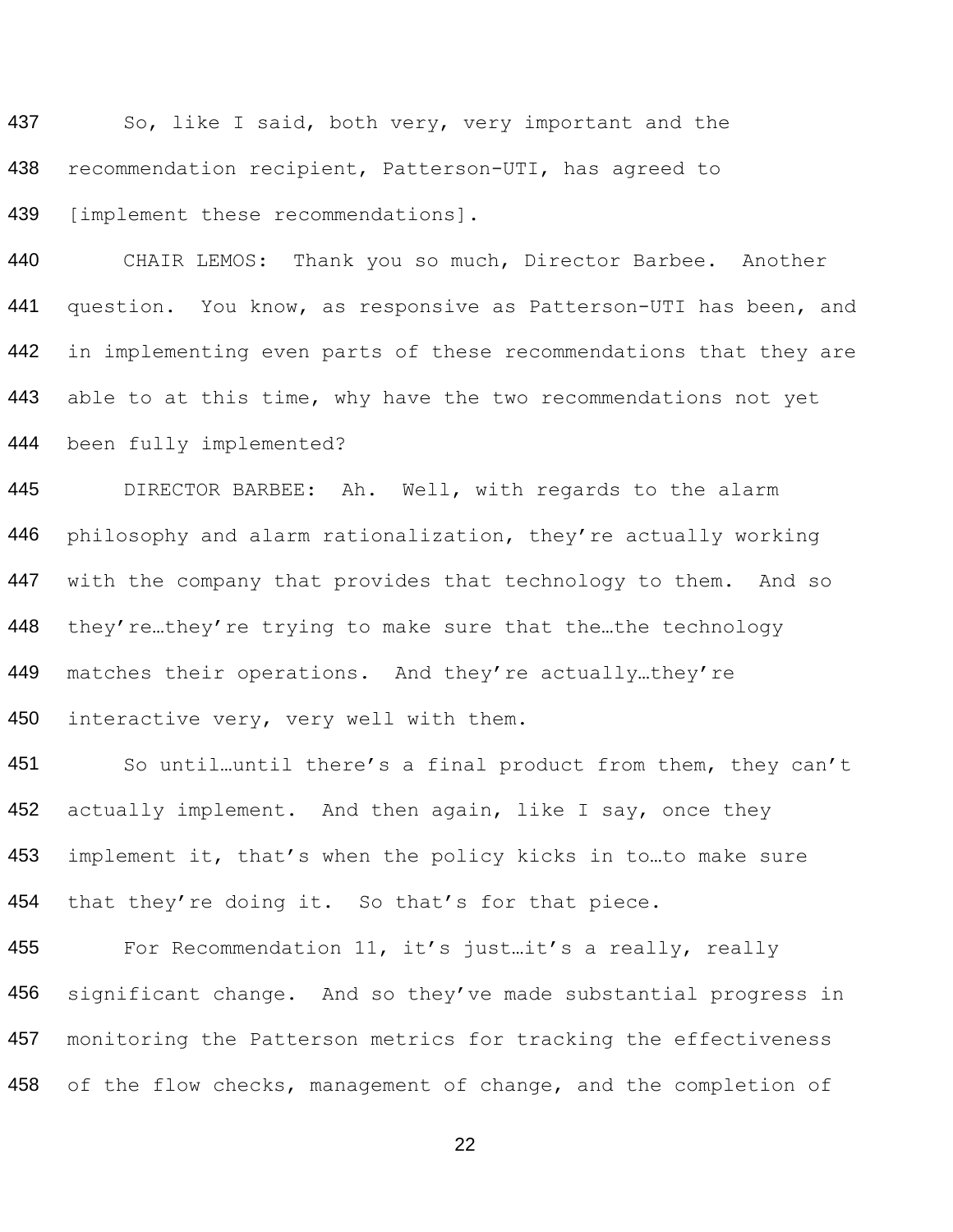437 438 439 So, like I said, both very, very important and the recommendation recipient, Patterson-UTI, has agreed to [implement these recommendations].

440 441 442 443 444 CHAIR LEMOS: Thank you so much, Director Barbee. Another question. You know, as responsive as Patterson-UTI has been, and in implementing even parts of these recommendations that they are able to at this time, why have the two recommendations not yet been fully implemented?

445 446 447 448 449 450 DIRECTOR BARBEE: Ah. Well, with regards to the alarm philosophy and alarm rationalization, they're actually working with the company that provides that technology to them. And so they're…they're trying to make sure that the…the technology matches their operations. And they're actually…they're interactive very, very well with them.

451 452 453 454 So until…until there's a final product from them, they can't actually implement. And then again, like I say, once they implement it, that's when the policy kicks in to…to make sure that they're doing it. So that's for that piece.

455 456 457 For Recommendation 11, it's just...it's a really, really significant change. And so they've made substantial progress in monitoring the Patterson metrics for tracking the effectiveness 458 of the flow checks, management of change, and the completion of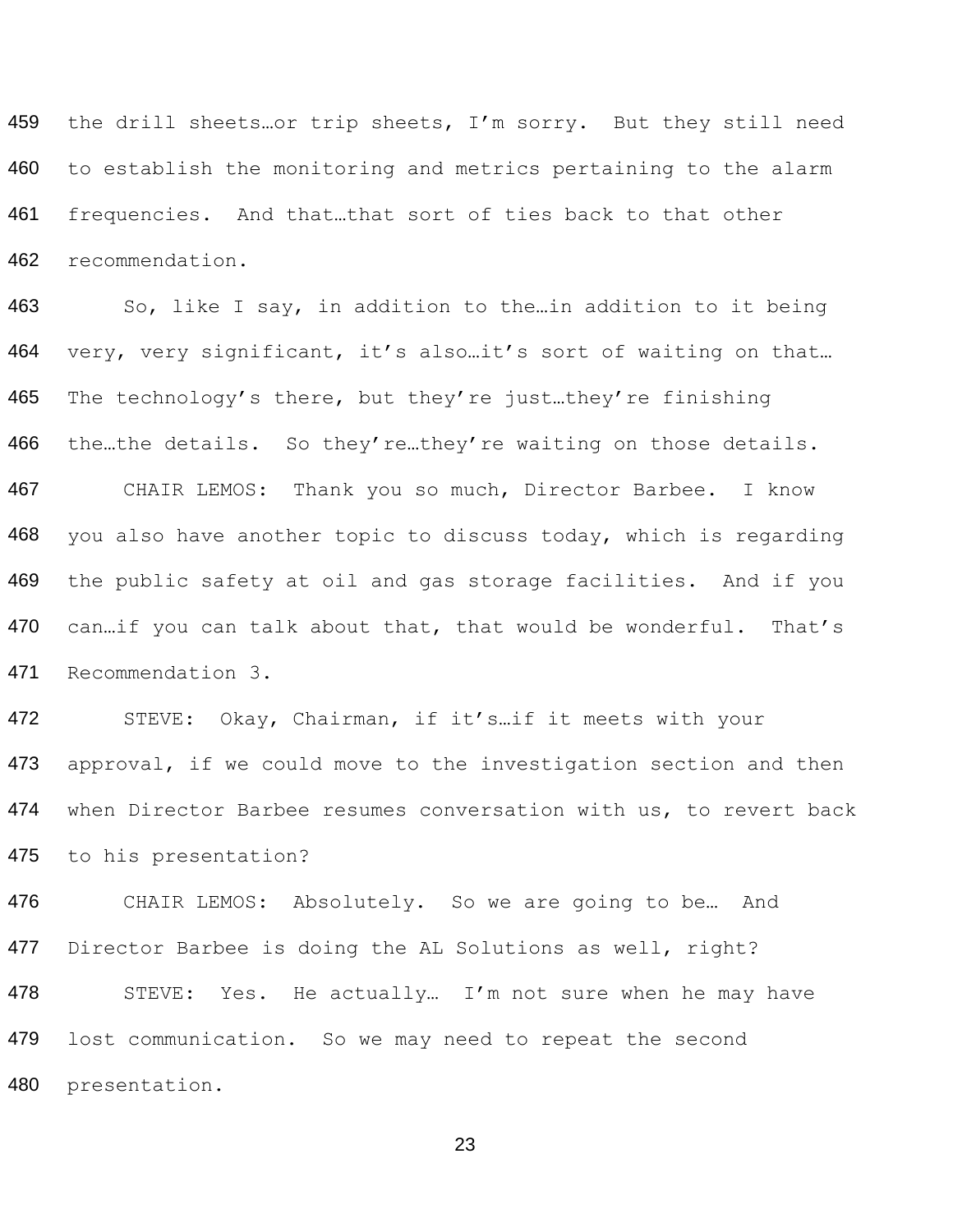459 460 461 462 the drill sheets…or trip sheets, I'm sorry. But they still need to establish the monitoring and metrics pertaining to the alarm frequencies. And that…that sort of ties back to that other recommendation.

463 464 465 466 467 468 469 470 471 So, like I say, in addition to the…in addition to it being very, very significant, it's also…it's sort of waiting on that… The technology's there, but they're just…they're finishing the…the details. So they're…they're waiting on those details. CHAIR LEMOS: Thank you so much, Director Barbee. I know you also have another topic to discuss today, which is regarding the public safety at oil and gas storage facilities. And if you can…if you can talk about that, that would be wonderful. That's Recommendation 3.

472 473 474 475 STEVE: Okay, Chairman, if it's…if it meets with your approval, if we could move to the investigation section and then when Director Barbee resumes conversation with us, to revert back to his presentation?

476 477 478 479 CHAIR LEMOS: Absolutely. So we are going to be… And Director Barbee is doing the AL Solutions as well, right? STEVE: Yes. He actually... I'm not sure when he may have lost communication. So we may need to repeat the second 480 presentation.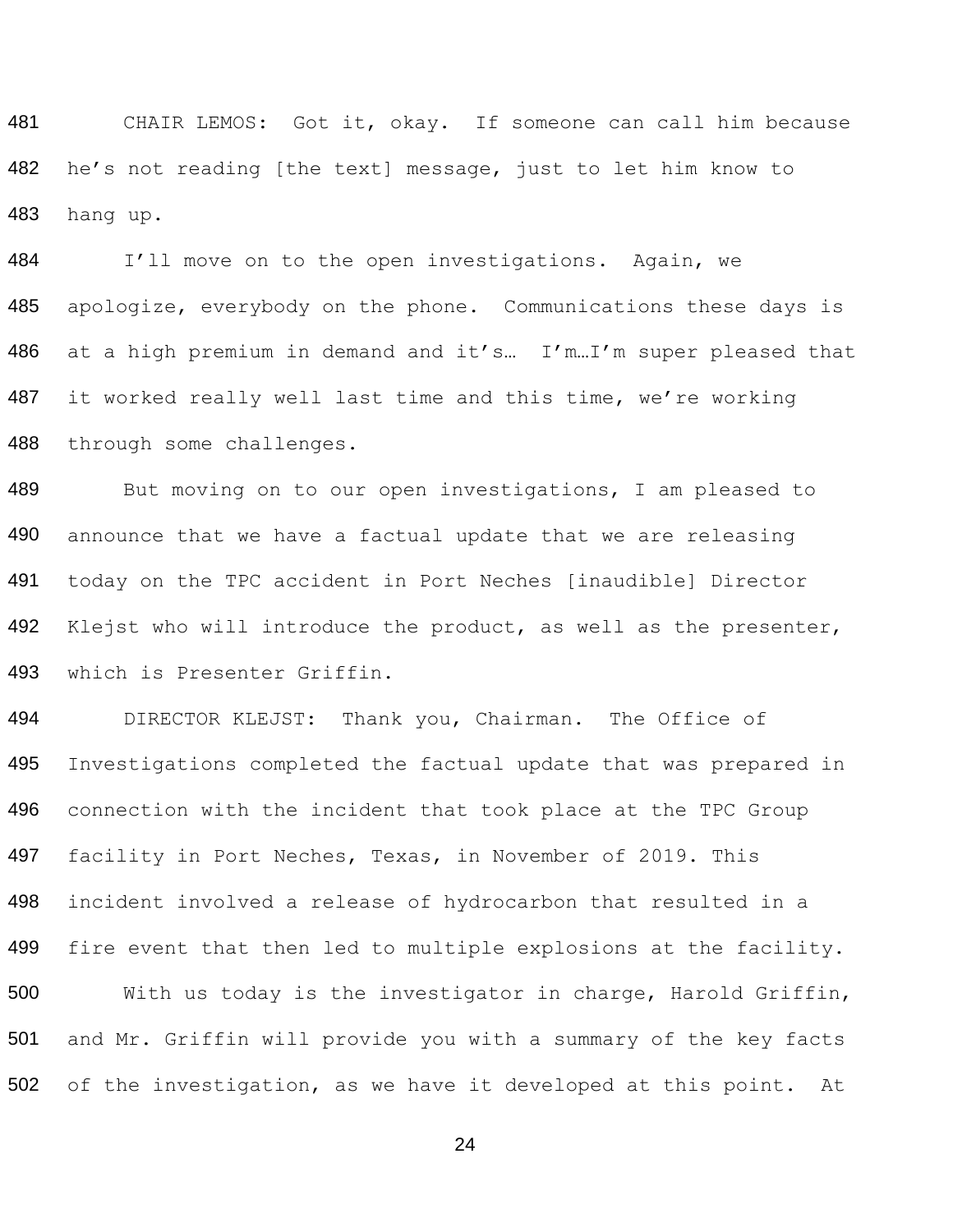481 482 CHAIR LEMOS: Got it, okay. If someone can call him because he's not reading [the text] message, just to let him know to 483 hang up.

484 I'll move on to the open investigations. Again, we 485 apologize, everybody on the phone. Communications these days is 486 at a high premium in demand and it's… I'm…I'm super pleased that 487 488 it worked really well last time and this time, we're working through some challenges.

489 490 491 492 493 But moving on to our open investigations, I am pleased to announce that we have a factual update that we are releasing today on the TPC accident in Port Neches [inaudible] Director Klejst who will introduce the product, as well as the presenter, which is Presenter Griffin.

494 495 496 497 498 499 500 501 DIRECTOR KLEJST: Thank you, Chairman. The Office of Investigations completed the factual update that was prepared in connection with the incident that took place at the TPC Group facility in Port Neches, Texas, in November of 2019. This incident involved a release of hydrocarbon that resulted in a fire event that then led to multiple explosions at the facility. With us today is the investigator in charge, Harold Griffin, and Mr. Griffin will provide you with a summary of the key facts 502 of the investigation, as we have it developed at this point. At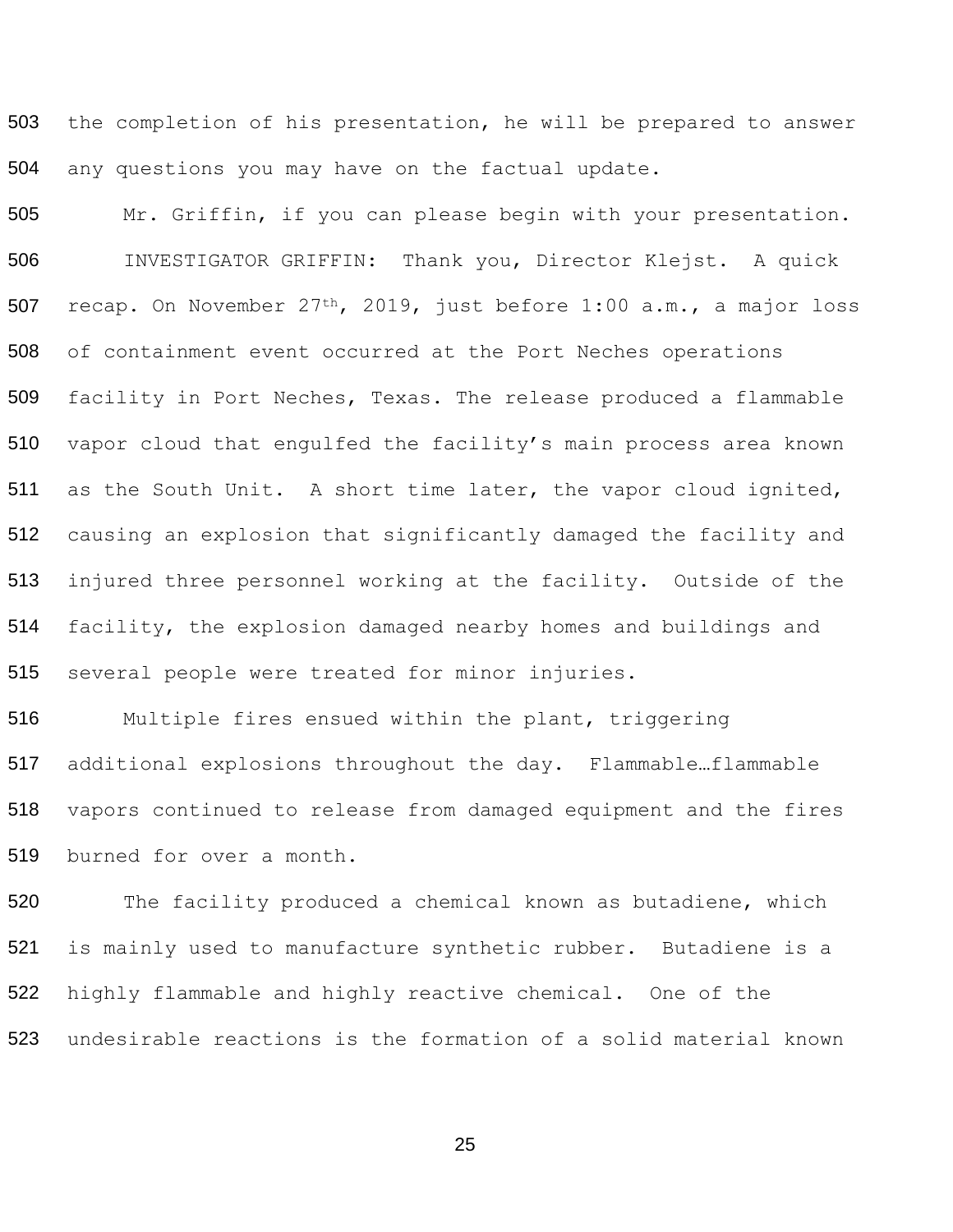the completion of his presentation, he will be prepared to answer any questions you may have on the factual update.

 Mr. Griffin, if you can please begin with your presentation. INVESTIGATOR GRIFFIN: Thank you, Director Klejst. A quick recap. On November 27th, 2019, just before 1:00 a.m., a major loss of containment event occurred at the Port Neches operations facility in Port Neches, Texas. The release produced a flammable vapor cloud that engulfed the facility's main process area known as the South Unit. A short time later, the vapor cloud ignited, causing an explosion that significantly damaged the facility and injured three personnel working at the facility. Outside of the facility, the explosion damaged nearby homes and buildings and several people were treated for minor injuries.

 Multiple fires ensued within the plant, triggering additional explosions throughout the day. Flammable…flammable vapors continued to release from damaged equipment and the fires burned for over a month.

520 The facility produced a chemical known as butadiene, which is mainly used to manufacture synthetic rubber. Butadiene is a highly flammable and highly reactive chemical. One of the undesirable reactions is the formation of a solid material known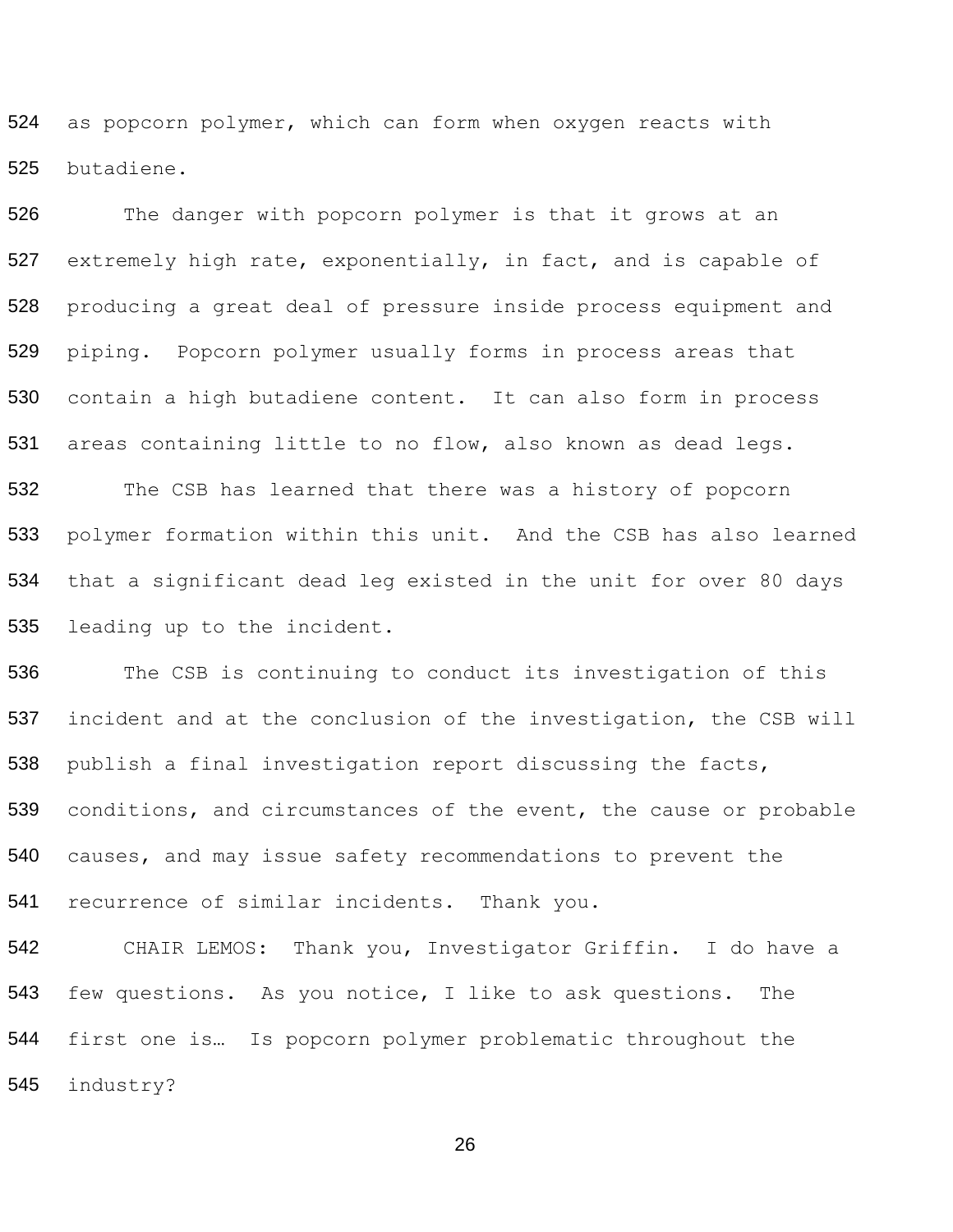as popcorn polymer, which can form when oxygen reacts with butadiene.

526 The danger with popcorn polymer is that it grows at an extremely high rate, exponentially, in fact, and is capable of producing a great deal of pressure inside process equipment and piping. Popcorn polymer usually forms in process areas that contain a high butadiene content. It can also form in process areas containing little to no flow, also known as dead legs. The CSB has learned that there was a history of popcorn polymer formation within this unit. And the CSB has also learned that a significant dead leg existed in the unit for over 80 days leading up to the incident.

536 The CSB is continuing to conduct its investigation of this incident and at the conclusion of the investigation, the CSB will publish a final investigation report discussing the facts, conditions, and circumstances of the event, the cause or probable causes, and may issue safety recommendations to prevent the recurrence of similar incidents. Thank you.

 CHAIR LEMOS: Thank you, Investigator Griffin. I do have a few questions. As you notice, I like to ask questions. The first one is… Is popcorn polymer problematic throughout the industry?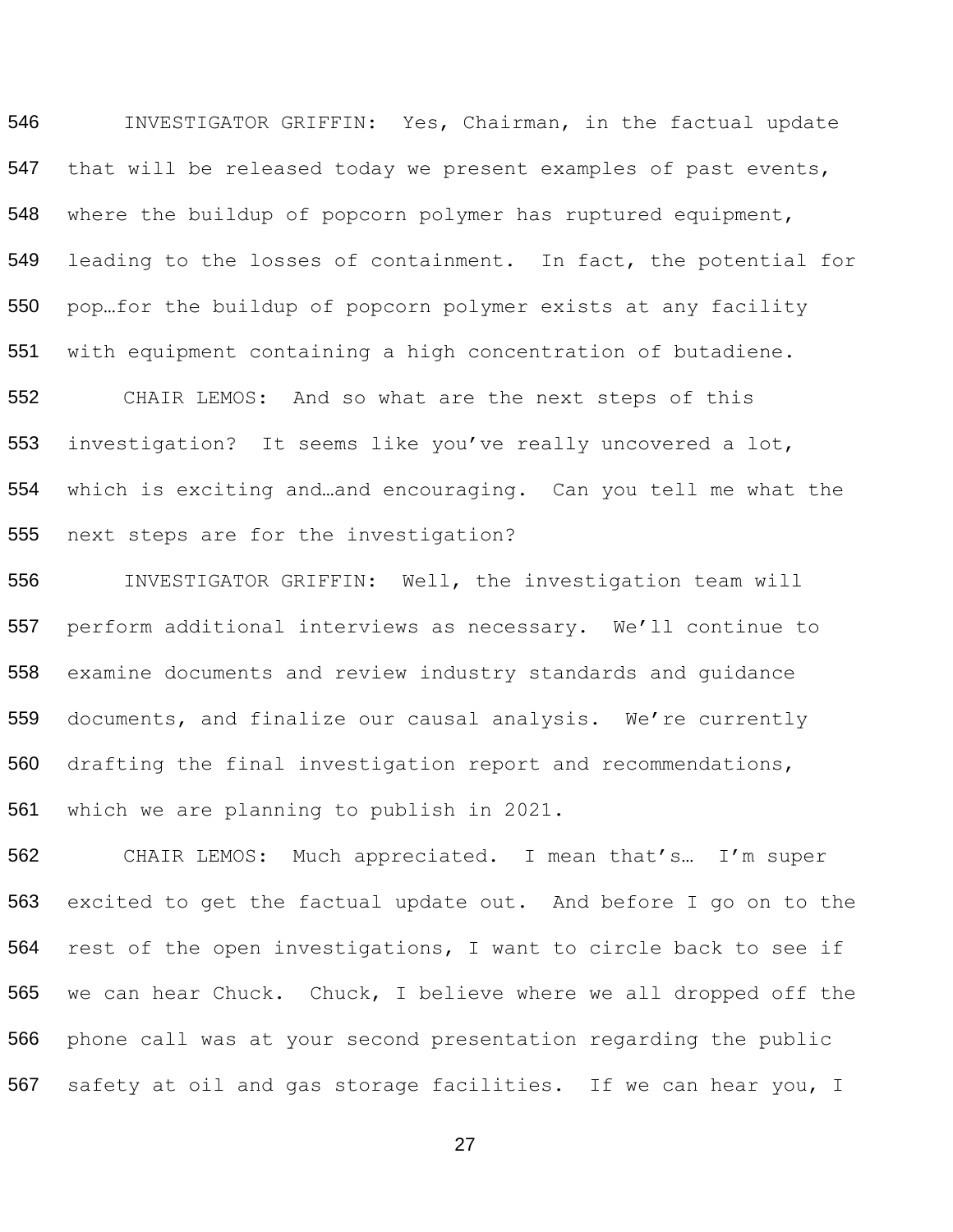INVESTIGATOR GRIFFIN: Yes, Chairman, in the factual update that will be released today we present examples of past events, where the buildup of popcorn polymer has ruptured equipment, 549 leading to the losses of containment. In fact, the potential for pop…for the buildup of popcorn polymer exists at any facility with equipment containing a high concentration of butadiene. CHAIR LEMOS: And so what are the next steps of this

 investigation? It seems like you've really uncovered a lot, which is exciting and…and encouraging. Can you tell me what the next steps are for the investigation?

 INVESTIGATOR GRIFFIN: Well, the investigation team will perform additional interviews as necessary. We'll continue to examine documents and review industry standards and guidance documents, and finalize our causal analysis. We're currently drafting the final investigation report and recommendations, which we are planning to publish in 2021.

 CHAIR LEMOS: Much appreciated. I mean that's… I'm super excited to get the factual update out. And before I go on to the rest of the open investigations, I want to circle back to see if we can hear Chuck. Chuck, I believe where we all dropped off the phone call was at your second presentation regarding the public safety at oil and gas storage facilities. If we can hear you, I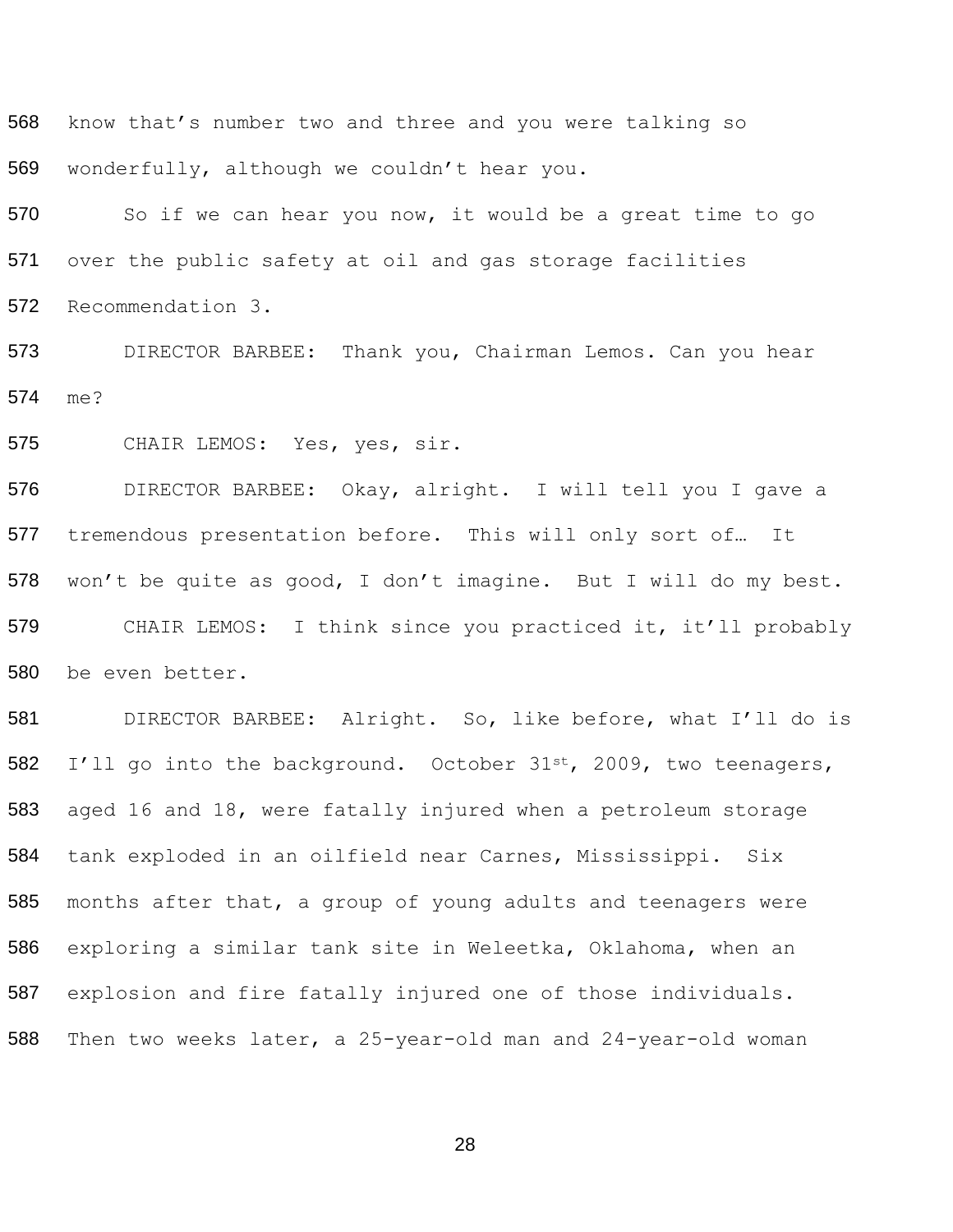know that's number two and three and you were talking so wonderfully, although we couldn't hear you.

570 So if we can hear you now, it would be a great time to go over the public safety at oil and gas storage facilities Recommendation 3.

 DIRECTOR BARBEE: Thank you, Chairman Lemos. Can you hear me?

CHAIR LEMOS: Yes, yes, sir.

 DIRECTOR BARBEE: Okay, alright. I will tell you I gave a tremendous presentation before. This will only sort of… It won't be quite as good, I don't imagine. But I will do my best. CHAIR LEMOS: I think since you practiced it, it'll probably be even better.

 DIRECTOR BARBEE: Alright. So, like before, what I'll do is 582 I'll go into the background. October 31<sup>st</sup>, 2009, two teenagers, aged 16 and 18, were fatally injured when a petroleum storage tank exploded in an oilfield near Carnes, Mississippi. Six months after that, a group of young adults and teenagers were exploring a similar tank site in Weleetka, Oklahoma, when an explosion and fire fatally injured one of those individuals. Then two weeks later, a 25-year-old man and 24-year-old woman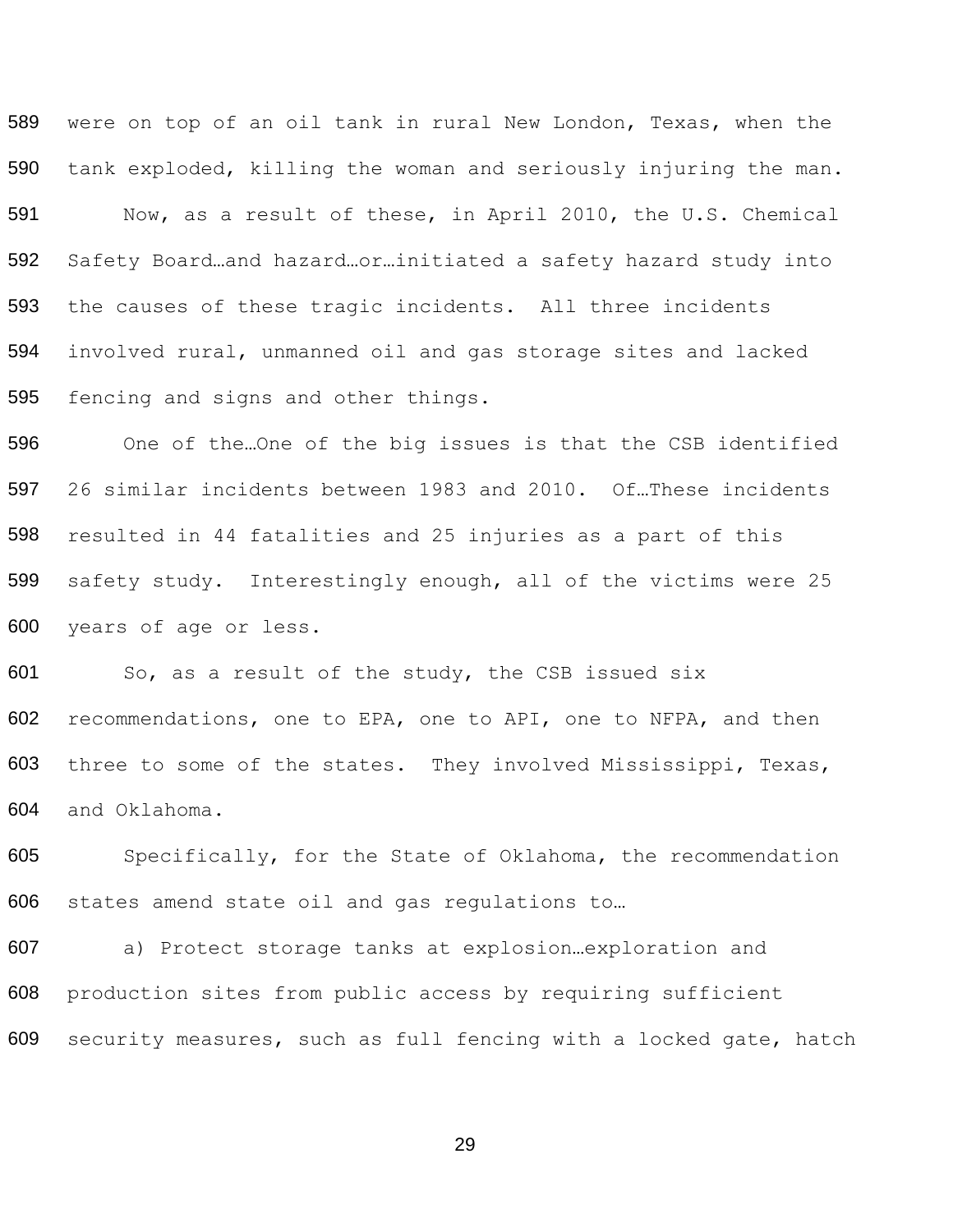589 590 591 592 593 594 595 were on top of an oil tank in rural New London, Texas, when the tank exploded, killing the woman and seriously injuring the man. Now, as a result of these, in April 2010, the U.S. Chemical Safety Board…and hazard…or…initiated a safety hazard study into the causes of these tragic incidents. All three incidents involved rural, unmanned oil and gas storage sites and lacked fencing and signs and other things.

596 597 598 599 600 One of the…One of the big issues is that the CSB identified 26 similar incidents between 1983 and 2010. Of…These incidents resulted in 44 fatalities and 25 injuries as a part of this safety study. Interestingly enough, all of the victims were 25 years of age or less.

601 602 603 604 So, as a result of the study, the CSB issued six recommendations, one to EPA, one to API, one to NFPA, and then three to some of the states. They involved Mississippi, Texas, and Oklahoma.

605 Specifically, for the State of Oklahoma, the recommendation 606 states amend state oil and gas regulations to…

607 a) Protect storage tanks at explosion…exploration and 608 production sites from public access by requiring sufficient 609 security measures, such as full fencing with a locked gate, hatch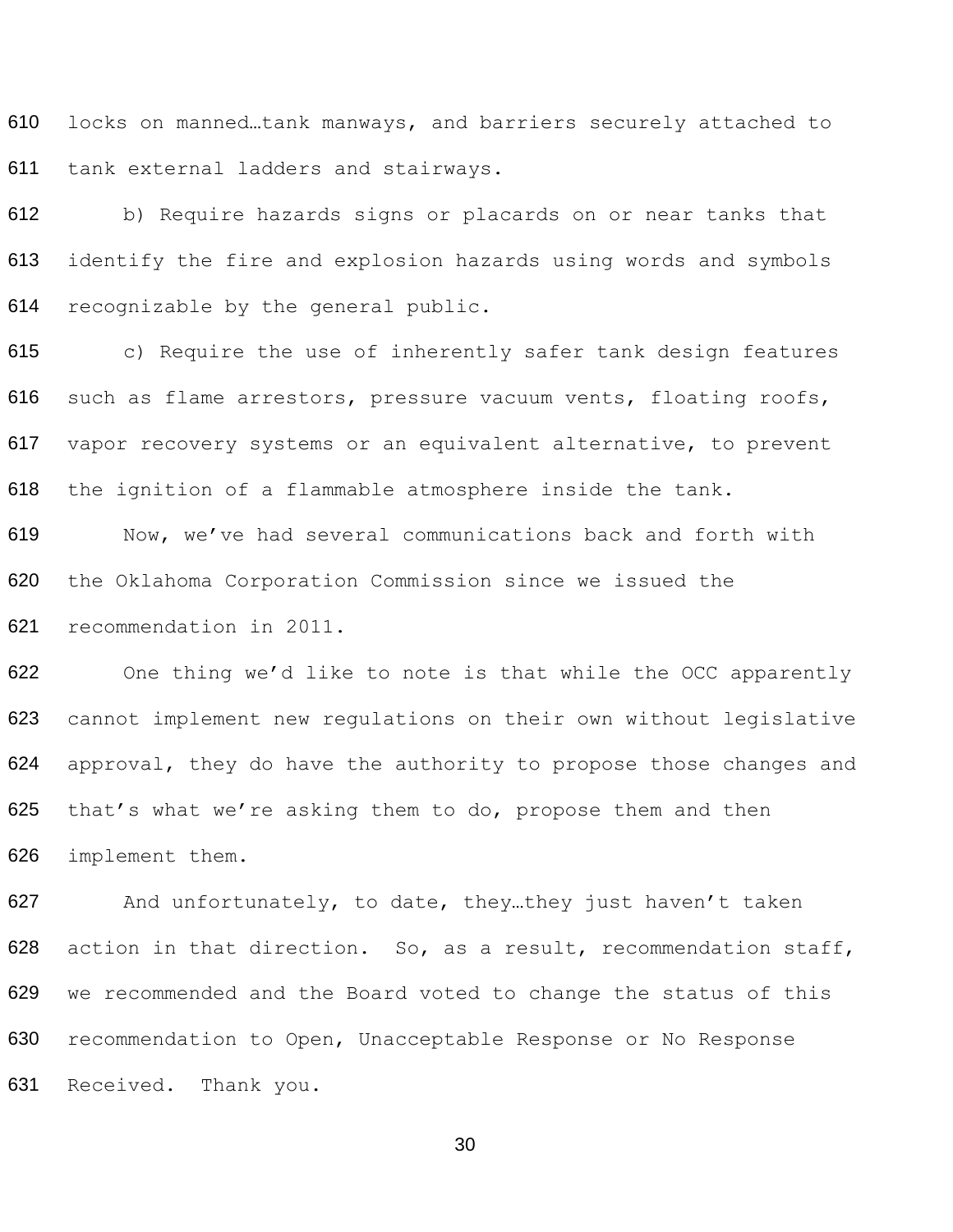locks on manned…tank manways, and barriers securely attached to tank external ladders and stairways.

 b) Require hazards signs or placards on or near tanks that identify the fire and explosion hazards using words and symbols recognizable by the general public.

 c) Require the use of inherently safer tank design features such as flame arrestors, pressure vacuum vents, floating roofs, vapor recovery systems or an equivalent alternative, to prevent the ignition of a flammable atmosphere inside the tank.

 Now, we've had several communications back and forth with the Oklahoma Corporation Commission since we issued the recommendation in 2011.

 One thing we'd like to note is that while the OCC apparently cannot implement new regulations on their own without legislative 624 approval, they do have the authority to propose those changes and that's what we're asking them to do, propose them and then implement them.

627 And unfortunately, to date, they...they just haven't taken 628 action in that direction. So, as a result, recommendation staff, we recommended and the Board voted to change the status of this recommendation to Open, Unacceptable Response or No Response Received. Thank you.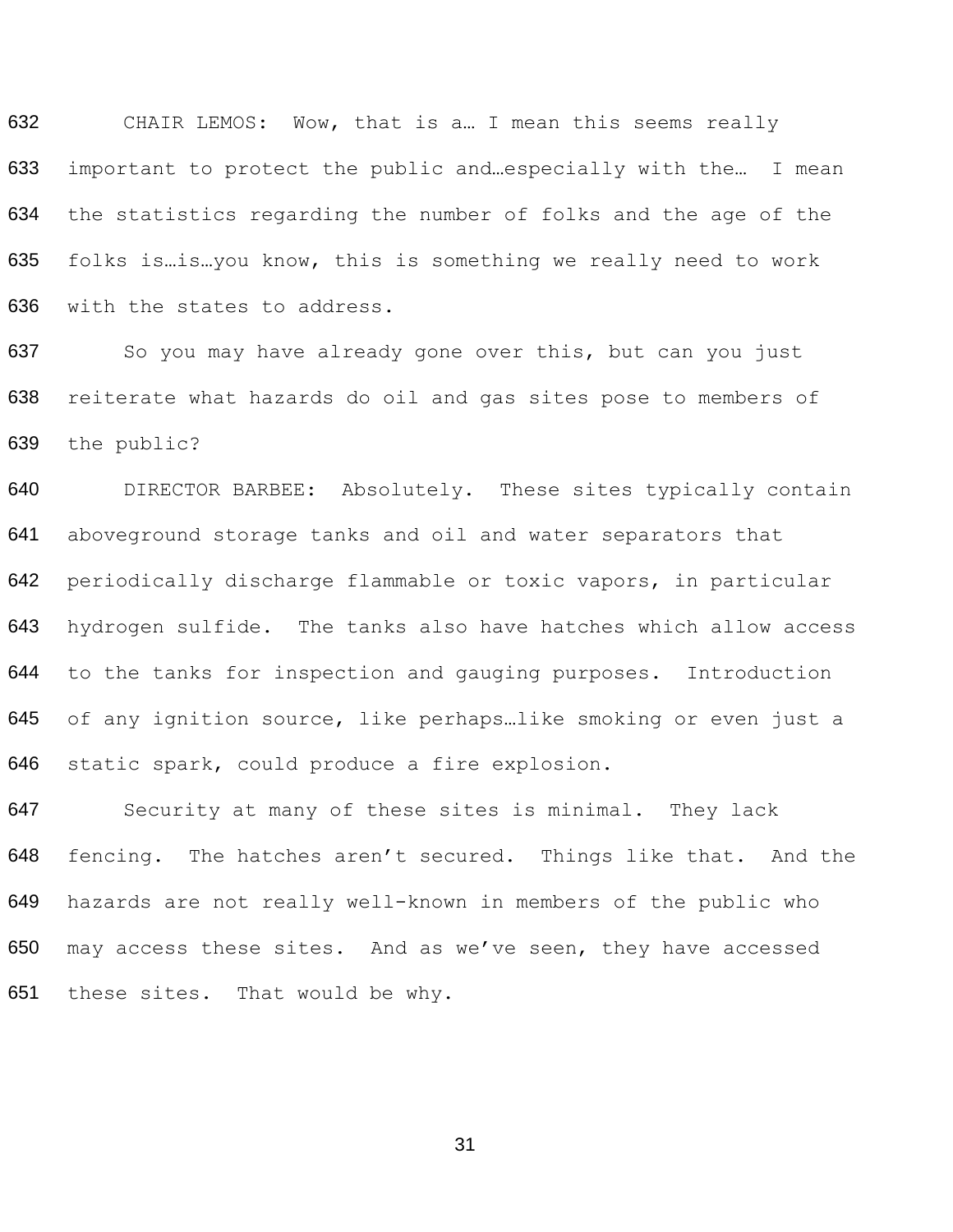CHAIR LEMOS: Wow, that is a… I mean this seems really important to protect the public and…especially with the… I mean the statistics regarding the number of folks and the age of the folks is…is…you know, this is something we really need to work with the states to address.

637 So you may have already gone over this, but can you just reiterate what hazards do oil and gas sites pose to members of the public?

 DIRECTOR BARBEE: Absolutely. These sites typically contain aboveground storage tanks and oil and water separators that periodically discharge flammable or toxic vapors, in particular hydrogen sulfide. The tanks also have hatches which allow access to the tanks for inspection and gauging purposes. Introduction of any ignition source, like perhaps…like smoking or even just a static spark, could produce a fire explosion.

 Security at many of these sites is minimal. They lack fencing. The hatches aren't secured. Things like that. And the hazards are not really well-known in members of the public who may access these sites. And as we've seen, they have accessed these sites. That would be why.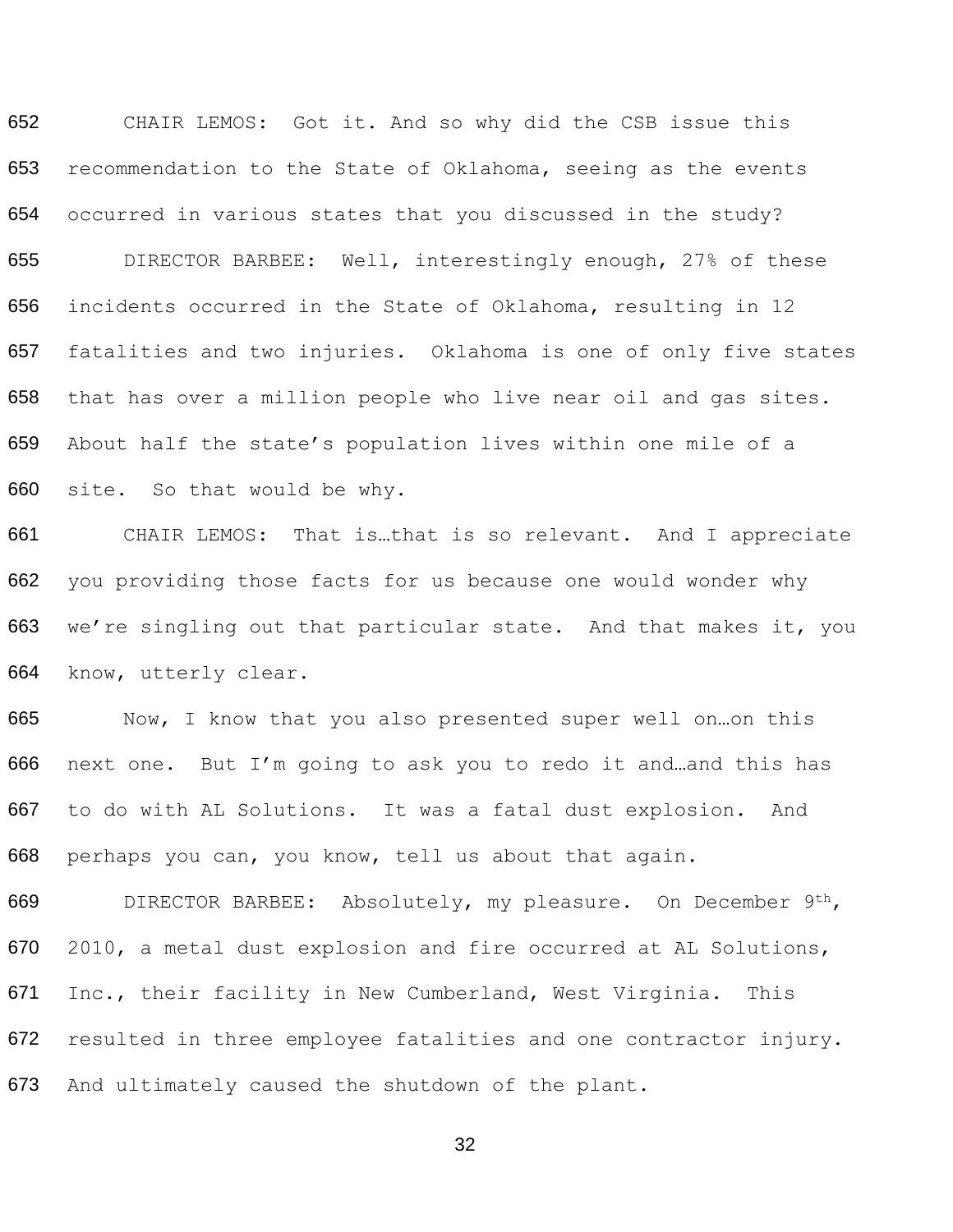CHAIR LEMOS: Got it. And so why did the CSB issue this recommendation to the State of Oklahoma, seeing as the events occurred in various states that you discussed in the study?

 DIRECTOR BARBEE: Well, interestingly enough, 27% of these incidents occurred in the State of Oklahoma, resulting in 12 fatalities and two injuries. Oklahoma is one of only five states that has over a million people who live near oil and gas sites. About half the state's population lives within one mile of a site. So that would be why.

 CHAIR LEMOS: That is…that is so relevant. And I appreciate you providing those facts for us because one would wonder why we're singling out that particular state. And that makes it, you know, utterly clear.

 Now, I know that you also presented super well on…on this next one. But I'm going to ask you to redo it and…and this has to do with AL Solutions. It was a fatal dust explosion. And perhaps you can, you know, tell us about that again.

 DIRECTOR BARBEE: Absolutely, my pleasure. On December 9th, 2010, a metal dust explosion and fire occurred at AL Solutions, Inc., their facility in New Cumberland, West Virginia. This resulted in three employee fatalities and one contractor injury. And ultimately caused the shutdown of the plant.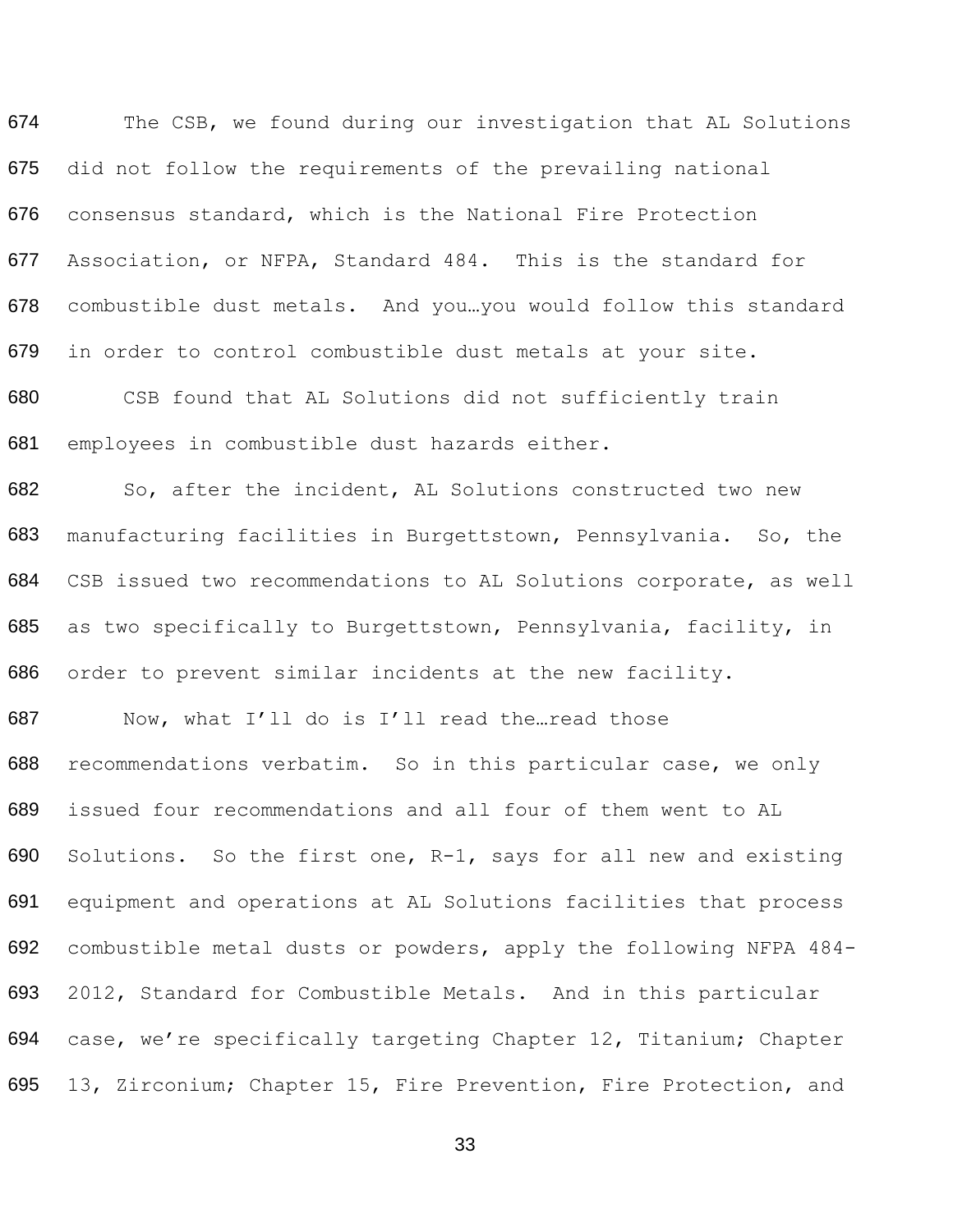674 675 676 677 678 679 680 681 The CSB, we found during our investigation that AL Solutions did not follow the requirements of the prevailing national consensus standard, which is the National Fire Protection Association, or NFPA, Standard 484. This is the standard for combustible dust metals. And you…you would follow this standard in order to control combustible dust metals at your site. CSB found that AL Solutions did not sufficiently train employees in combustible dust hazards either.

682 683 684 685 686 So, after the incident, AL Solutions constructed two new manufacturing facilities in Burgettstown, Pennsylvania. So, the CSB issued two recommendations to AL Solutions corporate, as well as two specifically to Burgettstown, Pennsylvania, facility, in order to prevent similar incidents at the new facility.

687 688 689 690 691 692 693 694 Now, what I'll do is I'll read the…read those recommendations verbatim. So in this particular case, we only issued four recommendations and all four of them went to AL Solutions. So the first one, R-1, says for all new and existing equipment and operations at AL Solutions facilities that process combustible metal dusts or powders, apply the following NFPA 484- 2012, Standard for Combustible Metals. And in this particular case, we're specifically targeting Chapter 12, Titanium; Chapter 695 13, Zirconium; Chapter 15, Fire Prevention, Fire Protection, and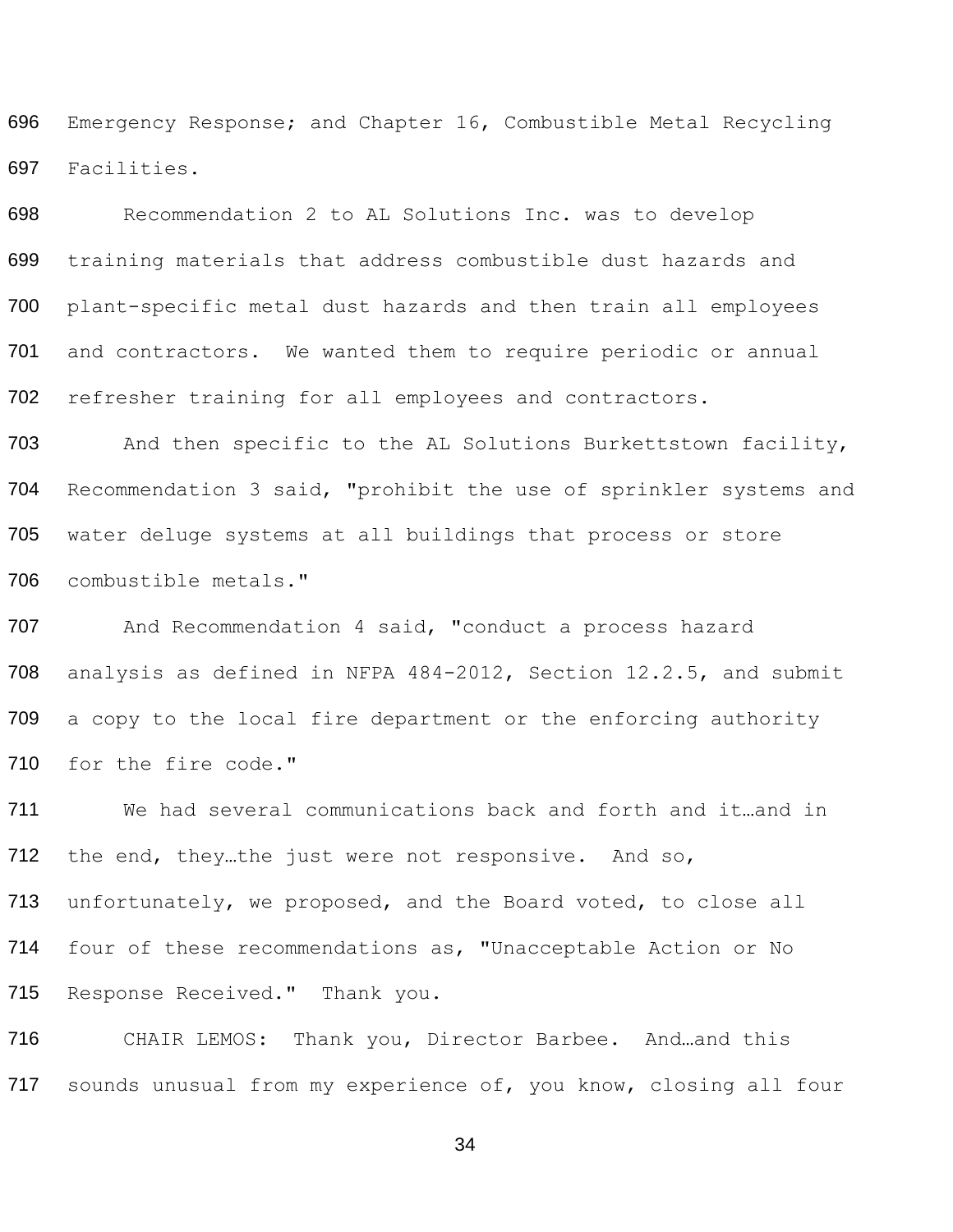696 697 Emergency Response; and Chapter 16, Combustible Metal Recycling Facilities.

698 699 700 701 702 Recommendation 2 to AL Solutions Inc. was to develop training materials that address combustible dust hazards and plant-specific metal dust hazards and then train all employees and contractors. We wanted them to require periodic or annual refresher training for all employees and contractors.

703 704 705 706 And then specific to the AL Solutions Burkettstown facility, Recommendation 3 said, "prohibit the use of sprinkler systems and water deluge systems at all buildings that process or store combustible metals."

707 708 709 710 And Recommendation 4 said, "conduct a process hazard analysis as defined in NFPA 484-2012, Section 12.2.5, and submit a copy to the local fire department or the enforcing authority for the fire code."

711 712 713 714 715 We had several communications back and forth and it…and in the end, they…the just were not responsive. And so, unfortunately, we proposed, and the Board voted, to close all four of these recommendations as, "Unacceptable Action or No Response Received." Thank you.

716 CHAIR LEMOS: Thank you, Director Barbee. And…and this 717 sounds unusual from my experience of, you know, closing all four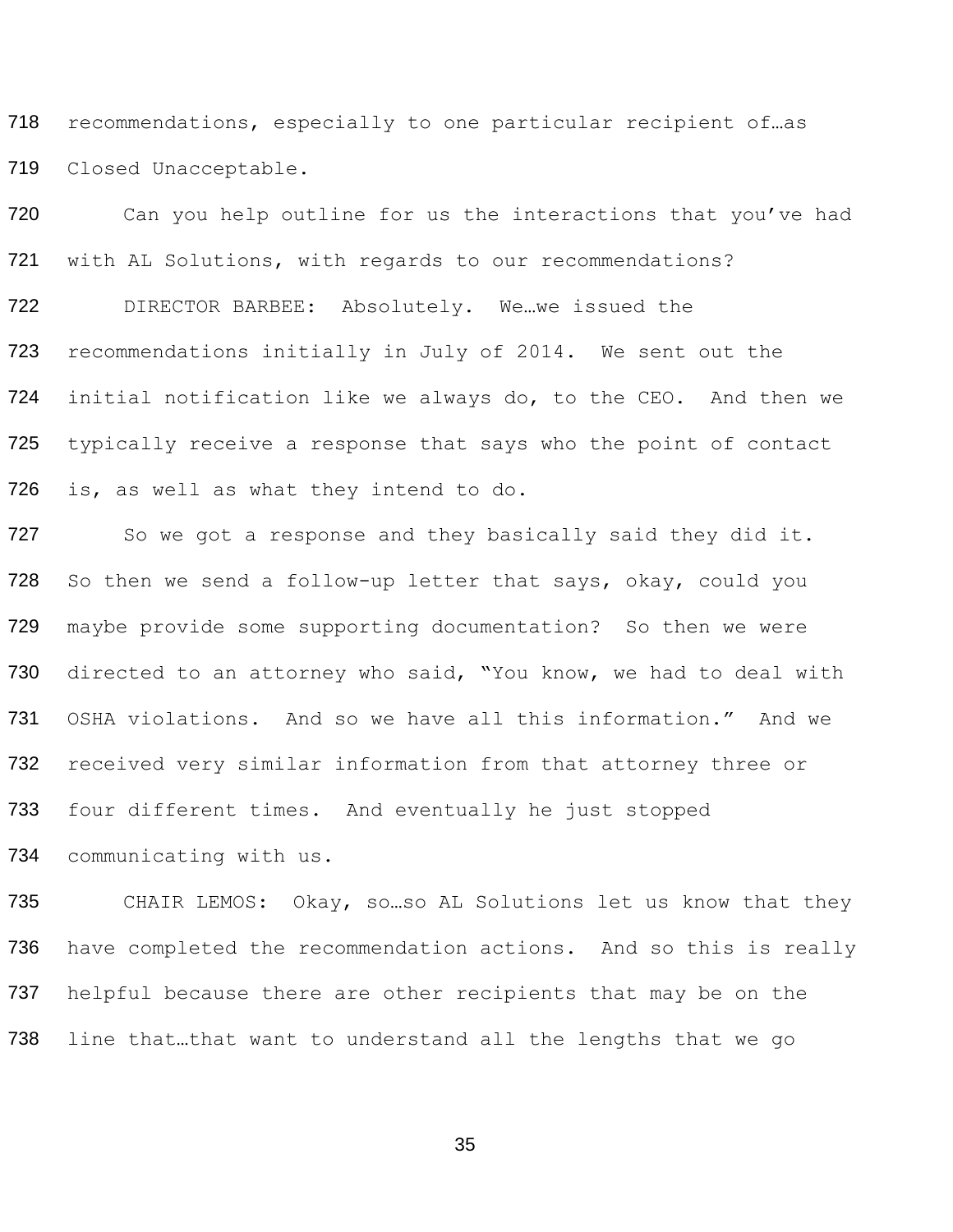recommendations, especially to one particular recipient of…as Closed Unacceptable.

720 Can you help outline for us the interactions that you've had with AL Solutions, with regards to our recommendations? DIRECTOR BARBEE: Absolutely. We…we issued the recommendations initially in July of 2014. We sent out the initial notification like we always do, to the CEO. And then we typically receive a response that says who the point of contact is, as well as what they intend to do.

727 So we got a response and they basically said they did it. So then we send a follow-up letter that says, okay, could you maybe provide some supporting documentation? So then we were 730 directed to an attorney who said, "You know, we had to deal with OSHA violations. And so we have all this information." And we received very similar information from that attorney three or four different times. And eventually he just stopped communicating with us.

 CHAIR LEMOS: Okay, so…so AL Solutions let us know that they 736 have completed the recommendation actions. And so this is really 737 helpful because there are other recipients that may be on the line that…that want to understand all the lengths that we go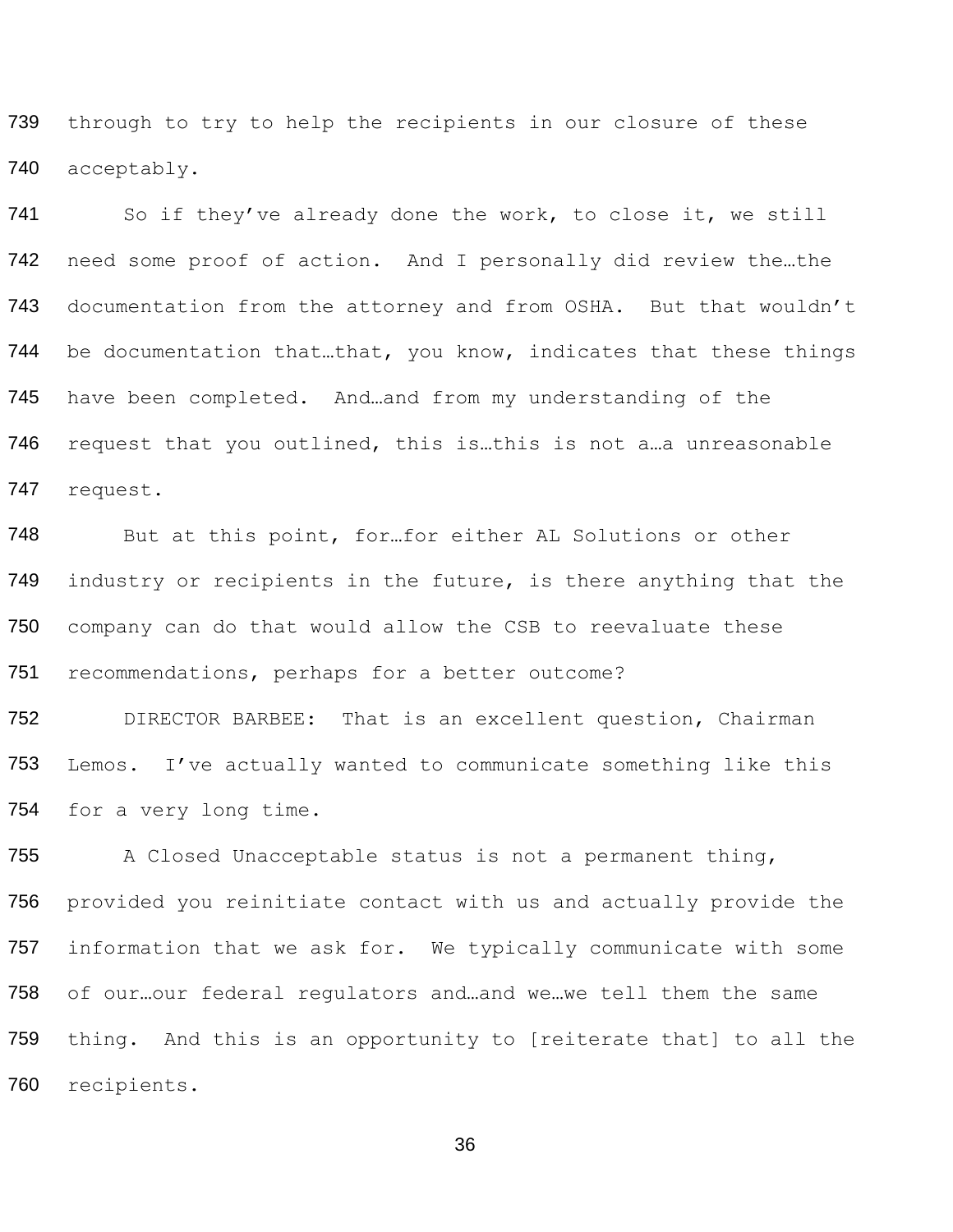739 740 through to try to help the recipients in our closure of these acceptably.

741 742 743 744 745 746 747 So if they've already done the work, to close it, we still need some proof of action. And I personally did review the…the documentation from the attorney and from OSHA. But that wouldn't be documentation that…that, you know, indicates that these things have been completed. And…and from my understanding of the request that you outlined, this is…this is not a…a unreasonable request.

748 749 750 751 But at this point, for…for either AL Solutions or other industry or recipients in the future, is there anything that the company can do that would allow the CSB to reevaluate these recommendations, perhaps for a better outcome?

752 753 754 DIRECTOR BARBEE: That is an excellent question, Chairman Lemos. I've actually wanted to communicate something like this for a very long time.

755 756 757 758 759 A Closed Unacceptable status is not a permanent thing, provided you reinitiate contact with us and actually provide the information that we ask for. We typically communicate with some of our…our federal regulators and…and we…we tell them the same thing. And this is an opportunity to [reiterate that] to all the 760 recipients.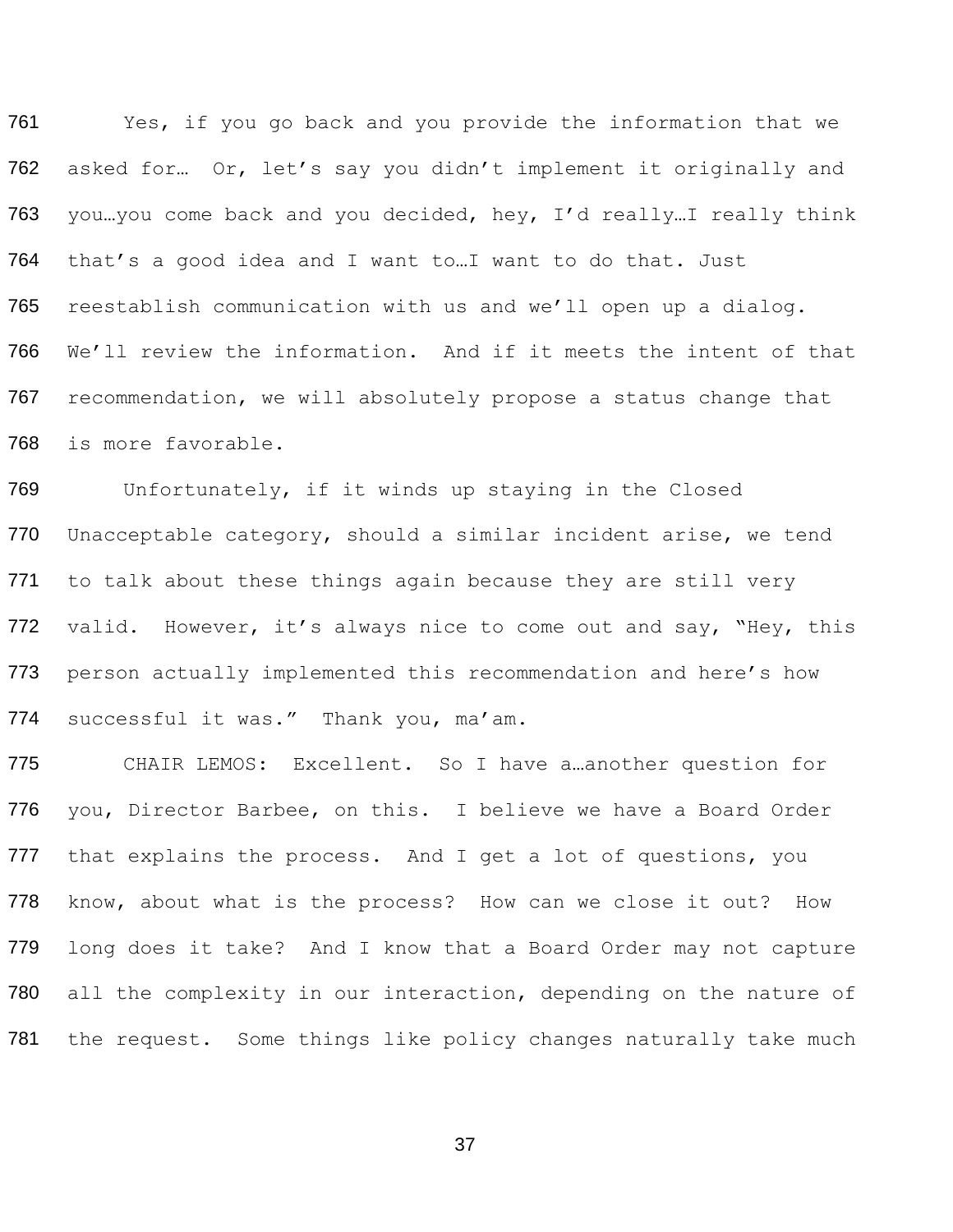Yes, if you go back and you provide the information that we asked for… Or, let's say you didn't implement it originally and you…you come back and you decided, hey, I'd really…I really think that's a good idea and I want to…I want to do that. Just reestablish communication with us and we'll open up a dialog. We'll review the information. And if it meets the intent of that recommendation, we will absolutely propose a status change that is more favorable.

 Unfortunately, if it winds up staying in the Closed Unacceptable category, should a similar incident arise, we tend 771 to talk about these things again because they are still very 772 valid. However, it's always nice to come out and say, "Hey, this person actually implemented this recommendation and here's how 774 successful it was." Thank you, ma'am.

 CHAIR LEMOS: Excellent. So I have a…another question for you, Director Barbee, on this. I believe we have a Board Order 777 that explains the process. And I get a lot of questions, you know, about what is the process? How can we close it out? How long does it take? And I know that a Board Order may not capture 780 all the complexity in our interaction, depending on the nature of 781 the request. Some things like policy changes naturally take much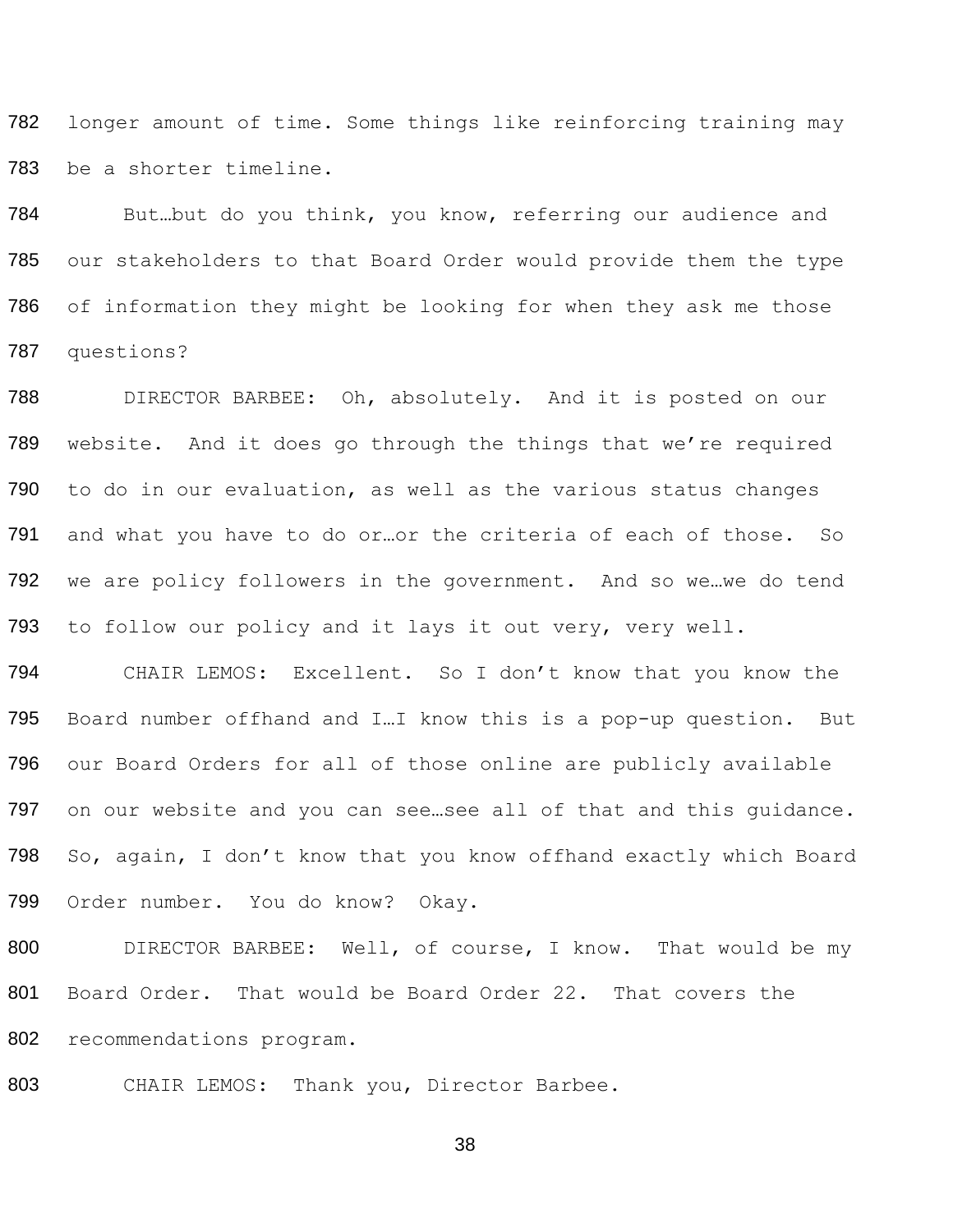longer amount of time. Some things like reinforcing training may be a shorter timeline.

 But…but do you think, you know, referring our audience and our stakeholders to that Board Order would provide them the type of information they might be looking for when they ask me those questions?

 DIRECTOR BARBEE: Oh, absolutely. And it is posted on our website. And it does go through the things that we're required to do in our evaluation, as well as the various status changes and what you have to do or…or the criteria of each of those. So we are policy followers in the government. And so we…we do tend to follow our policy and it lays it out very, very well.

 CHAIR LEMOS: Excellent. So I don't know that you know the Board number offhand and I…I know this is a pop-up question. But our Board Orders for all of those online are publicly available 797 on our website and you can see...see all of that and this guidance. So, again, I don't know that you know offhand exactly which Board Order number. You do know? Okay.

 DIRECTOR BARBEE: Well, of course, I know. That would be my Board Order. That would be Board Order 22. That covers the recommendations program.

803 CHAIR LEMOS: Thank you, Director Barbee.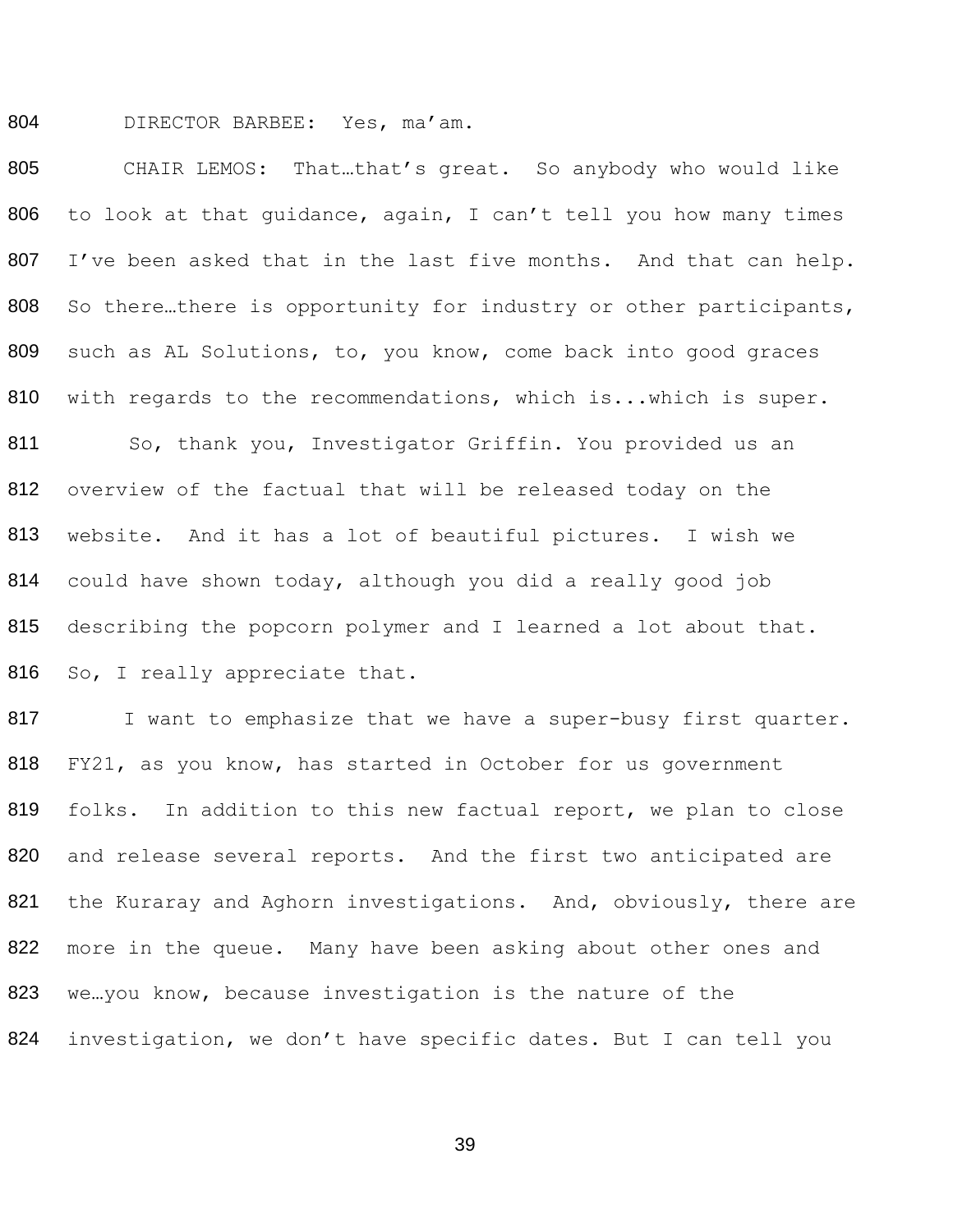804 DIRECTOR BARBEE: Yes, ma'am.

805 806 807 808 809 810 811 812 813 814 815 816 CHAIR LEMOS: That…that's great. So anybody who would like to look at that guidance, again, I can't tell you how many times I've been asked that in the last five months. And that can help. So there…there is opportunity for industry or other participants, such as AL Solutions, to, you know, come back into good graces with regards to the recommendations, which is...which is super. So, thank you, Investigator Griffin. You provided us an overview of the factual that will be released today on the website. And it has a lot of beautiful pictures. I wish we could have shown today, although you did a really good job describing the popcorn polymer and I learned a lot about that. So, I really appreciate that.

817 I want to emphasize that we have a super-busy first quarter. 818 FY21, as you know, has started in October for us government 819 folks. In addition to this new factual report, we plan to close 820 and release several reports. And the first two anticipated are 821 the Kuraray and Aghorn investigations. And, obviously, there are 822 more in the queue. Many have been asking about other ones and 823 we. you know, because investigation is the nature of the 824 investigation, we don't have specific dates. But I can tell you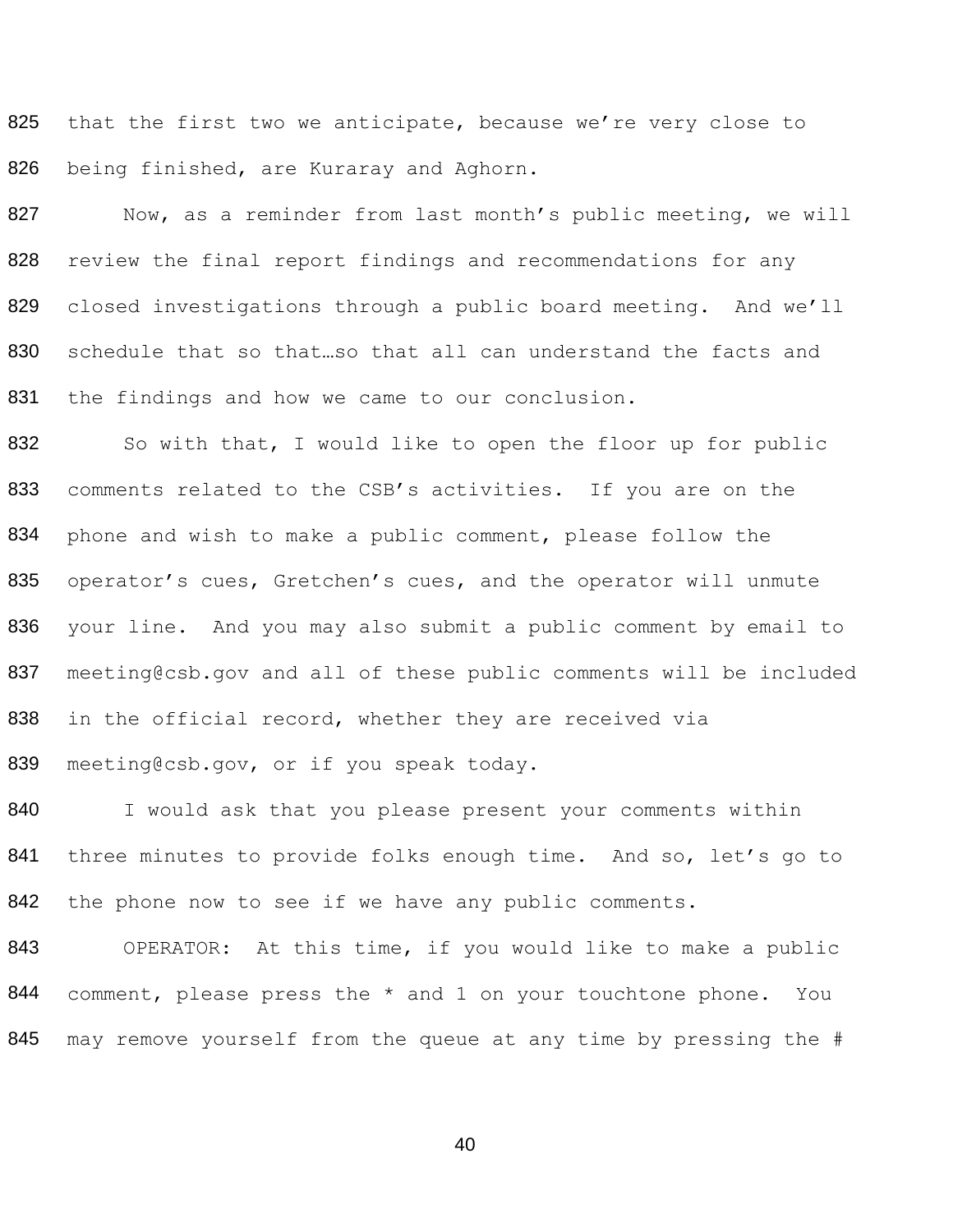825 826 that the first two we anticipate, because we're very close to being finished, are Kuraray and Aghorn.

827 828 829 830 831 Now, as a reminder from last month's public meeting, we will review the final report findings and recommendations for any closed investigations through a public board meeting. And we'll schedule that so that…so that all can understand the facts and the findings and how we came to our conclusion.

832 833 834 835 836 837 838 839 So with that, I would like to open the floor up for public comments related to the CSB's activities. If you are on the phone and wish to make a public comment, please follow the operator's cues, Gretchen's cues, and the operator will unmute your line. And you may also submit a public comment by email to meeting@csb.gov and all of these public comments will be included in the official record, whether they are received via meeting@csb.gov, or if you speak today.

840 841 842 I would ask that you please present your comments within three minutes to provide folks enough time. And so, let's go to the phone now to see if we have any public comments.

843 844 OPERATOR: At this time, if you would like to make a public comment, please press the \* and 1 on your touchtone phone. You 845 may remove yourself from the queue at any time by pressing the #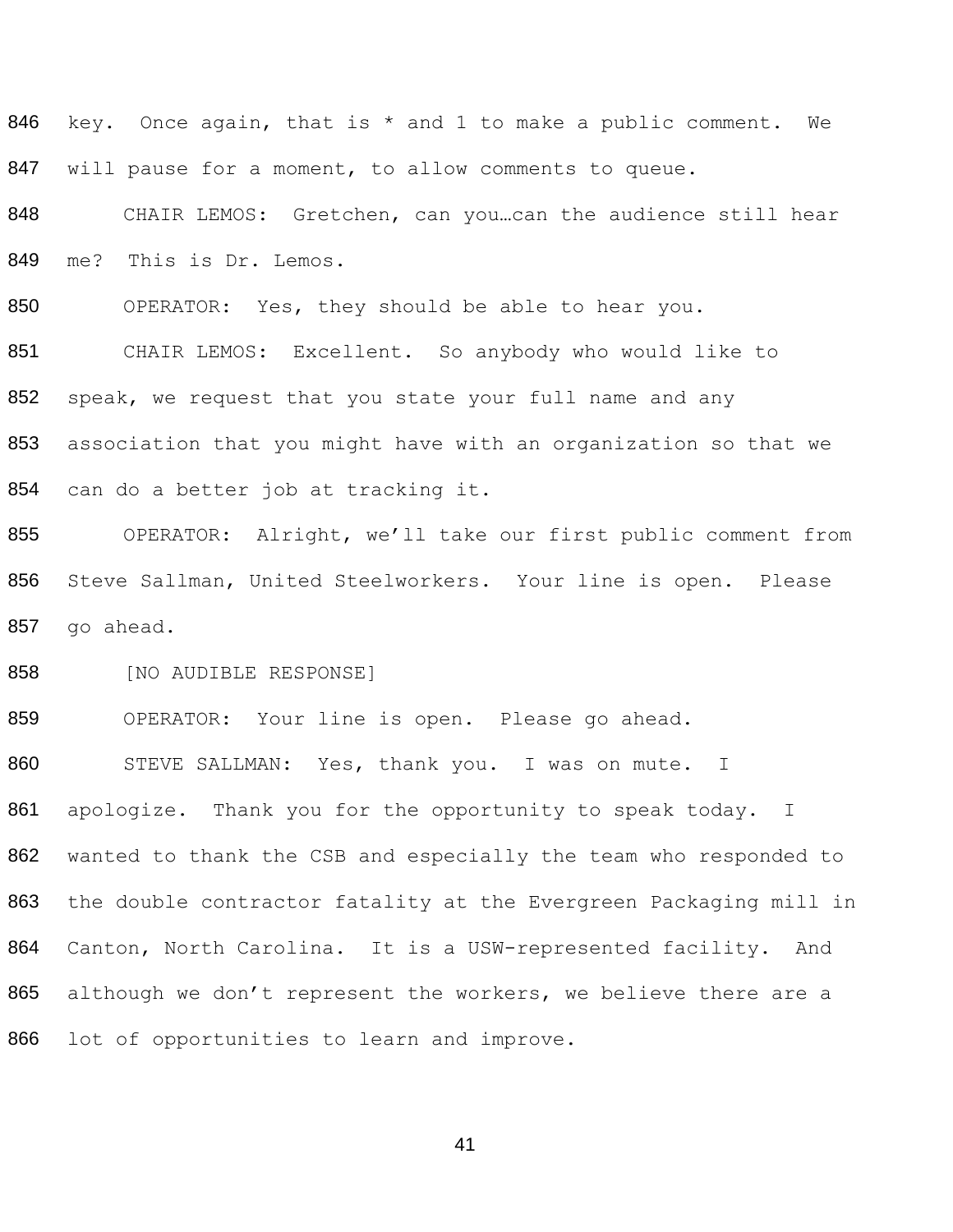key. Once again, that is \* and 1 to make a public comment. We 847 will pause for a moment, to allow comments to queue.

848 CHAIR LEMOS: Gretchen, can you...can the audience still hear me? This is Dr. Lemos.

OPERATOR: Yes, they should be able to hear you.

 CHAIR LEMOS: Excellent. So anybody who would like to 852 speak, we request that you state your full name and any association that you might have with an organization so that we can do a better job at tracking it.

 OPERATOR: Alright, we'll take our first public comment from Steve Sallman, United Steelworkers. Your line is open. Please go ahead.

858 [NO AUDIBLE RESPONSE]

 OPERATOR: Your line is open. Please go ahead. 860 STEVE SALLMAN: Yes, thank you. I was on mute. I 861 apologize. Thank you for the opportunity to speak today. I wanted to thank the CSB and especially the team who responded to the double contractor fatality at the Evergreen Packaging mill in Canton, North Carolina. It is a USW-represented facility. And 865 although we don't represent the workers, we believe there are a lot of opportunities to learn and improve.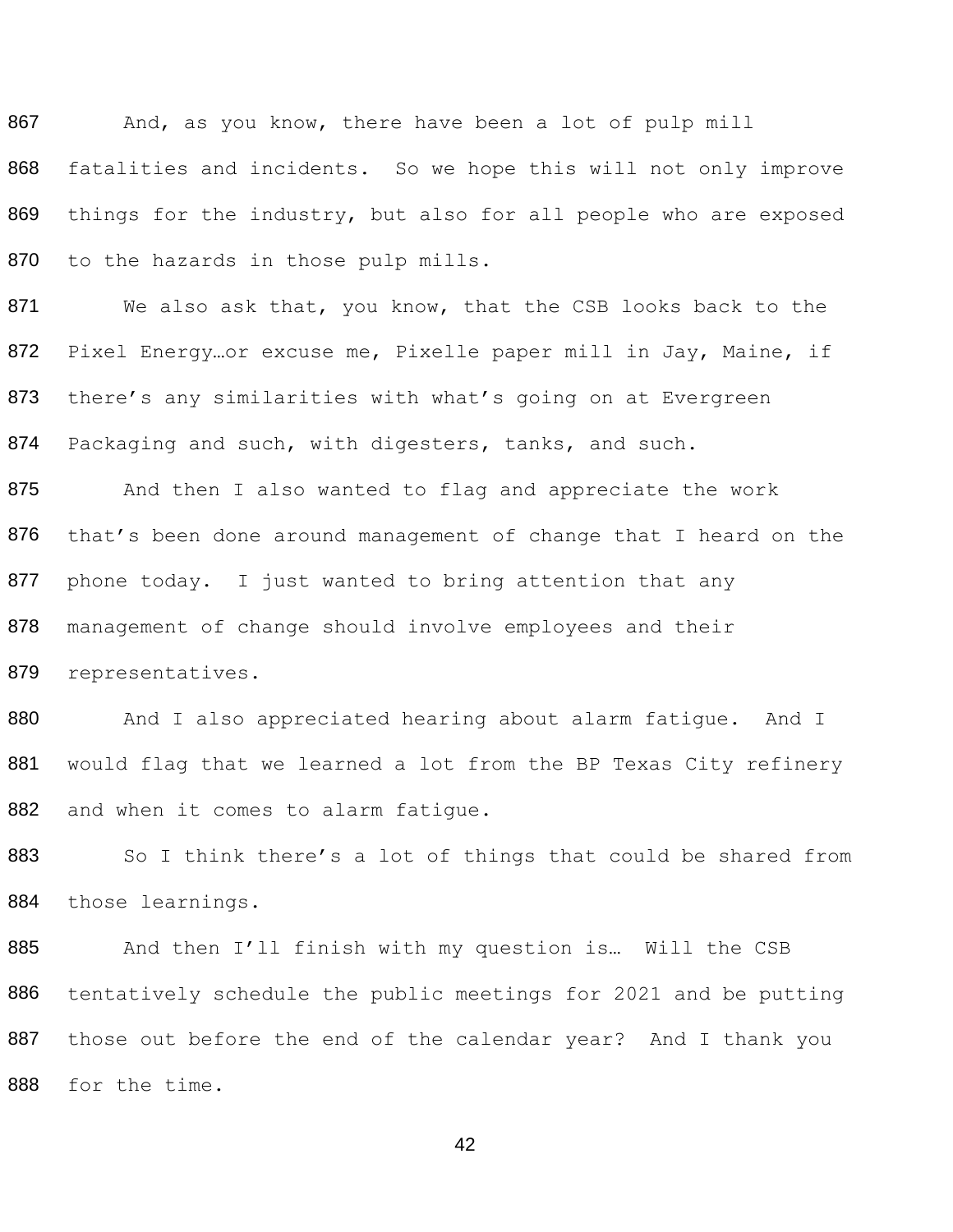867 868 869 870 And, as you know, there have been a lot of pulp mill fatalities and incidents. So we hope this will not only improve things for the industry, but also for all people who are exposed to the hazards in those pulp mills.

871 872 873 874 We also ask that, you know, that the CSB looks back to the Pixel Energy…or excuse me, Pixelle paper mill in Jay, Maine, if there's any similarities with what's going on at Evergreen Packaging and such, with digesters, tanks, and such.

875 876 877 878 879 And then I also wanted to flag and appreciate the work that's been done around management of change that I heard on the phone today. I just wanted to bring attention that any management of change should involve employees and their representatives.

880 881 882 And I also appreciated hearing about alarm fatigue. And I would flag that we learned a lot from the BP Texas City refinery and when it comes to alarm fatigue.

883 884 So I think there's a lot of things that could be shared from those learnings.

885 886 887 And then I'll finish with my question is… Will the CSB tentatively schedule the public meetings for 2021 and be putting those out before the end of the calendar year? And I thank you 888 for the time.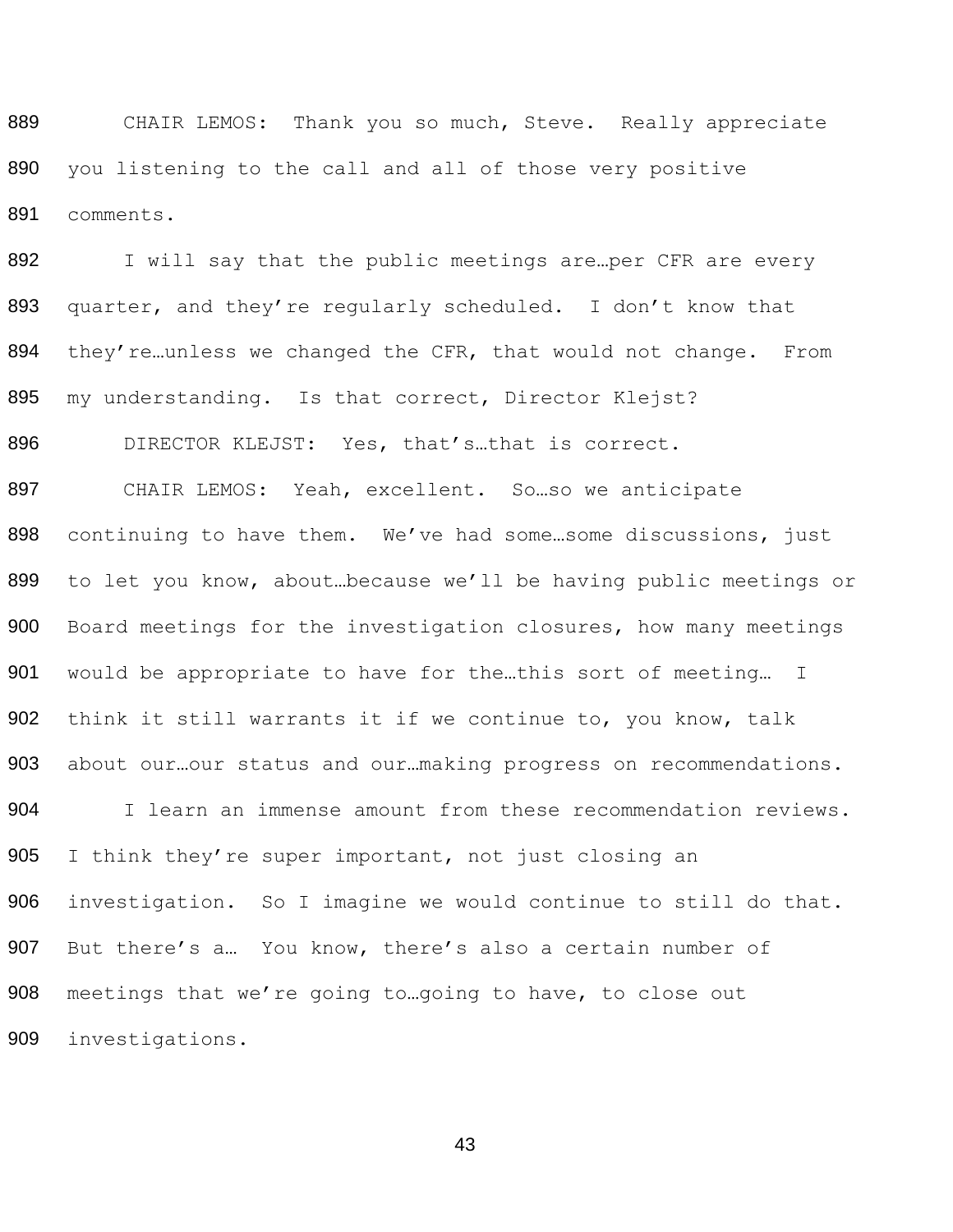889 CHAIR LEMOS: Thank you so much, Steve. Really appreciate you listening to the call and all of those very positive comments.

892 I will say that the public meetings are... per CFR are every quarter, and they're regularly scheduled. I don't know that 894 they're...unless we changed the CFR, that would not change. From 895 my understanding. Is that correct, Director Klejst?

896 DIRECTOR KLEJST: Yes, that's...that is correct.

 CHAIR LEMOS: Yeah, excellent. So…so we anticipate continuing to have them. We've had some…some discussions, just to let you know, about…because we'll be having public meetings or Board meetings for the investigation closures, how many meetings would be appropriate to have for the…this sort of meeting… I 902 think it still warrants it if we continue to, you know, talk 903 about our...our status and our...making progress on recommendations.

 I learn an immense amount from these recommendation reviews. 905 I think they're super important, not just closing an investigation. So I imagine we would continue to still do that. But there's a… You know, there's also a certain number of meetings that we're going to…going to have, to close out investigations.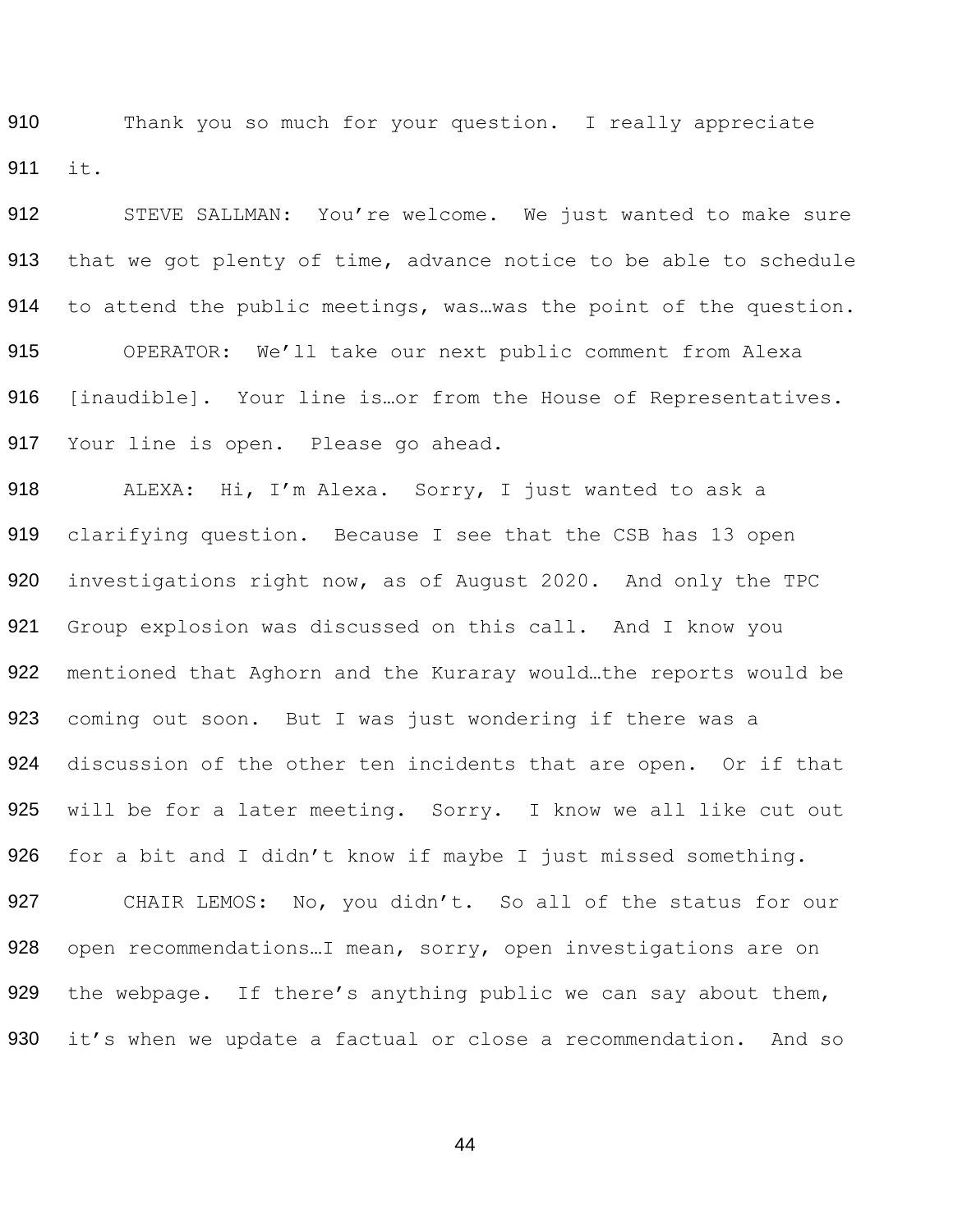910 Thank you so much for your question. I really appreciate 911 it.

912 STEVE SALLMAN: You're welcome. We just wanted to make sure 913 that we got plenty of time, advance notice to be able to schedule 914 to attend the public meetings, was ... was the point of the question. 915 OPERATOR: We'll take our next public comment from Alexa 916 [inaudible]. Your line is ... or from the House of Representatives. 917 Your line is open. Please go ahead.

918 ALEXA: Hi, I'm Alexa. Sorry, I just wanted to ask a 919 clarifying question. Because I see that the CSB has 13 open 920 investigations right now, as of August 2020. And only the TPC 921 Group explosion was discussed on this call. And I know you 922 mentioned that Aghorn and the Kuraray would...the reports would be 923 coming out soon. But I was just wondering if there was a 924 discussion of the other ten incidents that are open. Or if that 925 will be for a later meeting. Sorry. I know we all like cut out 926 for a bit and I didn't know if maybe I just missed something. 927 CHAIR LEMOS: No, you didn't. So all of the status for our 928 open recommendations…I mean, sorry, open investigations are on 929 the webpage. If there's anything public we can say about them, 930 it's when we update a factual or close a recommendation. And so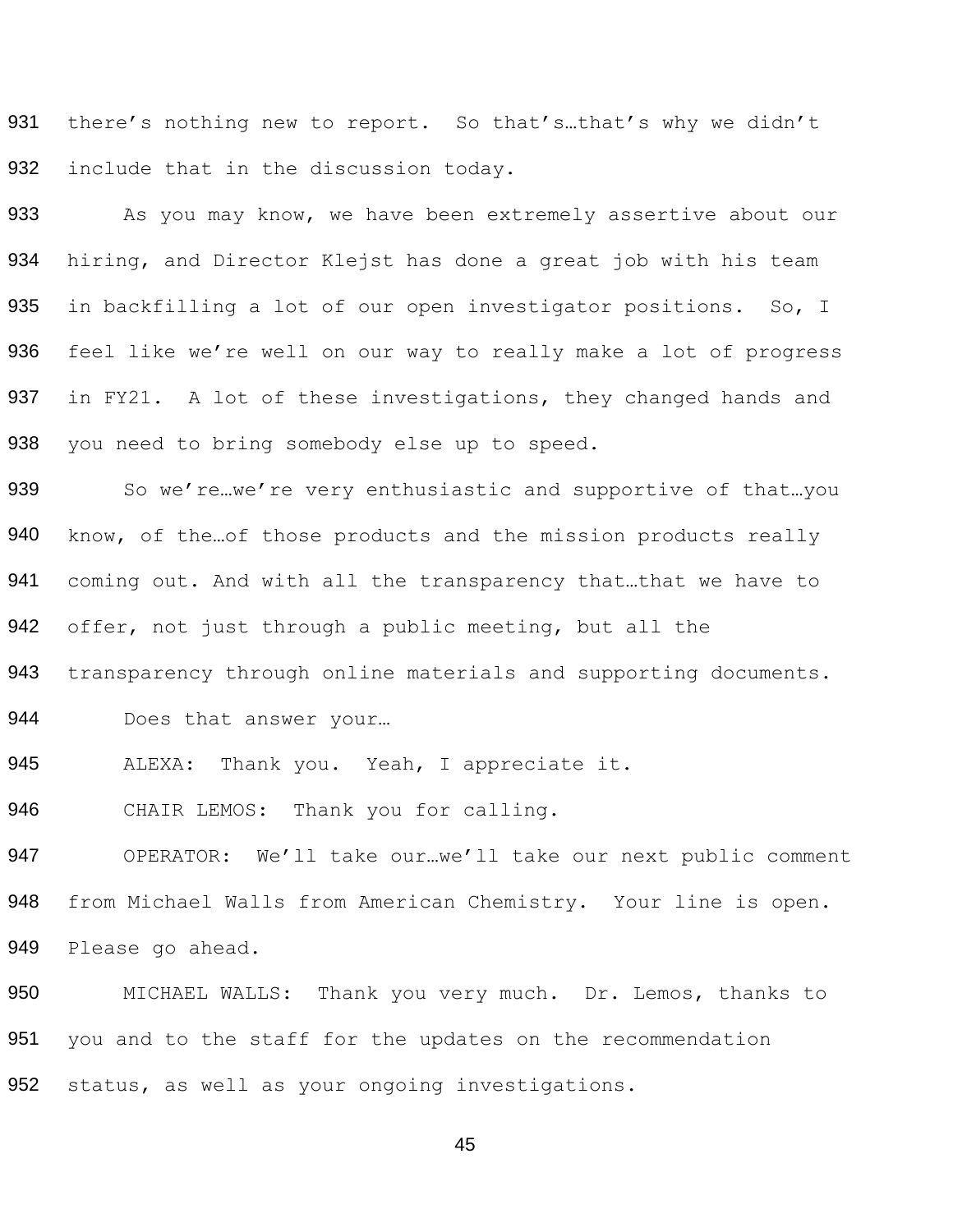931 932 there's nothing new to report. So that's…that's why we didn't include that in the discussion today.

933 934 935 936 937 938 As you may know, we have been extremely assertive about our hiring, and Director Klejst has done a great job with his team in backfilling a lot of our open investigator positions. So, I feel like we're well on our way to really make a lot of progress in FY21. A lot of these investigations, they changed hands and you need to bring somebody else up to speed.

939 940 941 942 So we're…we're very enthusiastic and supportive of that…you know, of the…of those products and the mission products really coming out. And with all the transparency that…that we have to offer, not just through a public meeting, but all the

943 transparency through online materials and supporting documents.

944 Does that answer your...

945 ALEXA: Thank you. Yeah, I appreciate it.

946 CHAIR LEMOS: Thank you for calling.

947 OPERATOR: We'll take our…we'll take our next public comment 948 from Michael Walls from American Chemistry. Your line is open. 949 Please go ahead.

950 MICHAEL WALLS: Thank you very much. Dr. Lemos, thanks to 951 you and to the staff for the updates on the recommendation 952 status, as well as your ongoing investigations.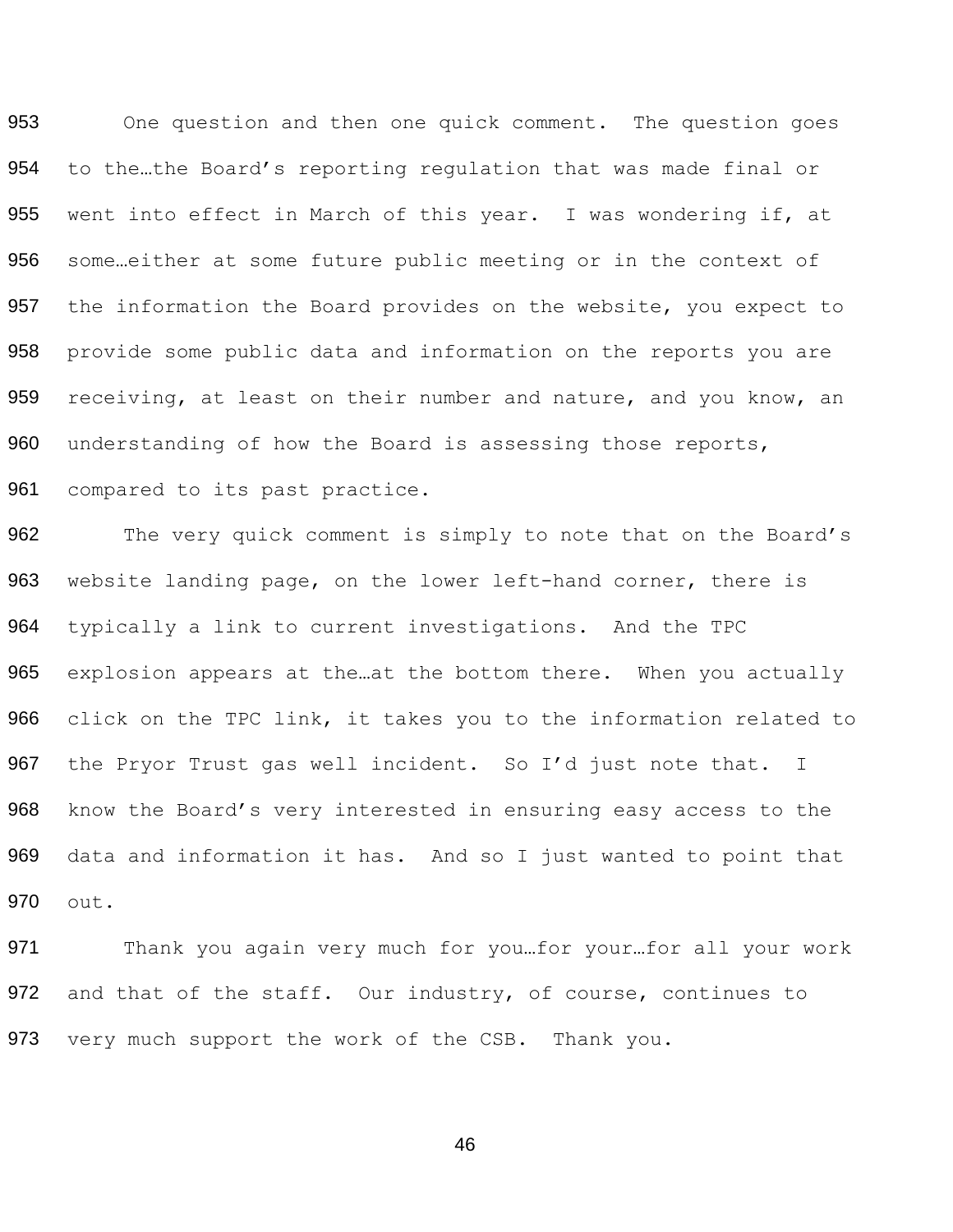One question and then one quick comment. The question goes to the…the Board's reporting regulation that was made final or went into effect in March of this year. I was wondering if, at some…either at some future public meeting or in the context of 957 the information the Board provides on the website, you expect to provide some public data and information on the reports you are 959 receiving, at least on their number and nature, and you know, an 960 understanding of how the Board is assessing those reports, compared to its past practice.

962 The very quick comment is simply to note that on the Board's 963 website landing page, on the lower left-hand corner, there is 964 typically a link to current investigations. And the TPC 965 explosion appears at the at the bottom there. When you actually 966 click on the TPC link, it takes you to the information related to 967 the Pryor Trust gas well incident. So I'd just note that. I 968 know the Board's very interested in ensuring easy access to the 969 data and information it has. And so I just wanted to point that 970 out.

971 Thank you again very much for you...for your...for all your work 972 and that of the staff. Our industry, of course, continues to 973 very much support the work of the CSB. Thank you.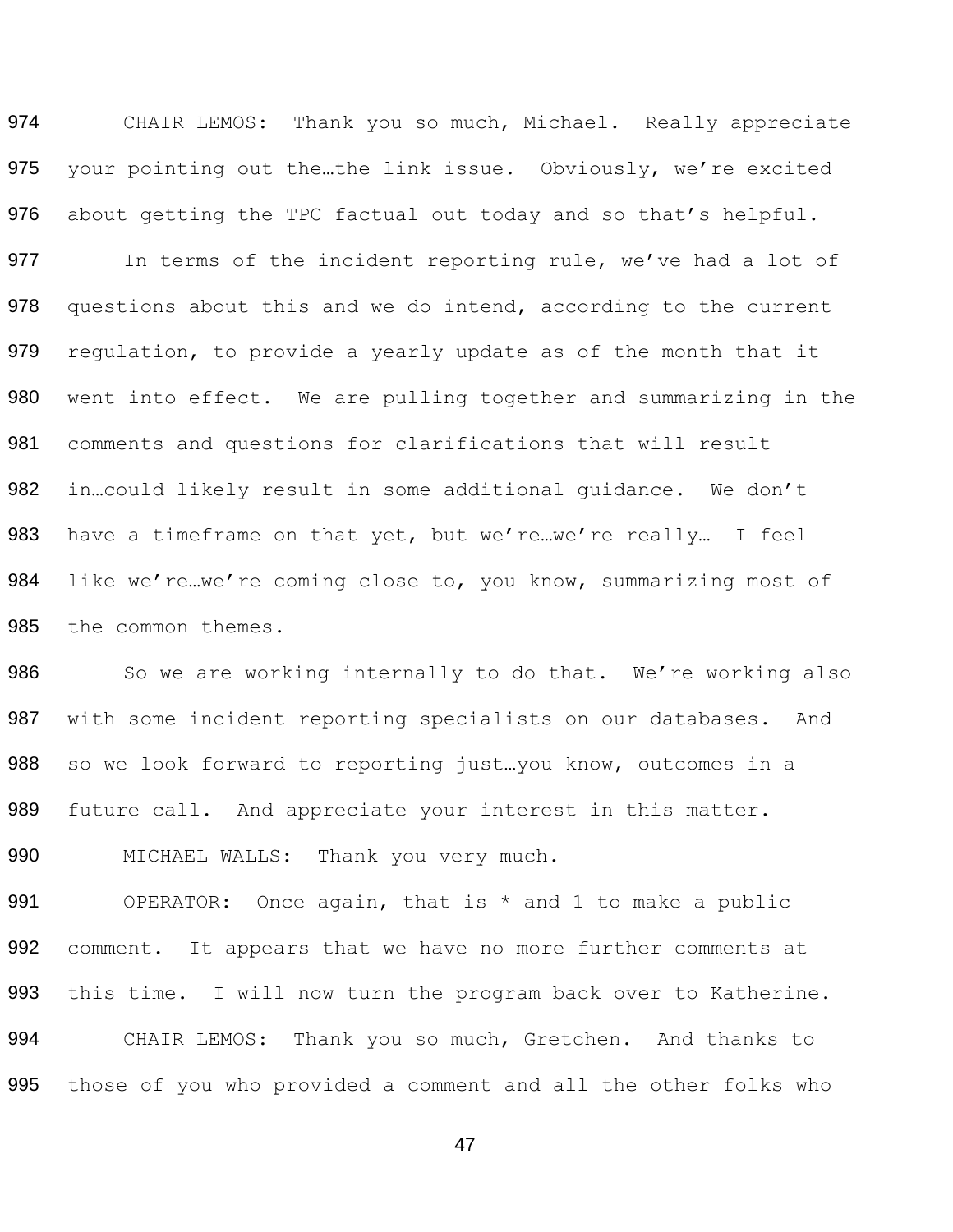974 CHAIR LEMOS: Thank you so much, Michael. Really appreciate your pointing out the…the link issue. Obviously, we're excited about getting the TPC factual out today and so that's helpful.

977 In terms of the incident reporting rule, we've had a lot of 978 questions about this and we do intend, according to the current regulation, to provide a yearly update as of the month that it went into effect. We are pulling together and summarizing in the comments and questions for clarifications that will result in…could likely result in some additional guidance. We don't 983 have a timeframe on that yet, but we're...we're really... I feel 984 like we're...we're coming close to, you know, summarizing most of the common themes.

986 So we are working internally to do that. We're working also with some incident reporting specialists on our databases. And 988 so we look forward to reporting just... you know, outcomes in a future call. And appreciate your interest in this matter.

990 MICHAEL WALLS: Thank you very much.

 OPERATOR: Once again, that is \* and 1 to make a public comment. It appears that we have no more further comments at this time. I will now turn the program back over to Katherine. CHAIR LEMOS: Thank you so much, Gretchen. And thanks to those of you who provided a comment and all the other folks who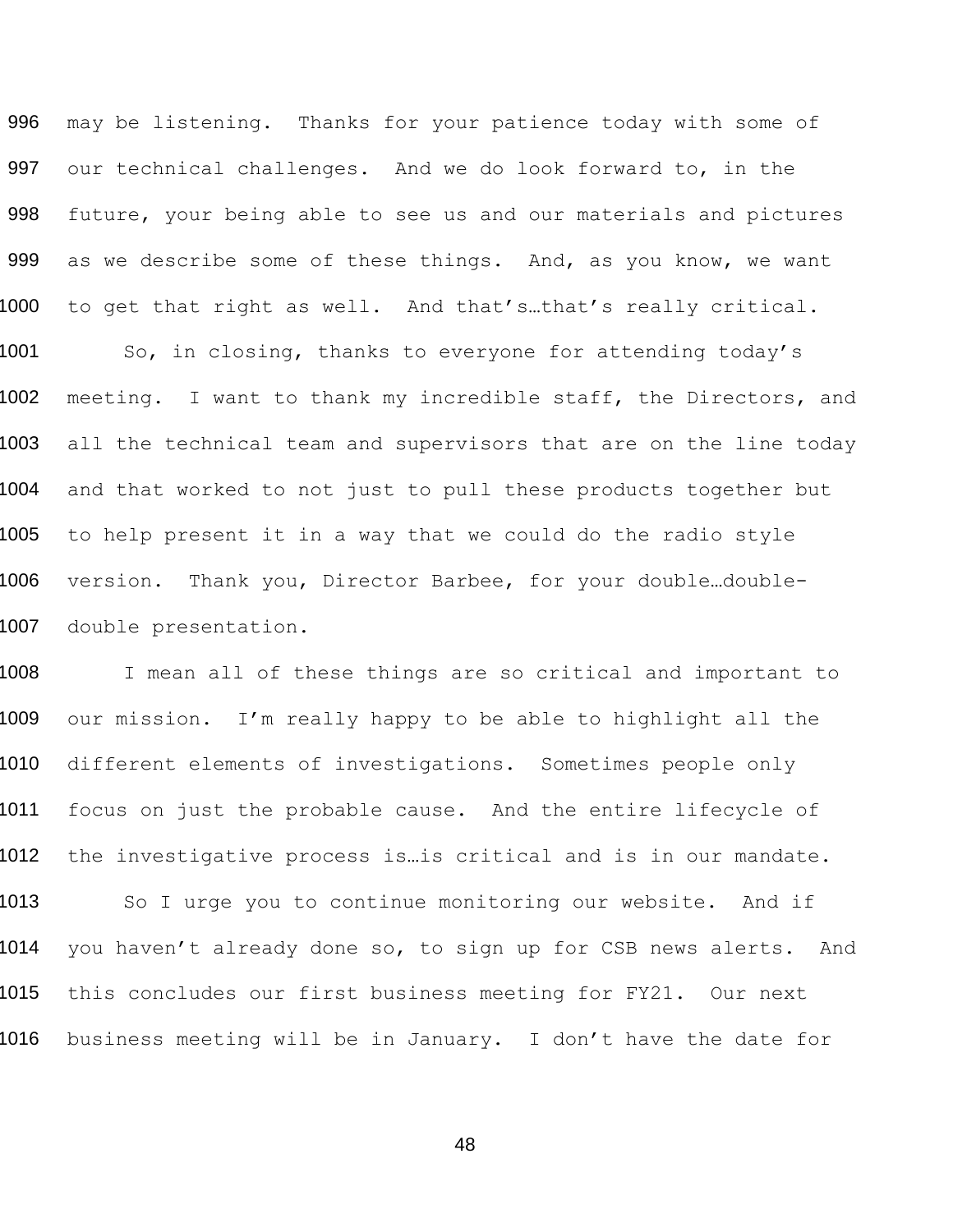996 may be listening. Thanks for your patience today with some of 997 our technical challenges. And we do look forward to, in the 998 future, your being able to see us and our materials and pictures 999 as we describe some of these things. And, as you know, we want 1000 to get that right as well. And that's…that's really critical. 1001 So, in closing, thanks to everyone for attending today's 1002 meeting. I want to thank my incredible staff, the Directors, and 1003 all the technical team and supervisors that are on the line today 1004 and that worked to not just to pull these products together but 1005 to help present it in a way that we could do the radio style 1006 version. Thank you, Director Barbee, for your double…double-1007 double presentation.

1008 I mean all of these things are so critical and important to 1009 our mission. I'm really happy to be able to highlight all the 1010 different elements of investigations. Sometimes people only 1011 focus on just the probable cause. And the entire lifecycle of 1012 the investigative process is..is critical and is in our mandate. 1013 So I urge you to continue monitoring our website. And if 1014 you haven't already done so, to sign up for CSB news alerts. And 1015 this concludes our first business meeting for FY21. Our next 1016 business meeting will be in January. I don't have the date for